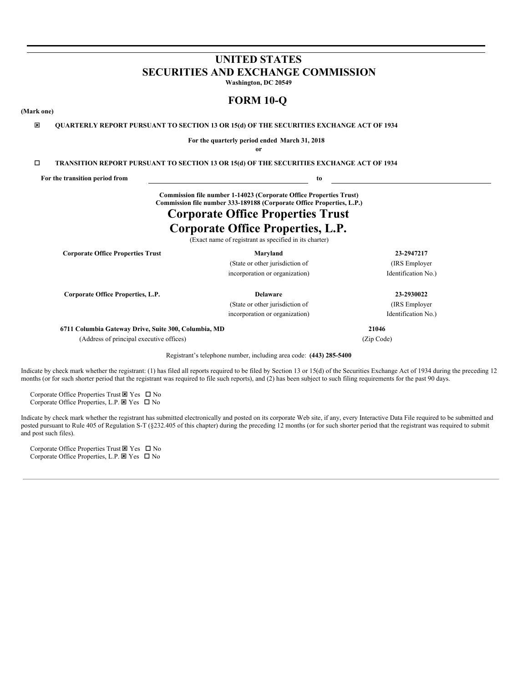# **UNITED STATES SECURITIES AND EXCHANGE COMMISSION Washington, DC 20549**

**FORM 10-Q**

### **(Mark one)**

ý **QUARTERLY REPORT PURSUANT TO SECTION 13 OR 15(d) OF THE SECURITIES EXCHANGE ACT OF 1934**

**For the quarterly period ended March 31, 2018 or**

o **TRANSITION REPORT PURSUANT TO SECTION 13 OR 15(d) OF THE SECURITIES EXCHANGE ACT OF 1934**

**For the transition period from to**

**Commission file number 1-14023 (Corporate Office Properties Trust) Commission file number 333-189188 (Corporate Office Properties, L.P.)**

# **Corporate Office Properties Trust**

# **Corporate Office Properties, L.P.**

(Exact name of registrant as specified in its charter)

**Corporate Office Properties Trust Maryland 23-2947217**

(State or other jurisdiction of (IRS Employer incorporation or organization) Identification No.

**Corporate Office Properties, L.P. Delaware 23-2930022**

(State or other jurisdiction of (IRS Employer incorporation or organization) Identification No.)

**6711 Columbia Gateway Drive, Suite 300, Columbia, MD 21046**

(Address of principal executive offices) (Zip Code)

Registrant's telephone number, including area code: **(443) 285-5400**

Indicate by check mark whether the registrant: (1) has filed all reports required to be filed by Section 13 or 15(d) of the Securities Exchange Act of 1934 during the preceding 12 months (or for such shorter period that the registrant was required to file such reports), and (2) has been subject to such filing requirements for the past 90 days.

Corporate Office Properties Trust  $\boxtimes$  Yes  $\Box$  No Corporate Office Properties, L.P.  $\boxtimes$  Yes  $\Box$  No

Indicate by check mark whether the registrant has submitted electronically and posted on its corporate Web site, if any, every Interactive Data File required to be submitted and posted pursuant to Rule 405 of Regulation S-T (§232.405 of this chapter) during the preceding 12 months (or for such shorter period that the registrant was required to submit and post such files).

Corporate Office Properties Trust  $\boxtimes$  Yes  $\Box$  No Corporate Office Properties, L.P.  $\boxtimes$  Yes  $\Box$  No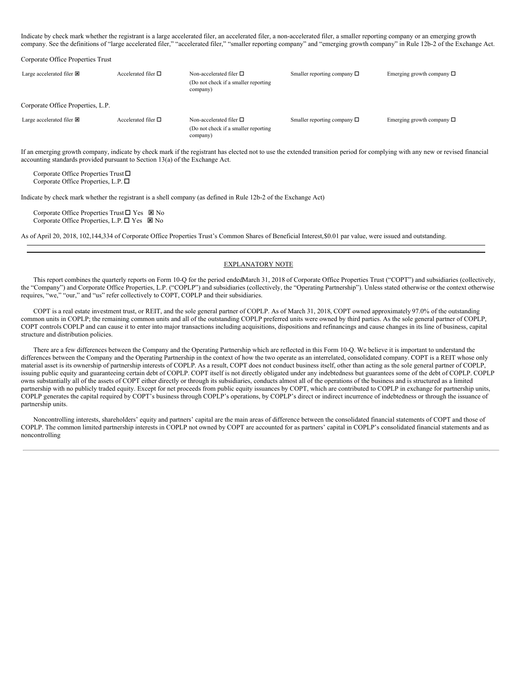Indicate by check mark whether the registrant is a large accelerated filer, an accelerated filer, a non-accelerated filer, a smaller reporting company or an emerging growth company. See the definitions of "large accelerated filer," "accelerated filer," "smaller reporting company" and "emerging growth company" in Rule 12b-2 of the Exchange Act.

| Corporate Office Properties Trust   |                             |                                                                                   |                                  |                                |
|-------------------------------------|-----------------------------|-----------------------------------------------------------------------------------|----------------------------------|--------------------------------|
| Large accelerated filer $\boxtimes$ | Accelerated filer $\Box$    | Non-accelerated filer $\Box$<br>(Do not check if a smaller reporting)<br>company) | Smaller reporting company $\Box$ | Emerging growth company $\Box$ |
| Corporate Office Properties, L.P.   |                             |                                                                                   |                                  |                                |
| Large accelerated filer $\boxtimes$ | Accelerated filer $\square$ | Non-accelerated filer $\Box$<br>(Do not check if a smaller reporting)<br>company) | Smaller reporting company $\Box$ | Emerging growth company $\Box$ |

If an emerging growth company, indicate by check mark if the registrant has elected not to use the extended transition period for complying with any new or revised financial accounting standards provided pursuant to Section 13(a) of the Exchange Act.

Corporate Office Properties Trust  $\square$ Corporate Office Properties, L.P.  $\Box$ 

Indicate by check mark whether the registrant is a shell company (as defined in Rule 12b-2 of the Exchange Act)

Corporate Office Properties Trust  $\square$  Yes  $\boxtimes$  No Corporate Office Properties, L.P.  $\square$  Yes  $\square$  No

As of April 20, 2018, 102,144,334 of Corporate Office Properties Trust's Common Shares of Beneficial Interest,\$0.01 par value, were issued and outstanding.

# EXPLANATORY NOTE

This report combines the quarterly reports on Form 10-Q for the period endedMarch 31, 2018 of Corporate Office Properties Trust ("COPT") and subsidiaries (collectively, the "Company") and Corporate Office Properties, L.P. ("COPLP") and subsidiaries (collectively, the "Operating Partnership"). Unless stated otherwise or the context otherwise requires, "we," "our," and "us" refer collectively to COPT, COPLP and their subsidiaries.

COPT is a real estate investment trust, or REIT, and the sole general partner of COPLP. As of March 31, 2018, COPT owned approximately 97.0% of the outstanding common units in COPLP; the remaining common units and all of the outstanding COPLP preferred units were owned by third parties. As the sole general partner of COPLP, COPT controls COPLP and can cause it to enter into major transactions including acquisitions, dispositions and refinancings and cause changes in its line of business, capital structure and distribution policies.

There are a few differences between the Company and the Operating Partnership which are reflected in this Form 10-Q. We believe it is important to understand the differences between the Company and the Operating Partnership in the context of how the two operate as an interrelated, consolidated company. COPT is a REIT whose only material asset is its ownership of partnership interests of COPLP. As a result, COPT does not conduct business itself, other than acting as the sole general partner of COPLP, issuing public equity and guaranteeing certain debt of COPLP. COPT itself is not directly obligated under any indebtedness but guarantees some of the debt of COPLP. COPLP owns substantially all of the assets of COPT either directly or through its subsidiaries, conducts almost all of the operations of the business and is structured as a limited partnership with no publicly traded equity. Except for net proceeds from public equity issuances by COPT, which are contributed to COPLP in exchange for partnership units, COPLP generates the capital required by COPT's business through COPLP's operations, by COPLP's direct or indirect incurrence of indebtedness or through the issuance of partnership units.

Noncontrolling interests, shareholders' equity and partners' capital are the main areas of difference between the consolidated financial statements of COPT and those of COPLP. The common limited partnership interests in COPLP not owned by COPT are accounted for as partners' capital in COPLP's consolidated financial statements and as noncontrolling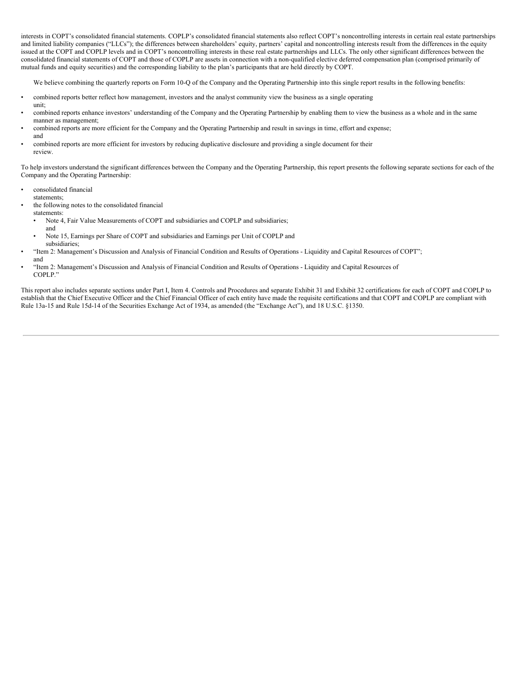interests in COPT's consolidated financial statements. COPLP's consolidated financial statements also reflect COPT's noncontrolling interests in certain real estate partnerships and limited liability companies ("LLCs"); the differences between shareholders' equity, partners' capital and noncontrolling interests result from the differences in the equity issued at the COPT and COPLP levels and in COPT's noncontrolling interests in these real estate partnerships and LLCs. The only other significant differences between the consolidated financial statements of COPT and those of COPLP are assets in connection with a non-qualified elective deferred compensation plan (comprised primarily of mutual funds and equity securities) and the corresponding liability to the plan's participants that are held directly by COPT.

We believe combining the quarterly reports on Form 10-Q of the Company and the Operating Partnership into this single report results in the following benefits:

- combined reports better reflect how management, investors and the analyst community view the business as a single operating unit;
- combined reports enhance investors' understanding of the Company and the Operating Partnership by enabling them to view the business as a whole and in the same manner as management;
- combined reports are more efficient for the Company and the Operating Partnership and result in savings in time, effort and expense; and
- combined reports are more efficient for investors by reducing duplicative disclosure and providing a single document for their review.

To help investors understand the significant differences between the Company and the Operating Partnership, this report presents the following separate sections for each of the Company and the Operating Partnership:

- consolidated financial
- statements; the following notes to the consolidated financial
- statements:
	- Note 4, Fair Value Measurements of COPT and subsidiaries and COPLP and subsidiaries;
		- and
- Note 15, Earnings per Share of COPT and subsidiaries and Earnings per Unit of COPLP and subsidiaries;
- "Item 2: Management's Discussion and Analysis of Financial Condition and Results of Operations Liquidity and Capital Resources of COPT"; and
- "Item 2: Management's Discussion and Analysis of Financial Condition and Results of Operations Liquidity and Capital Resources of COPLP."

This report also includes separate sections under Part I, Item 4. Controls and Procedures and separate Exhibit 31 and Exhibit 32 certifications for each of COPT and COPLP to establish that the Chief Executive Officer and the Chief Financial Officer of each entity have made the requisite certifications and that COPT and COPLP are compliant with Rule 13a-15 and Rule 15d-14 of the Securities Exchange Act of 1934, as amended (the "Exchange Act"), and 18 U.S.C. §1350.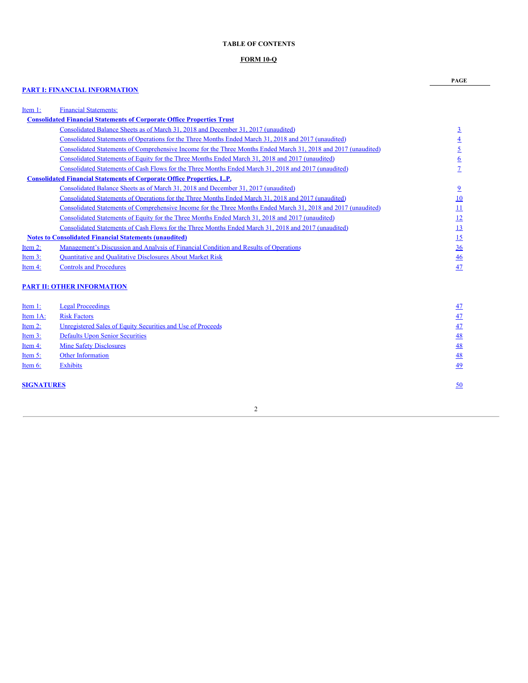# **TABLE OF CONTENTS**

# **FORM 10-Q**

# **PART I: FINANCIAL [INFORMATION](#page-4-0)**

**PAGE**

| Item 1:    | <b>Financial Statements:</b>                                                                                   |                  |
|------------|----------------------------------------------------------------------------------------------------------------|------------------|
|            | <b>Consolidated Financial Statements of Corporate Office Properties Trust</b>                                  |                  |
|            | Consolidated Balance Sheets as of March 31, 2018 and December 31, 2017 (unaudited)                             | $\overline{3}$   |
|            | Consolidated Statements of Operations for the Three Months Ended March 31, 2018 and 2017 (unaudited)           | $\overline{4}$   |
|            | Consolidated Statements of Comprehensive Income for the Three Months Ended March 31, 2018 and 2017 (unaudited) | <u>5</u>         |
|            | Consolidated Statements of Equity for the Three Months Ended March 31, 2018 and 2017 (unaudited)               | $\underline{6}$  |
|            | Consolidated Statements of Cash Flows for the Three Months Ended March 31, 2018 and 2017 (unaudited)           | $\mathcal{I}$    |
|            | <b>Consolidated Financial Statements of Corporate Office Properties, L.P.</b>                                  |                  |
|            | Consolidated Balance Sheets as of March 31, 2018 and December 31, 2017 (unaudited)                             | $\overline{2}$   |
|            | Consolidated Statements of Operations for the Three Months Ended March 31, 2018 and 2017 (unaudited)           | $\underline{10}$ |
|            | Consolidated Statements of Comprehensive Income for the Three Months Ended March 31, 2018 and 2017 (unaudited) | <u> 11</u>       |
|            | Consolidated Statements of Equity for the Three Months Ended March 31, 2018 and 2017 (unaudited)               | 12               |
|            | Consolidated Statements of Cash Flows for the Three Months Ended March 31, 2018 and 2017 (unaudited)           | 13               |
|            | <b>Notes to Consolidated Financial Statements (unaudited)</b>                                                  | <u>15</u>        |
| Item $2$ : | Management's Discussion and Analysis of Financial Condition and Results of Operations                          | $\frac{36}{5}$   |
| Item $3:$  | Quantitative and Qualitative Disclosures About Market Risk                                                     | $\frac{46}{5}$   |
| Item 4:    | <b>Controls and Procedures</b>                                                                                 | 47               |
|            |                                                                                                                |                  |
|            | <b>PART II: OTHER INFORMATION</b>                                                                              |                  |
|            |                                                                                                                |                  |
| Item 1:    | <b>Legal Proceedings</b>                                                                                       | 47               |
|            |                                                                                                                |                  |

| Item 1A:          | <b>Risk Factors</b>                                         | 47              |
|-------------------|-------------------------------------------------------------|-----------------|
| Item $2$ :        | Unregistered Sales of Equity Securities and Use of Proceeds | $\overline{47}$ |
| Item $3:$         | <b>Defaults Upon Senior Securities</b>                      | 48              |
| Item $4$ :        | <b>Mine Safety Disclosures</b>                              | 48              |
| Item $5$ :        | <b>Other Information</b>                                    | $\overline{48}$ |
| Item $6$ :        | <b>Exhibits</b>                                             | 49              |
| <b>SIGNATURES</b> |                                                             | 50              |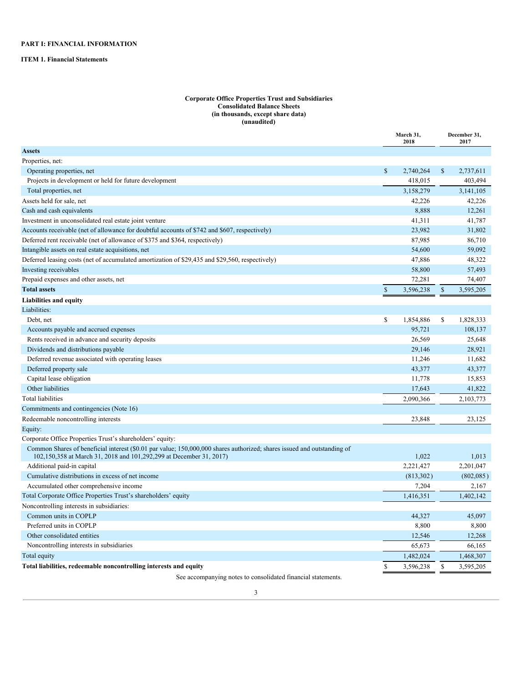<span id="page-4-3"></span><span id="page-4-2"></span><span id="page-4-1"></span><span id="page-4-0"></span>**ITEM 1. Financial Statements**

#### **Corporate Office Properties Trust and Subsidiaries Consolidated Balance Sheets (in thousands, except share data) (unaudited)**

|                                                                                                                                                                                                |              | March 31,<br>2018 |              | December 31,<br>2017 |
|------------------------------------------------------------------------------------------------------------------------------------------------------------------------------------------------|--------------|-------------------|--------------|----------------------|
| <b>Assets</b>                                                                                                                                                                                  |              |                   |              |                      |
| Properties, net:                                                                                                                                                                               |              |                   |              |                      |
| Operating properties, net                                                                                                                                                                      | $\mathbb{S}$ | 2,740,264         | $\mathbb{S}$ | 2,737,611            |
| Projects in development or held for future development                                                                                                                                         |              | 418,015           |              | 403,494              |
| Total properties, net                                                                                                                                                                          |              | 3,158,279         |              | 3,141,105            |
| Assets held for sale, net                                                                                                                                                                      |              | 42,226            |              | 42,226               |
| Cash and cash equivalents                                                                                                                                                                      |              | 8,888             |              | 12,261               |
| Investment in unconsolidated real estate joint venture                                                                                                                                         |              | 41,311            |              | 41,787               |
| Accounts receivable (net of allowance for doubtful accounts of \$742 and \$607, respectively)                                                                                                  |              | 23,982            |              | 31,802               |
| Deferred rent receivable (net of allowance of \$375 and \$364, respectively)                                                                                                                   |              | 87,985            |              | 86,710               |
| Intangible assets on real estate acquisitions, net                                                                                                                                             |              | 54,600            |              | 59,092               |
| Deferred leasing costs (net of accumulated amortization of \$29,435 and \$29,560, respectively)                                                                                                |              | 47,886            |              | 48,322               |
| Investing receivables                                                                                                                                                                          |              | 58,800            |              | 57,493               |
| Prepaid expenses and other assets, net                                                                                                                                                         |              | 72,281            |              | 74,407               |
| <b>Total assets</b>                                                                                                                                                                            | $\mathbf S$  | 3,596,238         | $\mathbb{S}$ | 3,595,205            |
| Liabilities and equity                                                                                                                                                                         |              |                   |              |                      |
| Liabilities:                                                                                                                                                                                   |              |                   |              |                      |
| Debt, net                                                                                                                                                                                      | \$           | 1,854,886         | \$           | 1,828,333            |
| Accounts payable and accrued expenses                                                                                                                                                          |              | 95,721            |              | 108,137              |
| Rents received in advance and security deposits                                                                                                                                                |              | 26,569            |              | 25,648               |
| Dividends and distributions payable                                                                                                                                                            |              | 29,146            |              | 28,921               |
| Deferred revenue associated with operating leases                                                                                                                                              |              | 11,246            |              | 11,682               |
| Deferred property sale                                                                                                                                                                         |              | 43,377            |              | 43,377               |
| Capital lease obligation                                                                                                                                                                       |              | 11,778            |              | 15,853               |
| Other liabilities                                                                                                                                                                              |              | 17,643            |              | 41,822               |
| <b>Total liabilities</b>                                                                                                                                                                       |              | 2,090,366         |              | 2,103,773            |
| Commitments and contingencies (Note 16)                                                                                                                                                        |              |                   |              |                      |
| Redeemable noncontrolling interests                                                                                                                                                            |              | 23,848            |              | 23,125               |
| Equity:                                                                                                                                                                                        |              |                   |              |                      |
| Corporate Office Properties Trust's shareholders' equity:                                                                                                                                      |              |                   |              |                      |
| Common Shares of beneficial interest (\$0.01 par value; 150,000,000 shares authorized; shares issued and outstanding of<br>102,150,358 at March 31, 2018 and 101,292,299 at December 31, 2017) |              | 1,022             |              | 1,013                |
| Additional paid-in capital                                                                                                                                                                     |              | 2,221,427         |              | 2,201,047            |
| Cumulative distributions in excess of net income                                                                                                                                               |              | (813, 302)        |              | (802,085)            |
| Accumulated other comprehensive income                                                                                                                                                         |              | 7,204             |              | 2,167                |
| Total Corporate Office Properties Trust's shareholders' equity                                                                                                                                 |              | 1,416,351         |              | 1,402,142            |
| Noncontrolling interests in subsidiaries:                                                                                                                                                      |              |                   |              |                      |
| Common units in COPLP                                                                                                                                                                          |              | 44,327            |              | 45,097               |
| Preferred units in COPLP                                                                                                                                                                       |              | 8,800             |              | 8,800                |
| Other consolidated entities                                                                                                                                                                    |              | 12,546            |              | 12,268               |
| Noncontrolling interests in subsidiaries                                                                                                                                                       |              | 65,673            |              | 66,165               |
| Total equity                                                                                                                                                                                   |              | 1,482,024         |              | 1,468,307            |
| Total liabilities, redeemable noncontrolling interests and equity                                                                                                                              | \$           | 3,596,238         | $\mathbb{S}$ | 3,595,205            |

See accompanying notes to consolidated financial statements.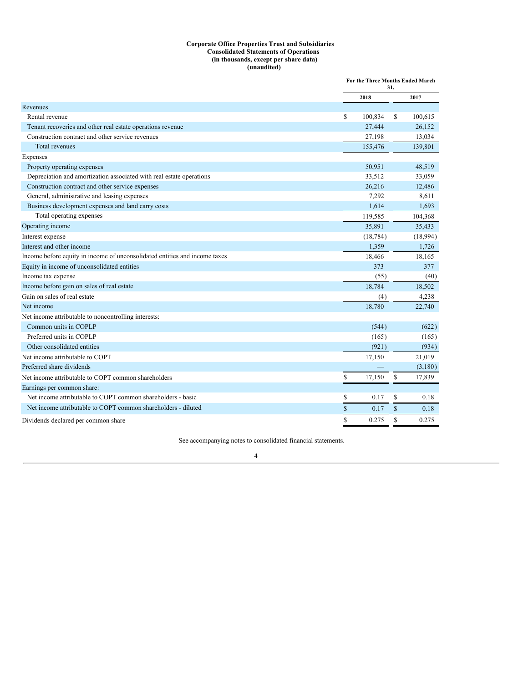#### **Corporate Office Properties Trust and Subsidiaries Consolidated Statements of Operations (in thousands, except per share data) (unaudited)**

<span id="page-5-0"></span>

|                                                                            | For the Three Months Ended March | 31,          |          |
|----------------------------------------------------------------------------|----------------------------------|--------------|----------|
|                                                                            | 2018                             |              | 2017     |
| Revenues                                                                   |                                  |              |          |
| Rental revenue                                                             | S<br>100,834                     | \$           | 100,615  |
| Tenant recoveries and other real estate operations revenue                 | 27,444                           |              | 26,152   |
| Construction contract and other service revenues                           | 27,198                           |              | 13,034   |
| <b>Total revenues</b>                                                      | 155,476                          |              | 139,801  |
| Expenses                                                                   |                                  |              |          |
| Property operating expenses                                                | 50,951                           |              | 48,519   |
| Depreciation and amortization associated with real estate operations       | 33,512                           |              | 33,059   |
| Construction contract and other service expenses                           | 26,216                           |              | 12,486   |
| General, administrative and leasing expenses                               | 7,292                            |              | 8,611    |
| Business development expenses and land carry costs                         | 1,614                            |              | 1,693    |
| Total operating expenses                                                   | 119,585                          |              | 104,368  |
| Operating income                                                           | 35,891                           |              | 35,433   |
| Interest expense                                                           | (18, 784)                        |              | (18,994) |
| Interest and other income                                                  | 1,359                            |              | 1,726    |
| Income before equity in income of unconsolidated entities and income taxes | 18,466                           |              | 18,165   |
| Equity in income of unconsolidated entities                                | 373                              |              | 377      |
| Income tax expense                                                         | (55)                             |              | (40)     |
| Income before gain on sales of real estate                                 | 18,784                           |              | 18,502   |
| Gain on sales of real estate                                               | (4)                              |              | 4,238    |
| Net income                                                                 | 18,780                           |              | 22,740   |
| Net income attributable to noncontrolling interests:                       |                                  |              |          |
| Common units in COPLP                                                      | (544)                            |              | (622)    |
| Preferred units in COPLP                                                   | (165)                            |              | (165)    |
| Other consolidated entities                                                | (921)                            |              | (934)    |
| Net income attributable to COPT                                            | 17,150                           |              | 21,019   |
| Preferred share dividends                                                  |                                  |              | (3,180)  |
| Net income attributable to COPT common shareholders                        | \$<br>17,150                     | \$           | 17,839   |
| Earnings per common share:                                                 |                                  |              |          |
| Net income attributable to COPT common shareholders - basic                | \$<br>0.17                       | \$           | 0.18     |
| Net income attributable to COPT common shareholders - diluted              | \$<br>0.17                       | $\mathbb{S}$ | 0.18     |
| Dividends declared per common share                                        | Ŝ<br>0.275                       | \$           | 0.275    |

See accompanying notes to consolidated financial statements.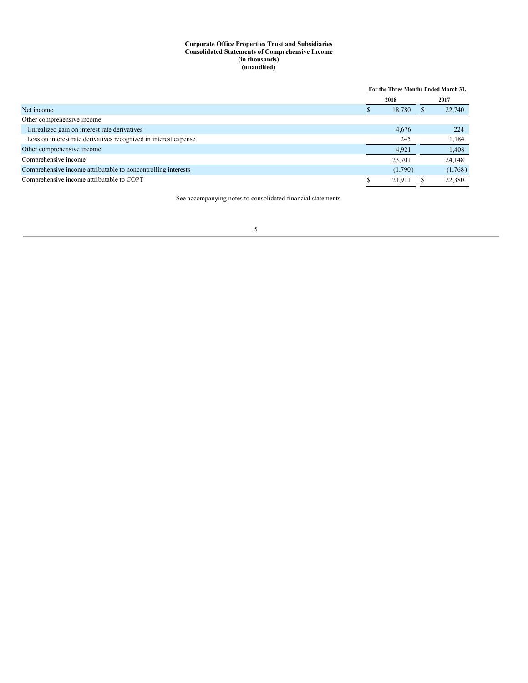#### **Corporate Office Properties Trust and Subsidiaries Consolidated Statements of Comprehensive Income (in thousands) (unaudited)**

<span id="page-6-0"></span>

| 2018    | 2017                                 |
|---------|--------------------------------------|
| 18,780  | 22,740                               |
|         |                                      |
| 4.676   | 224                                  |
| 245     | 1,184                                |
| 4,921   | 1,408                                |
| 23.701  | 24,148                               |
| (1,790) | (1,768)                              |
| 21,911  | 22,380                               |
|         | For the Three Months Ended March 31, |

See accompanying notes to consolidated financial statements.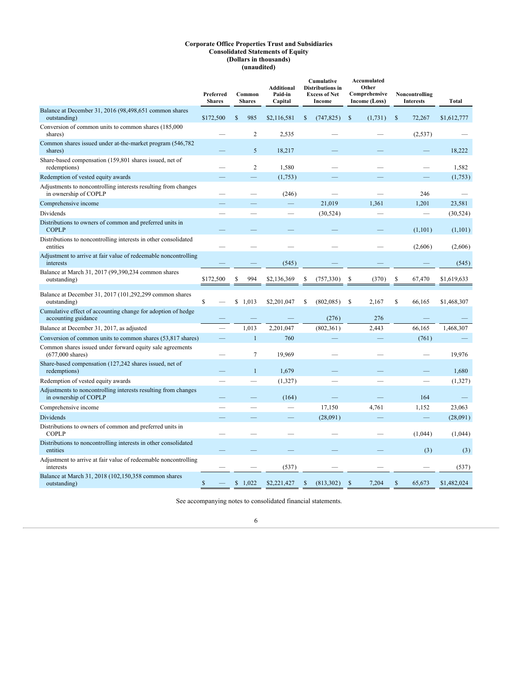#### **Corporate Office Properties Trust and Subsidiaries Consolidated Statements of Equity (Dollars in thousands) (unaudited)**

<span id="page-7-0"></span>

|                                                                                         | Preferred<br><b>Shares</b> | Common<br><b>Shares</b> | <b>Additional</b><br>Paid-in<br>Capital | Cumulative<br><b>Distributions</b> in<br><b>Excess of Net</b><br>Income |              | Accumulated<br>Other<br>Comprehensive<br>Income (Loss) |              | Noncontrolling<br><b>Interests</b> | Total       |
|-----------------------------------------------------------------------------------------|----------------------------|-------------------------|-----------------------------------------|-------------------------------------------------------------------------|--------------|--------------------------------------------------------|--------------|------------------------------------|-------------|
| Balance at December 31, 2016 (98,498,651 common shares<br>outstanding)                  | \$172,500                  | \$<br>985               | \$2,116,581                             | \$<br>(747, 825)                                                        | $\mathbb{S}$ | (1,731)                                                | $\mathbb{S}$ | 72,267                             | \$1,612,777 |
| Conversion of common units to common shares (185,000)<br>shares)                        |                            | $\overline{c}$          | 2,535                                   |                                                                         |              |                                                        |              | (2,537)                            |             |
| Common shares issued under at-the-market program (546,782)<br>shares)                   |                            | 5                       | 18,217                                  |                                                                         |              |                                                        |              |                                    | 18,222      |
| Share-based compensation (159,801 shares issued, net of<br>redemptions)                 |                            | $\overline{2}$          | 1,580                                   |                                                                         |              |                                                        |              |                                    | 1,582       |
| Redemption of vested equity awards                                                      |                            |                         | (1,753)                                 |                                                                         |              |                                                        |              |                                    | (1,753)     |
| Adjustments to noncontrolling interests resulting from changes<br>in ownership of COPLP |                            |                         | (246)                                   |                                                                         |              |                                                        |              | 246                                |             |
| Comprehensive income                                                                    |                            |                         |                                         | 21,019                                                                  |              | 1,361                                                  |              | 1,201                              | 23,581      |
| Dividends                                                                               |                            |                         |                                         | (30, 524)                                                               |              |                                                        |              |                                    | (30, 524)   |
| Distributions to owners of common and preferred units in<br><b>COPLP</b>                |                            |                         |                                         |                                                                         |              |                                                        |              | (1,101)                            | (1,101)     |
| Distributions to noncontrolling interests in other consolidated<br>entities             |                            |                         |                                         |                                                                         |              |                                                        |              | (2,606)                            | (2,606)     |
| Adjustment to arrive at fair value of redeemable noncontrolling<br>interests            |                            |                         | (545)                                   |                                                                         |              |                                                        |              |                                    | (545)       |
| Balance at March 31, 2017 (99,390,234 common shares<br>outstanding)                     | \$172,500                  | \$<br>994               | \$2,136,369                             | \$<br>(757, 330)                                                        | S            | (370)                                                  | \$           | 67,470                             | \$1,619,633 |
| Balance at December 31, 2017 (101,292,299 common shares<br>outstanding)                 | \$                         | \$<br>1,013             | \$2,201,047                             | \$<br>(802,085)                                                         | S            | 2,167                                                  | $\mathbb{S}$ | 66,165                             | \$1,468,307 |
| Cumulative effect of accounting change for adoption of hedge<br>accounting guidance     |                            |                         |                                         | (276)                                                                   |              | 276                                                    |              |                                    |             |
| Balance at December 31, 2017, as adjusted                                               |                            | 1,013                   | 2,201,047                               | (802, 361)                                                              |              | 2,443                                                  |              | 66,165                             | 1,468,307   |
| Conversion of common units to common shares (53,817 shares)                             |                            | $\mathbf{1}$            | 760                                     |                                                                         |              |                                                        |              | (761)                              |             |
| Common shares issued under forward equity sale agreements<br>$(677,000 \text{ shares})$ |                            | $\tau$                  | 19,969                                  |                                                                         |              |                                                        |              |                                    | 19,976      |
| Share-based compensation (127,242 shares issued, net of<br>redemptions)                 |                            | $\mathbf{1}$            | 1,679                                   |                                                                         |              |                                                        |              |                                    | 1,680       |
| Redemption of vested equity awards                                                      |                            |                         | (1,327)                                 |                                                                         |              |                                                        |              |                                    | (1,327)     |
| Adjustments to noncontrolling interests resulting from changes<br>in ownership of COPLP |                            |                         | (164)                                   |                                                                         |              |                                                        |              | 164                                |             |
| Comprehensive income                                                                    |                            |                         | ÷,                                      | 17,150                                                                  |              | 4,761                                                  |              | 1,152                              | 23,063      |
| Dividends                                                                               |                            |                         |                                         | (28,091)                                                                |              |                                                        |              |                                    | (28,091)    |
| Distributions to owners of common and preferred units in<br><b>COPLP</b>                |                            |                         |                                         |                                                                         |              |                                                        |              | (1,044)                            | (1,044)     |
| Distributions to noncontrolling interests in other consolidated<br>entities             |                            |                         |                                         |                                                                         |              |                                                        |              | (3)                                | (3)         |
| Adjustment to arrive at fair value of redeemable noncontrolling<br>interests            |                            |                         | (537)                                   |                                                                         |              |                                                        |              |                                    | (537)       |
| Balance at March 31, 2018 (102,150,358 common shares<br>outstanding)                    | $\mathbb{S}$               | \$1,022                 | \$2,221,427                             | \$<br>(813,302)                                                         | $\mathbb{S}$ | 7,204                                                  | $\mathbb{S}$ | 65,673                             | \$1,482,024 |

See accompanying notes to consolidated financial statements.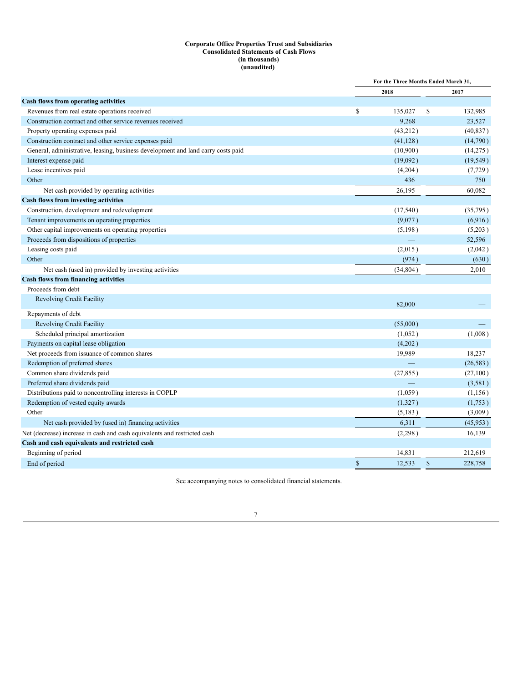#### **Corporate Office Properties Trust and Subsidiaries Consolidated Statements of Cash Flows (in thousands) (unaudited)**

<span id="page-8-0"></span>

|                                                                                  | For the Three Months Ended March 31, |              |           |
|----------------------------------------------------------------------------------|--------------------------------------|--------------|-----------|
|                                                                                  | 2018                                 |              | 2017      |
| <b>Cash flows from operating activities</b>                                      |                                      |              |           |
| Revenues from real estate operations received                                    | \$<br>135,027                        | \$           | 132,985   |
| Construction contract and other service revenues received                        | 9,268                                |              | 23,527    |
| Property operating expenses paid                                                 | (43,212)                             |              | (40, 837) |
| Construction contract and other service expenses paid                            | (41, 128)                            |              | (14,790)  |
| General, administrative, leasing, business development and land carry costs paid | (10,900)                             |              | (14,275)  |
| Interest expense paid                                                            | (19,092)                             |              | (19, 549) |
| Lease incentives paid                                                            | (4,204)                              |              | (7, 729)  |
| Other                                                                            | 436                                  |              | 750       |
| Net cash provided by operating activities                                        | 26,195                               |              | 60,082    |
| <b>Cash flows from investing activities</b>                                      |                                      |              |           |
| Construction, development and redevelopment                                      | (17,540)                             |              | (35,795)  |
| Tenant improvements on operating properties                                      | (9,077)                              |              | (6,916)   |
| Other capital improvements on operating properties                               | (5,198)                              |              | (5,203)   |
| Proceeds from dispositions of properties                                         |                                      |              | 52,596    |
| Leasing costs paid                                                               | (2,015)                              |              | (2,042)   |
| Other                                                                            | (974)                                |              | (630)     |
| Net cash (used in) provided by investing activities                              | (34, 804)                            |              | 2,010     |
| Cash flows from financing activities                                             |                                      |              |           |
| Proceeds from debt                                                               |                                      |              |           |
| <b>Revolving Credit Facility</b>                                                 | 82,000                               |              |           |
| Repayments of debt                                                               |                                      |              |           |
| <b>Revolving Credit Facility</b>                                                 | (55,000)                             |              |           |
| Scheduled principal amortization                                                 | (1,052)                              |              | (1,008)   |
| Payments on capital lease obligation                                             | (4,202)                              |              |           |
| Net proceeds from issuance of common shares                                      | 19,989                               |              | 18,237    |
| Redemption of preferred shares                                                   |                                      |              | (26, 583) |
| Common share dividends paid                                                      | (27, 855)                            |              | (27,100)  |
| Preferred share dividends paid                                                   |                                      |              | (3,581)   |
| Distributions paid to noncontrolling interests in COPLP                          | (1,059)                              |              | (1,156)   |
| Redemption of vested equity awards                                               | (1,327)                              |              | (1,753)   |
| Other                                                                            | (5,183)                              |              | (3,009)   |
| Net cash provided by (used in) financing activities                              | 6,311                                |              | (45, 953) |
| Net (decrease) increase in cash and cash equivalents and restricted cash         | (2,298)                              |              | 16,139    |
| Cash and cash equivalents and restricted cash                                    |                                      |              |           |
| Beginning of period                                                              | 14,831                               |              | 212,619   |
| End of period                                                                    | \$<br>12,533                         | $\mathbb{S}$ | 228,758   |
|                                                                                  |                                      |              |           |

See accompanying notes to consolidated financial statements.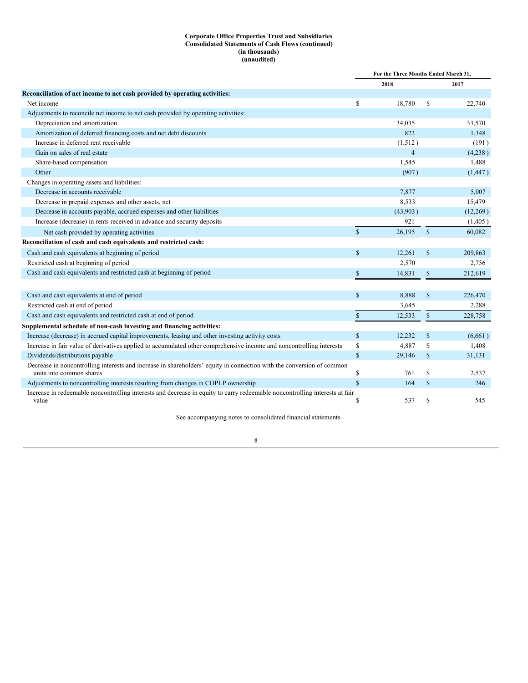### **Corporate Office Properties Trust and Subsidiaries Consolidated Statements of Cash Flows (continued) (in thousands) (unaudited)**

|                                                                                                                                      | For the Three Months Ended March 31, |                |              |          |
|--------------------------------------------------------------------------------------------------------------------------------------|--------------------------------------|----------------|--------------|----------|
|                                                                                                                                      |                                      | 2018           |              | 2017     |
| Reconciliation of net income to net cash provided by operating activities:                                                           |                                      |                |              |          |
| Net income                                                                                                                           | S                                    | 18,780         | S            | 22,740   |
| Adjustments to reconcile net income to net cash provided by operating activities:                                                    |                                      |                |              |          |
| Depreciation and amortization                                                                                                        |                                      | 34,035         |              | 33,570   |
| Amortization of deferred financing costs and net debt discounts                                                                      |                                      | 822            |              | 1,348    |
| Increase in deferred rent receivable                                                                                                 |                                      | (1,512)        |              | (191)    |
| Gain on sales of real estate                                                                                                         |                                      | $\overline{4}$ |              | (4,238)  |
| Share-based compensation                                                                                                             |                                      | 1,545          |              | 1,488    |
| Other                                                                                                                                |                                      | (907)          |              | (1, 447) |
| Changes in operating assets and liabilities:                                                                                         |                                      |                |              |          |
| Decrease in accounts receivable                                                                                                      |                                      | 7,877          |              | 5,007    |
| Decrease in prepaid expenses and other assets, net                                                                                   |                                      | 8,533          |              | 15,479   |
| Decrease in accounts payable, accrued expenses and other liabilities                                                                 |                                      | (43,903)       |              | (12,269) |
| Increase (decrease) in rents received in advance and security deposits                                                               |                                      | 921            |              | (1,405)  |
| Net cash provided by operating activities                                                                                            | \$                                   | 26,195         | $\mathbb{S}$ | 60,082   |
| Reconciliation of cash and cash equivalents and restricted cash:                                                                     |                                      |                |              |          |
| Cash and cash equivalents at beginning of period                                                                                     | $\mathbb{S}$                         | 12,261         | $\mathbb{S}$ | 209,863  |
| Restricted cash at beginning of period                                                                                               |                                      | 2,570          |              | 2.756    |
| Cash and cash equivalents and restricted cash at beginning of period                                                                 | \$                                   | 14,831         | $\mathbb{S}$ | 212,619  |
|                                                                                                                                      |                                      |                |              |          |
| Cash and cash equivalents at end of period                                                                                           | $\mathbb{S}$                         | 8,888          | $\mathbf S$  | 226,470  |
| Restricted cash at end of period                                                                                                     |                                      | 3,645          |              | 2,288    |
| Cash and cash equivalents and restricted cash at end of period                                                                       | $\mathbb{S}$                         | 12,533         | $\mathbb{S}$ | 228,758  |
| Supplemental schedule of non-cash investing and financing activities:                                                                |                                      |                |              |          |
| Increase (decrease) in accrued capital improvements, leasing and other investing activity costs                                      | \$                                   | 12,232         | $\mathbb{S}$ | (6,661)  |
| Increase in fair value of derivatives applied to accumulated other comprehensive income and noncontrolling interests                 | \$                                   | 4,887          | \$           | 1,408    |
| Dividends/distributions payable                                                                                                      | \$                                   | 29,146         | $\mathbb{S}$ | 31,131   |
| Decrease in noncontrolling interests and increase in shareholders' equity in connection with the conversion of common                |                                      |                |              |          |
| units into common shares                                                                                                             | \$                                   | 761            | S            | 2,537    |
| Adjustments to noncontrolling interests resulting from changes in COPLP ownership                                                    | $\mathbb{S}$                         | 164            | $\mathbf S$  | 246      |
| Increase in redeemable noncontrolling interests and decrease in equity to carry redeemable noncontrolling interests at fair<br>value | S                                    | 537            | S            | 545      |

See accompanying notes to consolidated financial statements.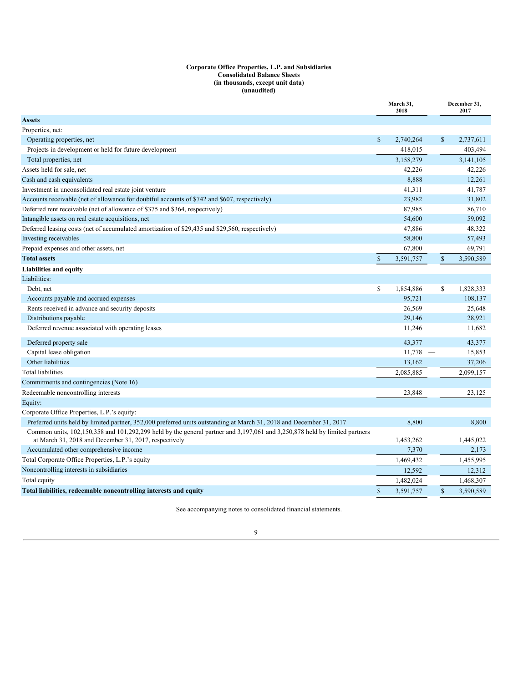#### **Corporate Office Properties, L.P. and Subsidiaries Consolidated Balance Sheets (in thousands, except unit data) (unaudited)**

<span id="page-10-1"></span><span id="page-10-0"></span>

|                                                                                                                                                                                     |              |           |                          | December 31,<br>2017 |
|-------------------------------------------------------------------------------------------------------------------------------------------------------------------------------------|--------------|-----------|--------------------------|----------------------|
| <b>Assets</b>                                                                                                                                                                       |              |           |                          |                      |
| Properties, net:                                                                                                                                                                    |              |           |                          |                      |
| Operating properties, net                                                                                                                                                           | $\mathbb{S}$ | 2,740,264 | $\mathbb{S}$             | 2,737,611            |
| Projects in development or held for future development                                                                                                                              |              | 418,015   |                          | 403,494              |
| Total properties, net                                                                                                                                                               |              | 3,158,279 |                          | 3,141,105            |
| Assets held for sale, net                                                                                                                                                           |              | 42,226    |                          | 42,226               |
| Cash and cash equivalents                                                                                                                                                           |              | 8,888     |                          | 12,261               |
| Investment in unconsolidated real estate joint venture                                                                                                                              |              | 41,311    |                          | 41,787               |
| Accounts receivable (net of allowance for doubtful accounts of \$742 and \$607, respectively)                                                                                       |              | 23,982    |                          | 31,802               |
| Deferred rent receivable (net of allowance of \$375 and \$364, respectively)                                                                                                        |              | 87,985    |                          | 86,710               |
| Intangible assets on real estate acquisitions, net                                                                                                                                  |              | 54,600    |                          | 59,092               |
| Deferred leasing costs (net of accumulated amortization of \$29,435 and \$29,560, respectively)                                                                                     |              | 47,886    |                          | 48,322               |
| Investing receivables                                                                                                                                                               |              | 58,800    |                          | 57,493               |
| Prepaid expenses and other assets, net                                                                                                                                              |              | 67,800    |                          | 69,791               |
| <b>Total assets</b>                                                                                                                                                                 | $\mathbb{S}$ | 3,591,757 | $\mathbb{S}$             | 3,590,589            |
| <b>Liabilities and equity</b>                                                                                                                                                       |              |           |                          |                      |
| Liabilities:                                                                                                                                                                        |              |           |                          |                      |
| Debt, net                                                                                                                                                                           | S            | 1,854,886 | \$                       | 1,828,333            |
| Accounts payable and accrued expenses                                                                                                                                               |              | 95,721    |                          | 108,137              |
| Rents received in advance and security deposits                                                                                                                                     |              | 26,569    |                          | 25,648               |
| Distributions payable                                                                                                                                                               |              | 29,146    |                          | 28,921               |
| Deferred revenue associated with operating leases                                                                                                                                   |              | 11,246    |                          | 11,682               |
| Deferred property sale                                                                                                                                                              |              | 43,377    |                          | 43,377               |
| Capital lease obligation                                                                                                                                                            |              | 11,778    | $\overline{\phantom{a}}$ | 15,853               |
| Other liabilities                                                                                                                                                                   |              | 13,162    |                          | 37,206               |
| Total liabilities                                                                                                                                                                   |              | 2,085,885 |                          | 2,099,157            |
| Commitments and contingencies (Note 16)                                                                                                                                             |              |           |                          |                      |
| Redeemable noncontrolling interests                                                                                                                                                 |              | 23,848    |                          | 23,125               |
| Equity:                                                                                                                                                                             |              |           |                          |                      |
| Corporate Office Properties, L.P.'s equity:                                                                                                                                         |              |           |                          |                      |
| Preferred units held by limited partner, 352,000 preferred units outstanding at March 31, 2018 and December 31, 2017                                                                |              | 8,800     |                          | 8,800                |
| Common units, 102,150,358 and 101,292,299 held by the general partner and 3,197,061 and 3,250,878 held by limited partners<br>at March 31, 2018 and December 31, 2017, respectively |              | 1,453,262 |                          | 1,445,022            |
| Accumulated other comprehensive income                                                                                                                                              |              | 7,370     |                          | 2,173                |
| Total Corporate Office Properties, L.P.'s equity                                                                                                                                    |              | 1,469,432 |                          | 1,455,995            |
| Noncontrolling interests in subsidiaries                                                                                                                                            |              | 12,592    |                          | 12,312               |
| Total equity                                                                                                                                                                        |              | 1,482,024 |                          | 1,468,307            |
| Total liabilities, redeemable noncontrolling interests and equity                                                                                                                   | $\mathbb{S}$ | 3,591,757 | $\mathbb{S}$             | 3,590,589            |
|                                                                                                                                                                                     |              |           |                          |                      |

See accompanying notes to consolidated financial statements.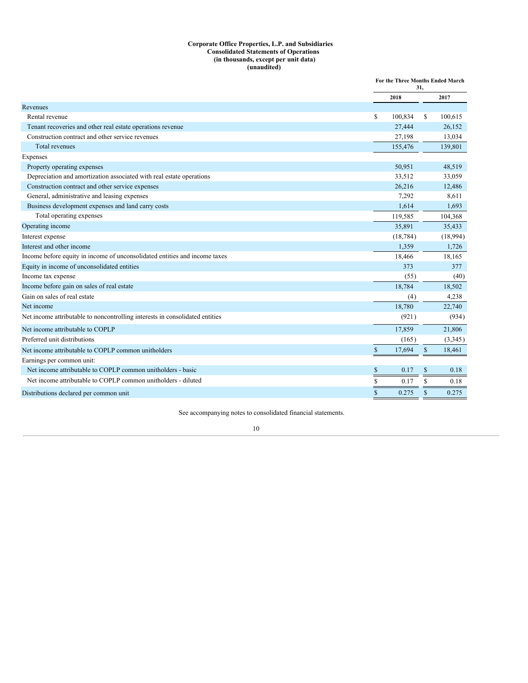#### **Corporate Office Properties, L.P. and Subsidiaries Consolidated Statements of Operations (in thousands, except per unit data) (unaudited)**

<span id="page-11-0"></span>

|                                                                              | For the Three Months Ended March<br>31. |           |              |          |
|------------------------------------------------------------------------------|-----------------------------------------|-----------|--------------|----------|
|                                                                              |                                         | 2018      |              | 2017     |
| Revenues                                                                     |                                         |           |              |          |
| Rental revenue                                                               | $\mathbb{S}$                            | 100,834   | S            | 100,615  |
| Tenant recoveries and other real estate operations revenue                   |                                         | 27,444    |              | 26,152   |
| Construction contract and other service revenues                             |                                         | 27,198    |              | 13,034   |
| Total revenues                                                               |                                         | 155,476   |              | 139,801  |
| Expenses                                                                     |                                         |           |              |          |
| Property operating expenses                                                  |                                         | 50,951    |              | 48,519   |
| Depreciation and amortization associated with real estate operations         |                                         | 33,512    |              | 33,059   |
| Construction contract and other service expenses                             |                                         | 26,216    |              | 12,486   |
| General, administrative and leasing expenses                                 |                                         | 7,292     |              | 8,611    |
| Business development expenses and land carry costs                           |                                         | 1,614     |              | 1,693    |
| Total operating expenses                                                     |                                         | 119,585   |              | 104,368  |
| Operating income                                                             |                                         | 35,891    |              | 35,433   |
| Interest expense                                                             |                                         | (18, 784) |              | (18,994) |
| Interest and other income                                                    |                                         | 1,359     |              | 1,726    |
| Income before equity in income of unconsolidated entities and income taxes   |                                         | 18,466    |              | 18,165   |
| Equity in income of unconsolidated entities                                  |                                         | 373       |              | 377      |
| Income tax expense                                                           |                                         | (55)      |              | (40)     |
| Income before gain on sales of real estate                                   |                                         | 18,784    |              | 18,502   |
| Gain on sales of real estate                                                 |                                         | (4)       |              | 4,238    |
| Net income                                                                   |                                         | 18,780    |              | 22,740   |
| Net income attributable to noncontrolling interests in consolidated entities |                                         | (921)     |              | (934)    |
| Net income attributable to COPLP                                             |                                         | 17,859    |              | 21,806   |
| Preferred unit distributions                                                 |                                         | (165)     |              | (3,345)  |
| Net income attributable to COPLP common unitholders                          | \$                                      | 17,694    | \$           | 18,461   |
| Earnings per common unit:                                                    |                                         |           |              |          |
| Net income attributable to COPLP common unitholders - basic                  | $\$$                                    | 0.17      | $\mathbb{S}$ | 0.18     |
| Net income attributable to COPLP common unitholders - diluted                | \$                                      | 0.17      | S.           | 0.18     |
| Distributions declared per common unit                                       | $\mathbb{S}$                            | 0.275     | $\mathbb{S}$ | 0.275    |

See accompanying notes to consolidated financial statements.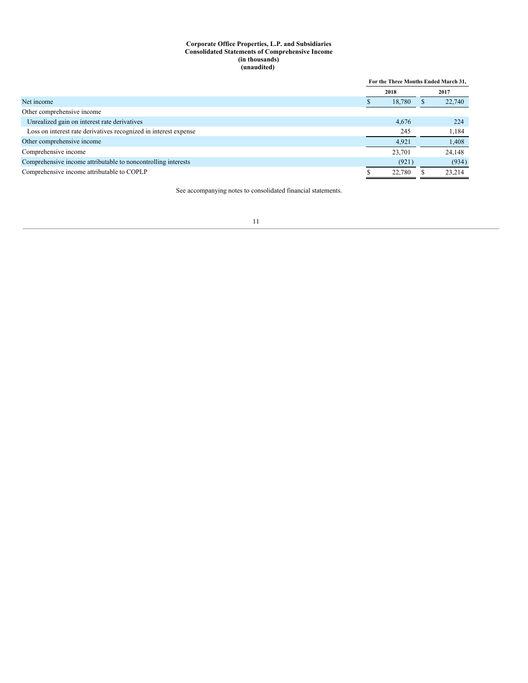#### **Corporate Office Properties, L.P. and Subsidiaries Consolidated Statements of Comprehensive Income (in thousands) (unaudited)**

<span id="page-12-0"></span>

|                                                                  |  | For the Three Months Ended March 31. |        |
|------------------------------------------------------------------|--|--------------------------------------|--------|
|                                                                  |  | 2018                                 | 2017   |
| Net income                                                       |  | 18,780                               | 22,740 |
| Other comprehensive income                                       |  |                                      |        |
| Unrealized gain on interest rate derivatives                     |  | 4.676                                | 224    |
| Loss on interest rate derivatives recognized in interest expense |  | 245                                  | 1,184  |
| Other comprehensive income                                       |  | 4,921                                | 1,408  |
| Comprehensive income                                             |  | 23.701                               | 24,148 |
| Comprehensive income attributable to noncontrolling interests    |  | (921)                                | (934)  |
| Comprehensive income attributable to COPLP                       |  | 22,780                               | 23,214 |
|                                                                  |  |                                      |        |

See accompanying notes to consolidated financial statements.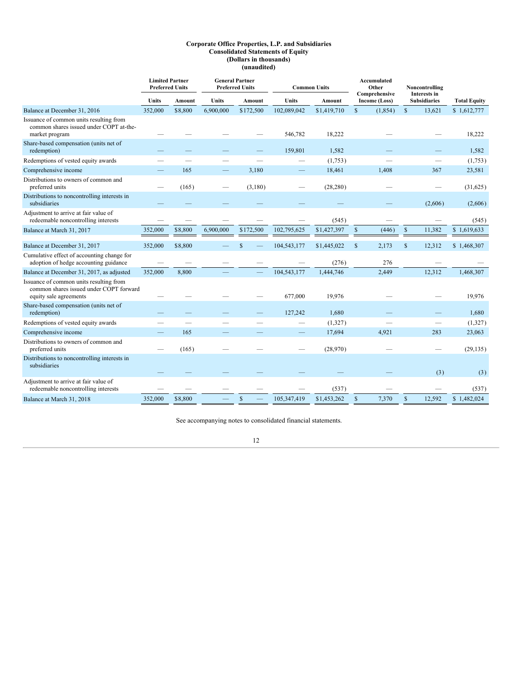#### **Corporate Office Properties, L.P. and Subsidiaries Consolidated Statements of Equity (Dollars in thousands) (unaudited)**

<span id="page-13-0"></span>

|                                                                                                              | <b>Limited Partner</b><br><b>Preferred Units</b> |         |           | <b>General Partner</b><br><b>Preferred Units</b> |             | <b>Common Units</b> |              | Accumulated<br>Other<br>Comprehensive |              | Noncontrolling                      |                     |
|--------------------------------------------------------------------------------------------------------------|--------------------------------------------------|---------|-----------|--------------------------------------------------|-------------|---------------------|--------------|---------------------------------------|--------------|-------------------------------------|---------------------|
|                                                                                                              | Units                                            | Amount  | Units     | Amount                                           | Units       | Amount              |              | <b>Income (Loss)</b>                  |              | Interests in<br><b>Subsidiaries</b> | <b>Total Equity</b> |
| Balance at December 31, 2016                                                                                 | 352,000                                          | \$8,800 | 6,900,000 | \$172,500                                        | 102,089,042 | \$1,419,710         | $\mathbb{S}$ | (1, 854)                              | $\mathbb{S}$ | 13,621                              | \$1,612,777         |
| Issuance of common units resulting from<br>common shares issued under COPT at-the-<br>market program         |                                                  |         |           |                                                  | 546,782     | 18,222              |              |                                       |              |                                     | 18,222              |
| Share-based compensation (units net of<br>redemption)                                                        |                                                  |         |           |                                                  | 159,801     | 1,582               |              |                                       |              |                                     | 1,582               |
| Redemptions of vested equity awards                                                                          |                                                  |         |           |                                                  |             | (1,753)             |              |                                       |              |                                     | (1,753)             |
| Comprehensive income                                                                                         |                                                  | 165     |           | 3,180                                            |             | 18,461              |              | 1,408                                 |              | 367                                 | 23,581              |
| Distributions to owners of common and<br>preferred units                                                     |                                                  | (165)   |           | (3,180)                                          |             | (28, 280)           |              |                                       |              |                                     | (31,625)            |
| Distributions to noncontrolling interests in<br>subsidiaries                                                 |                                                  |         |           |                                                  |             |                     |              |                                       |              | (2,606)                             | (2,606)             |
| Adjustment to arrive at fair value of<br>redeemable noncontrolling interests                                 |                                                  |         |           |                                                  |             | (545)               |              |                                       |              |                                     | (545)               |
| Balance at March 31, 2017                                                                                    | 352,000                                          | \$8,800 | 6,900,000 | \$172,500                                        | 102,795,625 | \$1,427,397         | $\mathbb{S}$ | (446)                                 | $\mathbb{S}$ | 11,382                              | \$1,619,633         |
| Balance at December 31, 2017                                                                                 | 352,000                                          | \$8,800 |           | $\mathbb{S}$                                     | 104,543,177 | \$1,445,022         | $\mathbb{S}$ | 2,173                                 | $\mathbb{S}$ | 12,312                              | \$1,468,307         |
| Cumulative effect of accounting change for<br>adoption of hedge accounting guidance                          |                                                  |         |           |                                                  |             | (276)               |              | 276                                   |              |                                     |                     |
| Balance at December 31, 2017, as adjusted                                                                    | 352,000                                          | 8,800   |           |                                                  | 104,543,177 | 1,444,746           |              | 2,449                                 |              | 12,312                              | 1,468,307           |
| Issuance of common units resulting from<br>common shares issued under COPT forward<br>equity sale agreements |                                                  |         |           |                                                  | 677,000     | 19,976              |              |                                       |              |                                     | 19,976              |
| Share-based compensation (units net of<br>redemption)                                                        |                                                  |         |           |                                                  | 127,242     | 1,680               |              |                                       |              |                                     | 1,680               |
| Redemptions of vested equity awards                                                                          |                                                  |         |           |                                                  |             | (1, 327)            |              |                                       |              |                                     | (1,327)             |
| Comprehensive income                                                                                         |                                                  | 165     |           |                                                  |             | 17,694              |              | 4,921                                 |              | 283                                 | 23,063              |
| Distributions to owners of common and<br>preferred units                                                     |                                                  | (165)   |           |                                                  |             | (28,970)            |              |                                       |              |                                     | (29, 135)           |
| Distributions to noncontrolling interests in<br>subsidiaries                                                 |                                                  |         |           |                                                  |             |                     |              |                                       |              | (3)                                 | (3)                 |
| Adjustment to arrive at fair value of<br>redeemable noncontrolling interests                                 |                                                  |         |           |                                                  |             | (537)               |              |                                       |              |                                     | (537)               |
| Balance at March 31, 2018                                                                                    | 352,000                                          | \$8,800 |           | $\mathbb S$                                      | 105,347,419 | \$1,453,262         | $\mathbb{S}$ | 7,370                                 | $\mathbb{S}$ | 12,592                              | \$1,482,024         |

See accompanying notes to consolidated financial statements.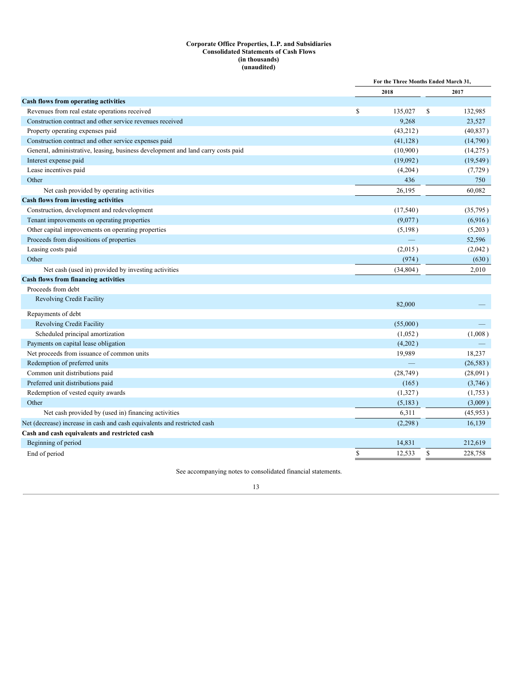#### **Corporate Office Properties, L.P. and Subsidiaries Consolidated Statements of Cash Flows (in thousands) (unaudited)**

<span id="page-14-0"></span>

|                                                                                  | For the Three Months Ended March 31, |    |           |  |
|----------------------------------------------------------------------------------|--------------------------------------|----|-----------|--|
|                                                                                  | 2018                                 |    | 2017      |  |
| Cash flows from operating activities                                             |                                      |    |           |  |
| Revenues from real estate operations received                                    | \$<br>135,027                        | S  | 132,985   |  |
| Construction contract and other service revenues received                        | 9,268                                |    | 23,527    |  |
| Property operating expenses paid                                                 | (43,212)                             |    | (40, 837) |  |
| Construction contract and other service expenses paid                            | (41, 128)                            |    | (14,790)  |  |
| General, administrative, leasing, business development and land carry costs paid | (10,900)                             |    | (14,275)  |  |
| Interest expense paid                                                            | (19,092)                             |    | (19, 549) |  |
| Lease incentives paid                                                            | (4,204)                              |    | (7, 729)  |  |
| Other                                                                            | 436                                  |    | 750       |  |
| Net cash provided by operating activities                                        | 26,195                               |    | 60,082    |  |
| Cash flows from investing activities                                             |                                      |    |           |  |
| Construction, development and redevelopment                                      | (17, 540)                            |    | (35,795)  |  |
| Tenant improvements on operating properties                                      | (9,077)                              |    | (6,916)   |  |
| Other capital improvements on operating properties                               | (5,198)                              |    | (5,203)   |  |
| Proceeds from dispositions of properties                                         |                                      |    | 52,596    |  |
| Leasing costs paid                                                               | (2,015)                              |    | (2,042)   |  |
| Other                                                                            | (974)                                |    | (630)     |  |
| Net cash (used in) provided by investing activities                              | (34, 804)                            |    | 2,010     |  |
| <b>Cash flows from financing activities</b>                                      |                                      |    |           |  |
| Proceeds from debt                                                               |                                      |    |           |  |
| <b>Revolving Credit Facility</b>                                                 | 82,000                               |    |           |  |
| Repayments of debt                                                               |                                      |    |           |  |
| <b>Revolving Credit Facility</b>                                                 | (55,000)                             |    |           |  |
| Scheduled principal amortization                                                 | (1,052)                              |    | (1,008)   |  |
| Payments on capital lease obligation                                             | (4,202)                              |    |           |  |
| Net proceeds from issuance of common units                                       | 19,989                               |    | 18,237    |  |
| Redemption of preferred units                                                    |                                      |    | (26, 583) |  |
| Common unit distributions paid                                                   | (28, 749)                            |    | (28,091)  |  |
| Preferred unit distributions paid                                                | (165)                                |    | (3,746)   |  |
| Redemption of vested equity awards                                               | (1,327)                              |    | (1,753)   |  |
| Other                                                                            | (5,183)                              |    | (3,009)   |  |
| Net cash provided by (used in) financing activities                              | 6,311                                |    | (45, 953) |  |
| Net (decrease) increase in cash and cash equivalents and restricted cash         | (2,298)                              |    | 16,139    |  |
| Cash and cash equivalents and restricted cash                                    |                                      |    |           |  |
| Beginning of period                                                              | 14,831                               |    | 212,619   |  |
| End of period                                                                    | \$<br>12,533                         | \$ | 228,758   |  |
|                                                                                  |                                      |    |           |  |

See accompanying notes to consolidated financial statements.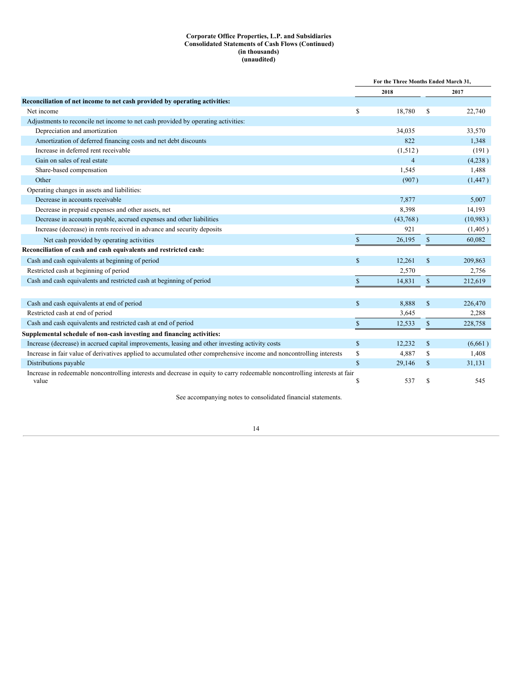### **Corporate Office Properties, L.P. and Subsidiaries Consolidated Statements of Cash Flows (Continued) (in thousands) (unaudited)**

|                                                                                                                                      | For the Three Months Ended March 31, |                |               |          |
|--------------------------------------------------------------------------------------------------------------------------------------|--------------------------------------|----------------|---------------|----------|
|                                                                                                                                      |                                      | 2018           |               | 2017     |
| Reconciliation of net income to net cash provided by operating activities:                                                           |                                      |                |               |          |
| Net income                                                                                                                           | <sup>\$</sup>                        | 18,780         | S             | 22,740   |
| Adjustments to reconcile net income to net cash provided by operating activities:                                                    |                                      |                |               |          |
| Depreciation and amortization                                                                                                        |                                      | 34,035         |               | 33,570   |
| Amortization of deferred financing costs and net debt discounts                                                                      |                                      | 822            |               | 1,348    |
| Increase in deferred rent receivable                                                                                                 |                                      | (1,512)        |               | (191)    |
| Gain on sales of real estate                                                                                                         |                                      | $\overline{4}$ |               | (4,238)  |
| Share-based compensation                                                                                                             |                                      | 1,545          |               | 1,488    |
| Other                                                                                                                                |                                      | (907)          |               | (1, 447) |
| Operating changes in assets and liabilities:                                                                                         |                                      |                |               |          |
| Decrease in accounts receivable                                                                                                      |                                      | 7,877          |               | 5,007    |
| Decrease in prepaid expenses and other assets, net                                                                                   |                                      | 8,398          |               | 14,193   |
| Decrease in accounts payable, accrued expenses and other liabilities                                                                 |                                      | (43,768)       |               | (10,983) |
| Increase (decrease) in rents received in advance and security deposits                                                               |                                      | 921            |               | (1,405)  |
| Net cash provided by operating activities                                                                                            | $\mathbb{S}$                         | 26,195         | $\mathbb{S}$  | 60,082   |
| Reconciliation of cash and cash equivalents and restricted cash:                                                                     |                                      |                |               |          |
| Cash and cash equivalents at beginning of period                                                                                     | \$                                   | 12,261         | <sup>\$</sup> | 209,863  |
| Restricted cash at beginning of period                                                                                               |                                      | 2,570          |               | 2,756    |
| Cash and cash equivalents and restricted cash at beginning of period                                                                 | \$                                   | 14,831         | $\mathbb{S}$  | 212,619  |
|                                                                                                                                      |                                      |                |               |          |
| Cash and cash equivalents at end of period                                                                                           | \$                                   | 8,888          | $\mathbf S$   | 226,470  |
| Restricted cash at end of period                                                                                                     |                                      | 3,645          |               | 2,288    |
| Cash and cash equivalents and restricted cash at end of period                                                                       | \$                                   | 12,533         | $\mathbb{S}$  | 228,758  |
| Supplemental schedule of non-cash investing and financing activities:                                                                |                                      |                |               |          |
| Increase (decrease) in accrued capital improvements, leasing and other investing activity costs                                      | \$                                   | 12,232         | $\mathbb{S}$  | (6,661)  |
| Increase in fair value of derivatives applied to accumulated other comprehensive income and noncontrolling interests                 | \$                                   | 4,887          | \$            | 1,408    |
| Distributions payable                                                                                                                | $\mathbb{S}$                         | 29,146         | \$            | 31,131   |
| Increase in redeemable noncontrolling interests and decrease in equity to carry redeemable noncontrolling interests at fair<br>value | \$                                   | 537            | S             | 545      |

See accompanying notes to consolidated financial statements.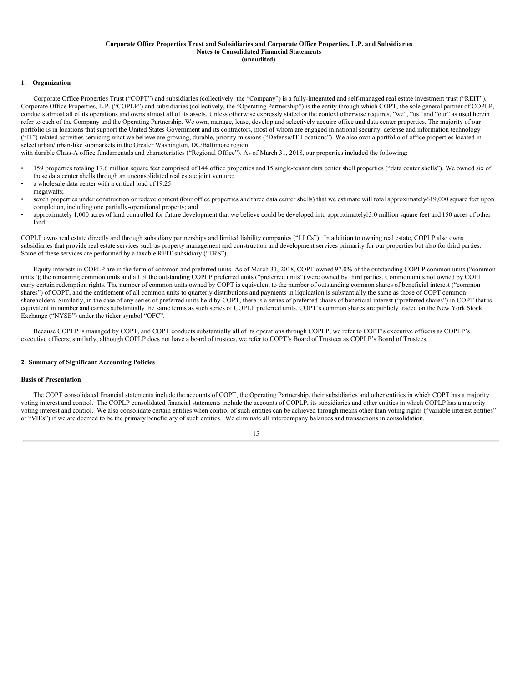#### **Corporate Office Properties Trust and Subsidiaries and Corporate Office Properties, L.P. and Subsidiaries Notes to Consolidated Financial Statements (unaudited)**

### <span id="page-16-0"></span>**1. Organization**

Corporate Office Properties Trust ("COPT") and subsidiaries (collectively, the "Company") is a fully-integrated and self-managed real estate investment trust ("REIT"). Corporate Office Properties, L.P. ("COPLP") and subsidiaries (collectively, the "Operating Partnership") is the entity through which COPT, the sole general partner of COPLP, conducts almost all of its operations and owns almost all of its assets. Unless otherwise expressly stated or the context otherwise requires, "we", "us" and "our" as used herein refer to each of the Company and the Operating Partnership. We own, manage, lease, develop and selectively acquire office and data center properties. The majority of our portfolio is in locations that support the United States Government and its contractors, most of whom are engaged in national security, defense and information technology ("IT") related activities servicing what we believe are growing, durable, priority missions ("Defense/IT Locations"). We also own a portfolio of office properties located in select urban/urban-like submarkets in the Greater Washington, DC/Baltimore region

with durable Class-A office fundamentals and characteristics ("Regional Office"). As of March 31, 2018, our properties included the following:

- 159 properties totaling 17.6 million square feet comprised of 144 office properties and 15 single-tenant data center shell properties ("data center shells"). We owned six of these data center shells through an unconsolidated real estate joint venture;
- a wholesale data center with a critical load of 19.25 megawatts;
- seven properties under construction or redevelopment (four office properties and three data center shells) that we estimate will total approximately619,000 square feet upon completion, including one partially-operational property; and
- approximately 1,000 acres of land controlled for future development that we believe could be developed into approximately13.0 million square feet and 150 acres of other land.

COPLP owns real estate directly and through subsidiary partnerships and limited liability companies ("LLCs"). In addition to owning real estate, COPLP also owns subsidiaries that provide real estate services such as property management and construction and development services primarily for our properties but also for third parties. Some of these services are performed by a taxable REIT subsidiary ("TRS").

Equity interests in COPLP are in the form of common and preferred units. As of March 31, 2018, COPT owned 97.0% of the outstanding COPLP common units ("common units"); the remaining common units and all of the outstanding COPLP preferred units ("preferred units") were owned by third parties. Common units not owned by COPT carry certain redemption rights. The number of common units owned by COPT is equivalent to the number of outstanding common shares of beneficial interest ("common shares") of COPT, and the entitlement of all common units to quarterly distributions and payments in liquidation is substantially the same as those of COPT common shareholders. Similarly, in the case of any series of preferred units held by COPT, there is a series of preferred shares of beneficial interest ("preferred shares") in COPT that is equivalent in number and carries substantially the same terms as such series of COPLP preferred units. COPT's common shares are publicly traded on the New York Stock Exchange ("NYSE") under the ticker symbol "OFC".

Because COPLP is managed by COPT, and COPT conducts substantially all of its operations through COPLP, we refer to COPT's executive officers as COPLP's executive officers; similarly, although COPLP does not have a board of trustees, we refer to COPT's Board of Trustees as COPLP's Board of Trustees.

### **2. Summary of Significant Accounting Policies**

#### **Basis of Presentation**

The COPT consolidated financial statements include the accounts of COPT, the Operating Partnership, their subsidiaries and other entities in which COPT has a majority voting interest and control. The COPLP consolidated financial statements include the accounts of COPLP, its subsidiaries and other entities in which COPLP has a majority voting interest and control. We also consolidate certain entities when control of such entities can be achieved through means other than voting rights ("variable interest entities" or "VIEs") if we are deemed to be the primary beneficiary of such entities. We eliminate all intercompany balances and transactions in consolidation.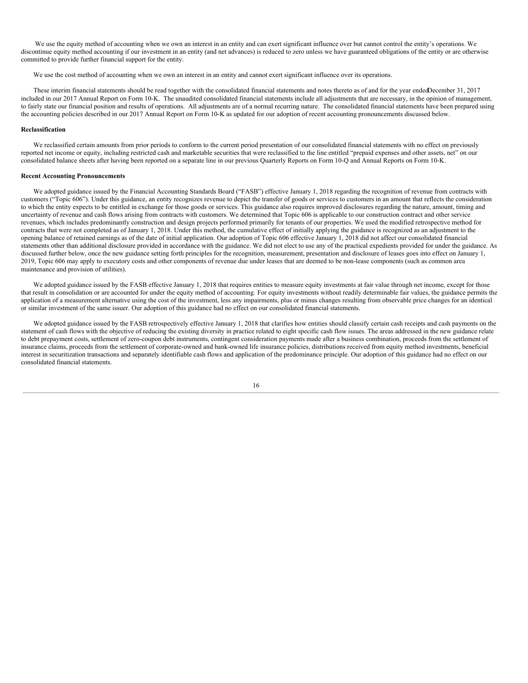We use the equity method of accounting when we own an interest in an entity and can exert significant influence over but cannot control the entity's operations. We discontinue equity method accounting if our investment in an entity (and net advances) is reduced to zero unless we have guaranteed obligations of the entity or are otherwise committed to provide further financial support for the entity.

We use the cost method of accounting when we own an interest in an entity and cannot exert significant influence over its operations.

These interim financial statements should be read together with the consolidated financial statements and notes thereto as of and for the year endedDecember 31, 2017 included in our 2017 Annual Report on Form 10-K. The unaudited consolidated financial statements include all adjustments that are necessary, in the opinion of management, to fairly state our financial position and results of operations. All adjustments are of a normal recurring nature. The consolidated financial statements have been prepared using the accounting policies described in our 2017 Annual Report on Form 10-K as updated for our adoption of recent accounting pronouncements discussed below.

## **Reclassification**

We reclassified certain amounts from prior periods to conform to the current period presentation of our consolidated financial statements with no effect on previously reported net income or equity, including restricted cash and marketable securities that were reclassified to the line entitled "prepaid expenses and other assets, net" on our consolidated balance sheets after having been reported on a separate line in our previous Quarterly Reports on Form 10-Q and Annual Reports on Form 10-K.

## **Recent Accounting Pronouncements**

We adopted guidance issued by the Financial Accounting Standards Board ("FASB") effective January 1, 2018 regarding the recognition of revenue from contracts with customers ("Topic 606"). Under this guidance, an entity recognizes revenue to depict the transfer of goods or services to customers in an amount that reflects the consideration to which the entity expects to be entitled in exchange for those goods or services. This guidance also requires improved disclosures regarding the nature, amount, timing and uncertainty of revenue and cash flows arising from contracts with customers. We determined that Topic 606 is applicable to our construction contract and other service revenues, which includes predominantly construction and design projects performed primarily for tenants of our properties. We used the modified retrospective method for contracts that were not completed as of January 1, 2018. Under this method, the cumulative effect of initially applying the guidance is recognized as an adjustment to the opening balance of retained earnings as of the date of initial application. Our adoption of Topic 606 effective January 1, 2018 did not affect our consolidated financial statements other than additional disclosure provided in accordance with the guidance. We did not elect to use any of the practical expedients provided for under the guidance. As discussed further below, once the new guidance setting forth principles for the recognition, measurement, presentation and disclosure of leases goes into effect on January 1, 2019, Topic 606 may apply to executory costs and other components of revenue due under leases that are deemed to be non-lease components (such as common area maintenance and provision of utilities).

We adopted guidance issued by the FASB effective January 1, 2018 that requires entities to measure equity investments at fair value through net income, except for those that result in consolidation or are accounted for under the equity method of accounting. For equity investments without readily determinable fair values, the guidance permits the application of a measurement alternative using the cost of the investment, less any impairments, plus or minus changes resulting from observable price changes for an identical or similar investment of the same issuer. Our adoption of this guidance had no effect on our consolidated financial statements.

We adopted guidance issued by the FASB retrospectively effective January 1, 2018 that clarifies how entities should classify certain cash receipts and cash payments on the statement of cash flows with the objective of reducing the existing diversity in practice related to eight specific cash flow issues. The areas addressed in the new guidance relate to debt prepayment costs, settlement of zero-coupon debt instruments, contingent consideration payments made after a business combination, proceeds from the settlement of insurance claims, proceeds from the settlement of corporate-owned and bank-owned life insurance policies, distributions received from equity method investments, beneficial interest in securitization transactions and separately identifiable cash flows and application of the predominance principle. Our adoption of this guidance had no effect on our consolidated financial statements.

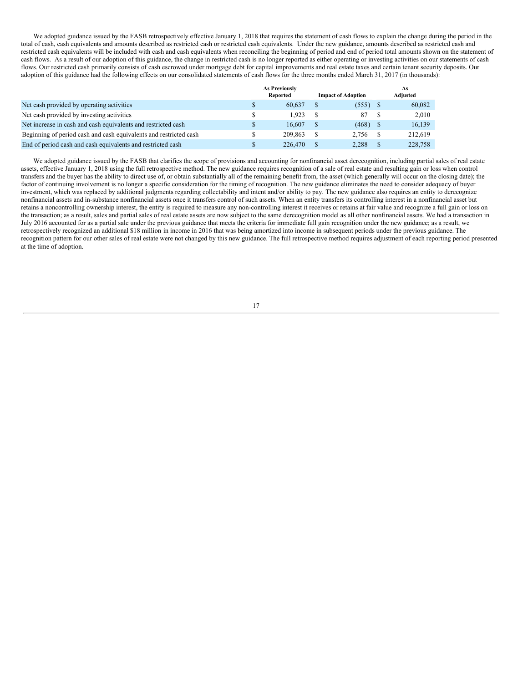We adopted guidance issued by the FASB retrospectively effective January 1, 2018 that requires the statement of cash flows to explain the change during the period in the total of cash, cash equivalents and amounts described as restricted cash or restricted cash equivalents. Under the new guidance, amounts described as restricted cash and restricted cash equivalents will be included with cash and cash equivalents when reconciling the beginning of period and end of period total amounts shown on the statement of cash flows. As a result of our adoption of this guidance, the change in restricted cash is no longer reported as either operating or investing activities on our statements of cash flows. Our restricted cash primarily consists of cash escrowed under mortgage debt for capital improvements and real estate taxes and certain tenant security deposits. Our adoption of this guidance had the following effects on our consolidated statements of cash flows for the three months ended March 31, 2017 (in thousands):

|                                                                   | <b>As Previously</b> |          |  |                           | As       |
|-------------------------------------------------------------------|----------------------|----------|--|---------------------------|----------|
|                                                                   |                      | Reported |  | <b>Impact of Adoption</b> | Adjusted |
| Net cash provided by operating activities                         | Ъ.                   | 60.637   |  | (555)                     | 60.082   |
| Net cash provided by investing activities                         |                      | 1.923    |  | 87                        | 2.010    |
| Net increase in cash and cash equivalents and restricted cash     |                      | 16.607   |  | (468)                     | 16,139   |
| Beginning of period cash and cash equivalents and restricted cash |                      | 209,863  |  | 2.756                     | 212.619  |
| End of period cash and cash equivalents and restricted cash       |                      | 226,470  |  | 2.288                     | 228,758  |

We adopted guidance issued by the FASB that clarifies the scope of provisions and accounting for nonfinancial asset derecognition, including partial sales of real estate assets, effective January 1, 2018 using the full retrospective method. The new guidance requires recognition of a sale of real estate and resulting gain or loss when control transfers and the buyer has the ability to direct use of, or obtain substantially all of the remaining benefit from, the asset (which generally will occur on the closing date); the factor of continuing involvement is no longer a specific consideration for the timing of recognition. The new guidance eliminates the need to consider adequacy of buyer investment, which was replaced by additional judgments regarding collectability and intent and/or ability to pay. The new guidance also requires an entity to derecognize nonfinancial assets and in-substance nonfinancial assets once it transfers control of such assets. When an entity transfers its controlling interest in a nonfinancial asset but retains a noncontrolling ownership interest, the entity is required to measure any non-controlling interest it receives or retains at fair value and recognize a full gain or loss on the transaction; as a result, sales and partial sales of real estate assets are now subject to the same derecognition model as all other nonfinancial assets. We had a transaction in July 2016 accounted for as a partial sale under the previous guidance that meets the criteria for immediate full gain recognition under the new guidance; as a result, we retrospectively recognized an additional \$18 million in income in 2016 that was being amortized into income in subsequent periods under the previous guidance. The recognition pattern for our other sales of real estate were not changed by this new guidance. The full retrospective method requires adjustment of each reporting period presented at the time of adoption.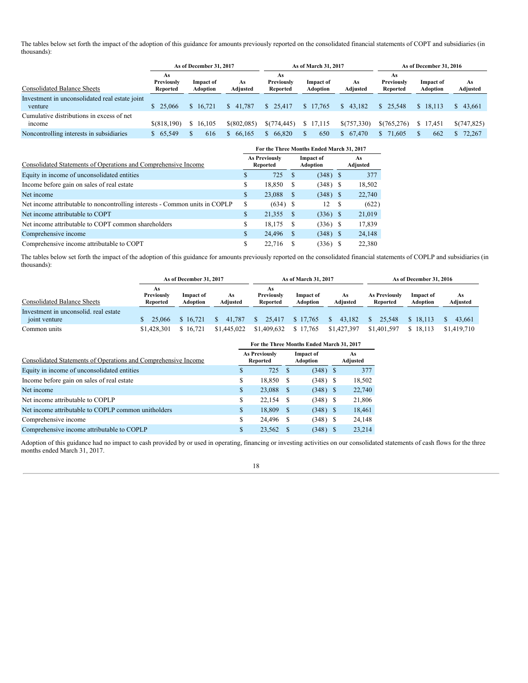The tables below set forth the impact of the adoption of this guidance for amounts previously reported on the consolidated financial statements of COPT and subsidiaries (in thousands):

|                                                           |                              | As of December 31, 2017 |                |                              | As of March 31, 2017  |                |                              | As of December 31, 2016 |                |  |  |
|-----------------------------------------------------------|------------------------------|-------------------------|----------------|------------------------------|-----------------------|----------------|------------------------------|-------------------------|----------------|--|--|
| <b>Consolidated Balance Sheets</b>                        | As<br>Previously<br>Reported | Impact of<br>Adoption   | As<br>Adiusted | As<br>Previously<br>Reported | Impact of<br>Adoption | As<br>Adjusted | As<br>Previously<br>Reported | Impact of<br>Adoption   | As<br>Adjusted |  |  |
| Investment in unconsolidated real estate joint<br>venture | \$25.066                     | \$16.721                | 41.787<br>S.   | 25.417<br>S.                 | \$17.765              | 43.182         | 25.548                       | \$18.113                | \$43,661       |  |  |
| Cumulative distributions in excess of net<br>mcome        | $$$ $(818, 190)$             | 16.105<br>S.            | $$$ (802,085)  | \$(774,445)                  | 17.115                | \$(757,330)    | \$(765,276)                  | \$17.451                | \$(747,825)    |  |  |
| Noncontrolling interests in subsidiaries                  | \$65,549                     | 616                     | 66.165         | 66,820                       | 650                   | 67,470         | 71,605<br>S.                 | 662                     | \$72,267       |  |  |

|                                                                             | For the Three Months Ended March 31, 2017 |                                  |      |                              |     |                |  |
|-----------------------------------------------------------------------------|-------------------------------------------|----------------------------------|------|------------------------------|-----|----------------|--|
| Consolidated Statements of Operations and Comprehensive Income              |                                           | <b>As Previously</b><br>Reported |      | Impact of<br><b>Adoption</b> |     | As<br>Adjusted |  |
| Equity in income of unconsolidated entities                                 | S                                         | 725                              | - S  | $(348)$ \$                   |     | 377            |  |
| Income before gain on sales of real estate                                  | \$                                        | 18,850                           | S    | $(348)$ \$                   |     | 18,502         |  |
| Net income                                                                  | \$                                        | 23,088                           | - \$ | $(348)$ \$                   |     | 22,740         |  |
| Net income attributable to noncontrolling interests - Common units in COPLP | \$                                        | $(634)$ \$                       |      | 12                           | - S | (622)          |  |
| Net income attributable to COPT                                             | \$                                        | 21,355                           | - \$ | $(336)$ \$                   |     | 21,019         |  |
| Net income attributable to COPT common shareholders                         | \$                                        | 18,175                           | - S  | $(336)$ \$                   |     | 17,839         |  |
| Comprehensive income                                                        | \$                                        | 24.496                           | - \$ | $(348)$ \$                   |     | 24,148         |  |
| Comprehensive income attributable to COPT                                   | S                                         | 22.716                           |      | $(336)$ \$                   |     | 22,380         |  |

The tables below set forth the impact of the adoption of this guidance for amounts previously reported on the consolidated financial statements of COPLP and subsidiaries (in thousands):

|                                                        |                              | As of December 31, 2017 |                | As of March 31, 2017         |                       |                        | As of December 31, 2016          |                              |                |  |
|--------------------------------------------------------|------------------------------|-------------------------|----------------|------------------------------|-----------------------|------------------------|----------------------------------|------------------------------|----------------|--|
| <b>Consolidated Balance Sheets</b>                     | As<br>Previously<br>Reported | Impact of<br>Adoption   | As<br>Adiusted | As<br>Previously<br>Reported | Impact of<br>Adoption | As<br>Adiusted         | <b>As Previously</b><br>Reported | Impact of<br><b>Adoption</b> | As<br>Adjusted |  |
| Investment in unconsolid, real estate<br>joint venture | 25.066                       | \$16.721                | 41.787         | 25.417<br>S.                 | \$17,765              | 43.182<br><sup>S</sup> | 25.548                           | \$18.113                     | 43.661         |  |
| Common units                                           | \$1,428,301                  | \$16.721                | \$1,445,022    | \$1,409,632                  | \$17,765              | \$1,427,397            | \$1,401,597                      | \$18.113                     | \$1.419.710    |  |

|                                                                | For the Three Months Ended March 31, 2017 |        |      |                              |                |        |  |
|----------------------------------------------------------------|-------------------------------------------|--------|------|------------------------------|----------------|--------|--|
| Consolidated Statements of Operations and Comprehensive Income | <b>As Previously</b><br><b>Reported</b>   |        |      | Impact of<br><b>Adoption</b> | As<br>Adjusted |        |  |
| Equity in income of unconsolidated entities                    | \$                                        | 725    | - \$ | $(348)$ \$                   |                | 377    |  |
| Income before gain on sales of real estate                     | \$                                        | 18,850 | - S  | $(348)$ \$                   |                | 18,502 |  |
| Net income                                                     | \$                                        | 23,088 | - \$ | $(348)$ \$                   |                | 22,740 |  |
| Net income attributable to COPLP                               | \$                                        | 22.154 | - S  | $(348)$ \$                   |                | 21,806 |  |
| Net income attributable to COPLP common unitholders            | \$                                        | 18,809 | - \$ | $(348)$ \$                   |                | 18,461 |  |
| Comprehensive income                                           | \$                                        | 24.496 | - \$ | $(348)$ \$                   |                | 24,148 |  |
| Comprehensive income attributable to COPLP                     | \$                                        | 23.562 |      | $(348)$ \$                   |                | 23.214 |  |

Adoption of this guidance had no impact to cash provided by or used in operating, financing or investing activities on our consolidated statements of cash flows for the three months ended March 31, 2017.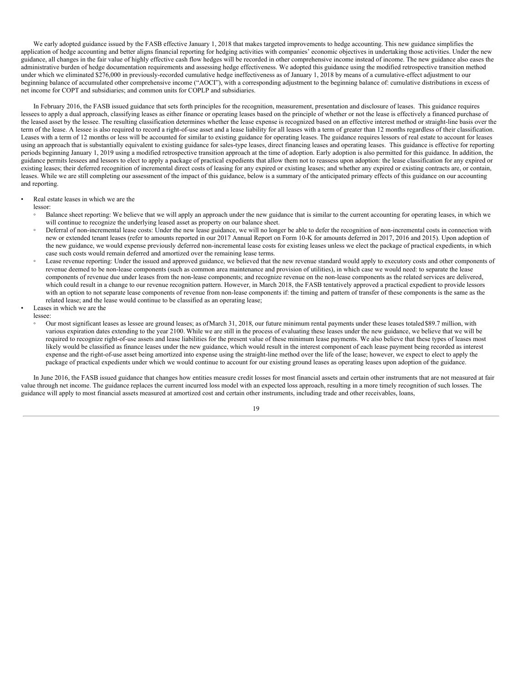We early adopted guidance issued by the FASB effective January 1, 2018 that makes targeted improvements to hedge accounting. This new guidance simplifies the application of hedge accounting and better aligns financial reporting for hedging activities with companies' economic objectives in undertaking those activities. Under the new guidance, all changes in the fair value of highly effective cash flow hedges will be recorded in other comprehensive income instead of income. The new guidance also eases the administrative burden of hedge documentation requirements and assessing hedge effectiveness. We adopted this guidance using the modified retrospective transition method under which we eliminated \$276,000 in previously-recorded cumulative hedge ineffectiveness as of January 1, 2018 by means of a cumulative-effect adjustment to our beginning balance of accumulated other comprehensive income ("AOCI"), with a corresponding adjustment to the beginning balance of: cumulative distributions in excess of net income for COPT and subsidiaries; and common units for COPLP and subsidiaries.

In February 2016, the FASB issued guidance that sets forth principles for the recognition, measurement, presentation and disclosure of leases. This guidance requires lessees to apply a dual approach, classifying leases as either finance or operating leases based on the principle of whether or not the lease is effectively a financed purchase of the leased asset by the lessee. The resulting classification determines whether the lease expense is recognized based on an effective interest method or straight-line basis over the term of the lease. A lessee is also required to record a right-of-use asset and a lease liability for all leases with a term of greater than 12 months regardless of their classification. Leases with a term of 12 months or less will be accounted for similar to existing guidance for operating leases. The guidance requires lessors of real estate to account for leases using an approach that is substantially equivalent to existing guidance for sales-type leases, direct financing leases and operating leases. This guidance is effective for reporting periods beginning January 1, 2019 using a modified retrospective transition approach at the time of adoption. Early adoption is also permitted for this guidance. In addition, the guidance permits lessees and lessors to elect to apply a package of practical expedients that allow them not to reassess upon adoption: the lease classification for any expired or existing leases; their deferred recognition of incremental direct costs of leasing for any expired or existing leases; and whether any expired or existing contracts are, or contain, leases. While we are still completing our assessment of the impact of this guidance, below is a summary of the anticipated primary effects of this guidance on our accounting and reporting.

- Real estate leases in which we are the
- lessor:
	- Balance sheet reporting: We believe that we will apply an approach under the new guidance that is similar to the current accounting for operating leases, in which we will continue to recognize the underlying leased asset as property on our balance sheet.
	- Deferral of non-incremental lease costs: Under the new lease guidance, we will no longer be able to defer the recognition of non-incremental costs in connection with new or extended tenant leases (refer to amounts reported in our 2017 Annual Report on Form 10-K for amounts deferred in 2017, 2016 and 2015). Upon adoption of the new guidance, we would expense previously deferred non-incremental lease costs for existing leases unless we elect the package of practical expedients, in which case such costs would remain deferred and amortized over the remaining lease terms.
	- Lease revenue reporting: Under the issued and approved guidance, we believed that the new revenue standard would apply to executory costs and other components of revenue deemed to be non-lease components (such as common area maintenance and provision of utilities), in which case we would need: to separate the lease components of revenue due under leases from the non-lease components; and recognize revenue on the non-lease components as the related services are delivered, which could result in a change to our revenue recognition pattern. However, in March 2018, the FASB tentatively approved a practical expedient to provide lessors with an option to not separate lease components of revenue from non-lease components if: the timing and pattern of transfer of these components is the same as the related lease; and the lease would continue to be classified as an operating lease;
- Leases in which we are the
	- lessee:
		- Our most significant leases as lessee are ground leases; as ofMarch 31, 2018, our future minimum rental payments under these leases totaled \$89.7 million, with various expiration dates extending to the year 2100. While we are still in the process of evaluating these leases under the new guidance, we believe that we will be required to recognize right-of-use assets and lease liabilities for the present value of these minimum lease payments. We also believe that these types of leases most likely would be classified as finance leases under the new guidance, which would result in the interest component of each lease payment being recorded as interest expense and the right-of-use asset being amortized into expense using the straight-line method over the life of the lease; however, we expect to elect to apply the package of practical expedients under which we would continue to account for our existing ground leases as operating leases upon adoption of the guidance.

In June 2016, the FASB issued guidance that changes how entities measure credit losses for most financial assets and certain other instruments that are not measured at fair value through net income. The guidance replaces the current incurred loss model with an expected loss approach, resulting in a more timely recognition of such losses. The guidance will apply to most financial assets measured at amortized cost and certain other instruments, including trade and other receivables, loans,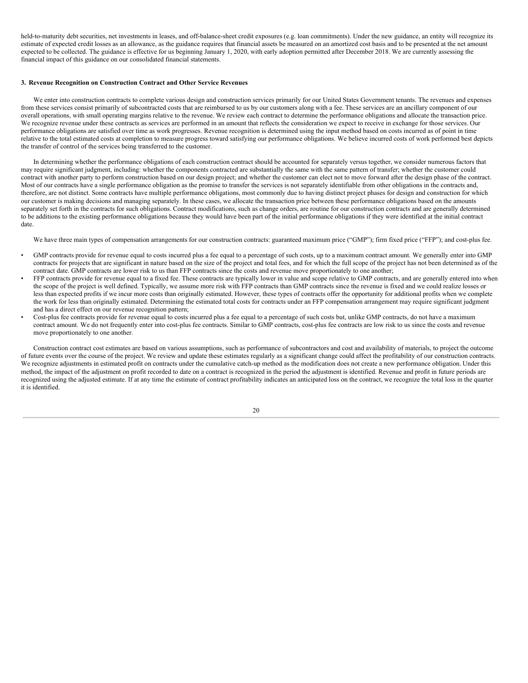held-to-maturity debt securities, net investments in leases, and off-balance-sheet credit exposures (e.g. loan commitments). Under the new guidance, an entity will recognize its estimate of expected credit losses as an allowance, as the guidance requires that financial assets be measured on an amortized cost basis and to be presented at the net amount expected to be collected. The guidance is effective for us beginning January 1, 2020, with early adoption permitted after December 2018. We are currently assessing the financial impact of this guidance on our consolidated financial statements.

#### **3. Revenue Recognition on Construction Contract and Other Service Revenues**

We enter into construction contracts to complete various design and construction services primarily for our United States Government tenants. The revenues and expenses from these services consist primarily of subcontracted costs that are reimbursed to us by our customers along with a fee. These services are an ancillary component of our overall operations, with small operating margins relative to the revenue. We review each contract to determine the performance obligations and allocate the transaction price. We recognize revenue under these contracts as services are performed in an amount that reflects the consideration we expect to receive in exchange for those services. Our performance obligations are satisfied over time as work progresses. Revenue recognition is determined using the input method based on costs incurred as of point in time relative to the total estimated costs at completion to measure progress toward satisfying our performance obligations. We believe incurred costs of work performed best depicts the transfer of control of the services being transferred to the customer.

In determining whether the performance obligations of each construction contract should be accounted for separately versus together, we consider numerous factors that may require significant judgment, including: whether the components contracted are substantially the same with the same pattern of transfer; whether the customer could contract with another party to perform construction based on our design project; and whether the customer can elect not to move forward after the design phase of the contract. Most of our contracts have a single performance obligation as the promise to transfer the services is not separately identifiable from other obligations in the contracts and, therefore, are not distinct. Some contracts have multiple performance obligations, most commonly due to having distinct project phases for design and construction for which our customer is making decisions and managing separately. In these cases, we allocate the transaction price between these performance obligations based on the amounts separately set forth in the contracts for such obligations. Contract modifications, such as change orders, are routine for our construction contracts and are generally determined to be additions to the existing performance obligations because they would have been part of the initial performance obligations if they were identified at the initial contract date.

We have three main types of compensation arrangements for our construction contracts: guaranteed maximum price ("GMP"); firm fixed price ("FFP"); and cost-plus fee.

- GMP contracts provide for revenue equal to costs incurred plus a fee equal to a percentage of such costs, up to a maximum contract amount. We generally enter into GMP contracts for projects that are significant in nature based on the size of the project and total fees, and for which the full scope of the project has not been determined as of the contract date. GMP contracts are lower risk to us than FFP contracts since the costs and revenue move proportionately to one another;
- FFP contracts provide for revenue equal to a fixed fee. These contracts are typically lower in value and scope relative to GMP contracts, and are generally entered into when the scope of the project is well defined. Typically, we assume more risk with FFP contracts than GMP contracts since the revenue is fixed and we could realize losses or less than expected profits if we incur more costs than originally estimated. However, these types of contracts offer the opportunity for additional profits when we complete the work for less than originally estimated. Determining the estimated total costs for contracts under an FFP compensation arrangement may require significant judgment and has a direct effect on our revenue recognition pattern;
- Cost-plus fee contracts provide for revenue equal to costs incurred plus a fee equal to a percentage of such costs but, unlike GMP contracts, do not have a maximum contract amount. We do not frequently enter into cost-plus fee contracts. Similar to GMP contracts, cost-plus fee contracts are low risk to us since the costs and revenue move proportionately to one another.

Construction contract cost estimates are based on various assumptions, such as performance of subcontractors and cost and availability of materials, to project the outcome of future events over the course of the project. We review and update these estimates regularly as a significant change could affect the profitability of our construction contracts. We recognize adjustments in estimated profit on contracts under the cumulative catch-up method as the modification does not create a new performance obligation. Under this method, the impact of the adjustment on profit recorded to date on a contract is recognized in the period the adjustment is identified. Revenue and profit in future periods are recognized using the adjusted estimate. If at any time the estimate of contract profitability indicates an anticipated loss on the contract, we recognize the total loss in the quarter it is identified.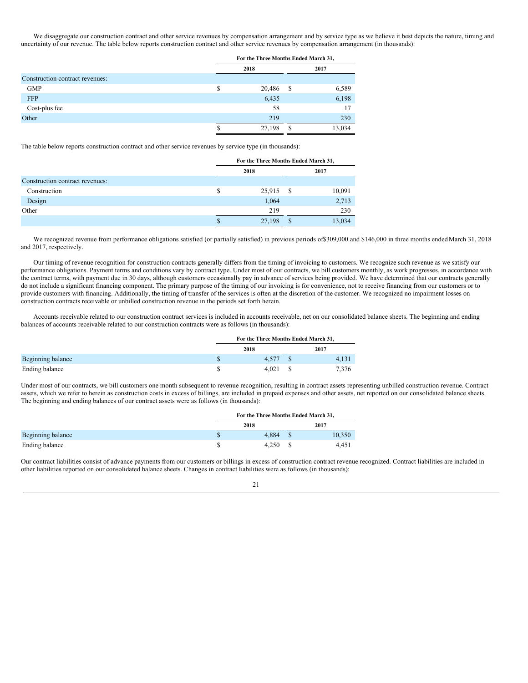We disaggregate our construction contract and other service revenues by compensation arrangement and by service type as we believe it best depicts the nature, timing and uncertainty of our revenue. The table below reports construction contract and other service revenues by compensation arrangement (in thousands):

|                                 | For the Three Months Ended March 31, |        |    |        |  |  |
|---------------------------------|--------------------------------------|--------|----|--------|--|--|
|                                 | 2018                                 |        |    | 2017   |  |  |
| Construction contract revenues: |                                      |        |    |        |  |  |
| <b>GMP</b>                      | S                                    | 20,486 | -S | 6,589  |  |  |
| <b>FFP</b>                      |                                      | 6,435  |    | 6,198  |  |  |
| Cost-plus fee                   |                                      | 58     |    | 17     |  |  |
| Other                           |                                      | 219    |    | 230    |  |  |
|                                 |                                      | 27,198 | S  | 13.034 |  |  |

The table below reports construction contract and other service revenues by service type (in thousands):

|                                 |    | For the Three Months Ended March 31, |     |        |  |  |  |
|---------------------------------|----|--------------------------------------|-----|--------|--|--|--|
|                                 |    | 2018                                 |     | 2017   |  |  |  |
| Construction contract revenues: |    |                                      |     |        |  |  |  |
| Construction                    | \$ | 25,915                               | - S | 10,091 |  |  |  |
| Design                          |    | 1,064                                |     | 2,713  |  |  |  |
| Other                           |    | 219                                  |     | 230    |  |  |  |
|                                 | S  | 27,198                               | S   | 13,034 |  |  |  |

We recognized revenue from performance obligations satisfied (or partially satisfied) in previous periods of \$309,000 and \$146,000 in three months ended March 31, 2018 and 2017, respectively.

Our timing of revenue recognition for construction contracts generally differs from the timing of invoicing to customers. We recognize such revenue as we satisfy our performance obligations. Payment terms and conditions vary by contract type. Under most of our contracts, we bill customers monthly, as work progresses, in accordance with the contract terms, with payment due in 30 days, although customers occasionally pay in advance of services being provided. We have determined that our contracts generally do not include a significant financing component. The primary purpose of the timing of our invoicing is for convenience, not to receive financing from our customers or to provide customers with financing. Additionally, the timing of transfer of the services is often at the discretion of the customer. We recognized no impairment losses on construction contracts receivable or unbilled construction revenue in the periods set forth herein.

Accounts receivable related to our construction contract services is included in accounts receivable, net on our consolidated balance sheets. The beginning and ending balances of accounts receivable related to our construction contracts were as follows (in thousands):

|                   | For the Three Months Ended March 31, |  |       |  |  |  |
|-------------------|--------------------------------------|--|-------|--|--|--|
|                   | 2018                                 |  | 2017  |  |  |  |
| Beginning balance | 4.577                                |  | 4.131 |  |  |  |
| Ending balance    | 4.021                                |  | 7.376 |  |  |  |

Under most of our contracts, we bill customers one month subsequent to revenue recognition, resulting in contract assets representing unbilled construction revenue. Contract assets, which we refer to herein as construction costs in excess of billings, are included in prepaid expenses and other assets, net reported on our consolidated balance sheets. The beginning and ending balances of our contract assets were as follows (in thousands):

|                   |   | For the Three Months Ended March 31, |  |        |  |  |  |  |
|-------------------|---|--------------------------------------|--|--------|--|--|--|--|
|                   |   | 2018                                 |  | 2017   |  |  |  |  |
| Beginning balance | S | 4.884                                |  | 10.350 |  |  |  |  |
| Ending balance    |   | $4.250$ \$                           |  | 4.451  |  |  |  |  |

Our contract liabilities consist of advance payments from our customers or billings in excess of construction contract revenue recognized. Contract liabilities are included in other liabilities reported on our consolidated balance sheets. Changes in contract liabilities were as follows (in thousands):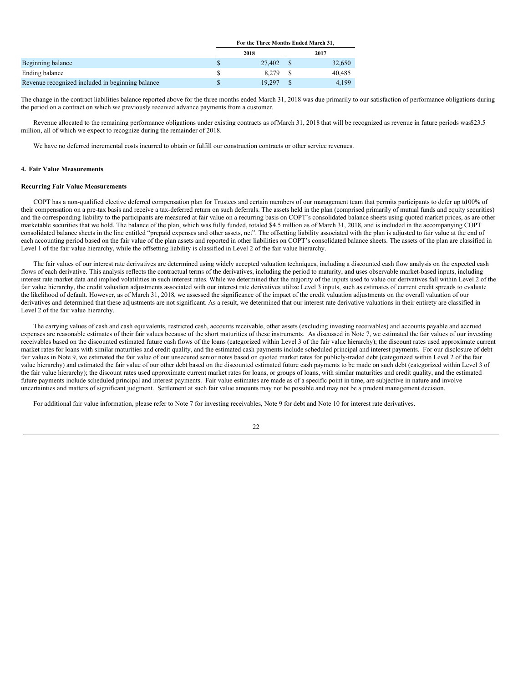**For the Three Months Ended March 31,**

|                                                  | 2018   | 2017   |
|--------------------------------------------------|--------|--------|
| Beginning balance                                | 27,402 | 32,650 |
| Ending balance                                   | 8.279  | 40.485 |
| Revenue recognized included in beginning balance | 19.297 | 4.199  |

The change in the contract liabilities balance reported above for the three months ended March 31, 2018 was due primarily to our satisfaction of performance obligations during the period on a contract on which we previously received advance payments from a customer.

Revenue allocated to the remaining performance obligations under existing contracts as of March 31, 2018 that will be recognized as revenue in future periods was\$23.5 million, all of which we expect to recognize during the remainder of 2018.

We have no deferred incremental costs incurred to obtain or fulfill our construction contracts or other service revenues.

## **4. Fair Value Measurements**

#### **Recurring Fair Value Measurements**

COPT has a non-qualified elective deferred compensation plan for Trustees and certain members of our management team that permits participants to defer up to100% of their compensation on a pre-tax basis and receive a tax-deferred return on such deferrals. The assets held in the plan (comprised primarily of mutual funds and equity securities) and the corresponding liability to the participants are measured at fair value on a recurring basis on COPT's consolidated balance sheets using quoted market prices, as are other marketable securities that we hold. The balance of the plan, which was fully funded, totaled \$4.5 million as of March 31, 2018, and is included in the accompanying COPT consolidated balance sheets in the line entitled "prepaid expenses and other assets, net". The offsetting liability associated with the plan is adjusted to fair value at the end of each accounting period based on the fair value of the plan assets and reported in other liabilities on COPT's consolidated balance sheets. The assets of the plan are classified in Level 1 of the fair value hierarchy, while the offsetting liability is classified in Level 2 of the fair value hierarchy.

The fair values of our interest rate derivatives are determined using widely accepted valuation techniques, including a discounted cash flow analysis on the expected cash flows of each derivative. This analysis reflects the contractual terms of the derivatives, including the period to maturity, and uses observable market-based inputs, including interest rate market data and implied volatilities in such interest rates. While we determined that the majority of the inputs used to value our derivatives fall within Level 2 of the fair value hierarchy, the credit valuation adjustments associated with our interest rate derivatives utilize Level 3 inputs, such as estimates of current credit spreads to evaluate the likelihood of default. However, as of March 31, 2018, we assessed the significance of the impact of the credit valuation adjustments on the overall valuation of our derivatives and determined that these adjustments are not significant. As a result, we determined that our interest rate derivative valuations in their entirety are classified in Level 2 of the fair value hierarchy.

The carrying values of cash and cash equivalents, restricted cash, accounts receivable, other assets (excluding investing receivables) and accounts payable and accrued expenses are reasonable estimates of their fair values because of the short maturities of these instruments. As discussed in Note 7, we estimated the fair values of our investing receivables based on the discounted estimated future cash flows of the loans (categorized within Level 3 of the fair value hierarchy); the discount rates used approximate current market rates for loans with similar maturities and credit quality, and the estimated cash payments include scheduled principal and interest payments. For our disclosure of debt fair values in Note 9, we estimated the fair value of our unsecured senior notes based on quoted market rates for publicly-traded debt (categorized within Level 2 of the fair value hierarchy) and estimated the fair value of our other debt based on the discounted estimated future cash payments to be made on such debt (categorized within Level 3 of the fair value hierarchy); the discount rates used approximate current market rates for loans, or groups of loans, with similar maturities and credit quality, and the estimated future payments include scheduled principal and interest payments. Fair value estimates are made as of a specific point in time, are subjective in nature and involve uncertainties and matters of significant judgment. Settlement at such fair value amounts may not be possible and may not be a prudent management decision.

For additional fair value information, please refer to Note 7 for investing receivables, Note 9 for debt and Note 10 for interest rate derivatives.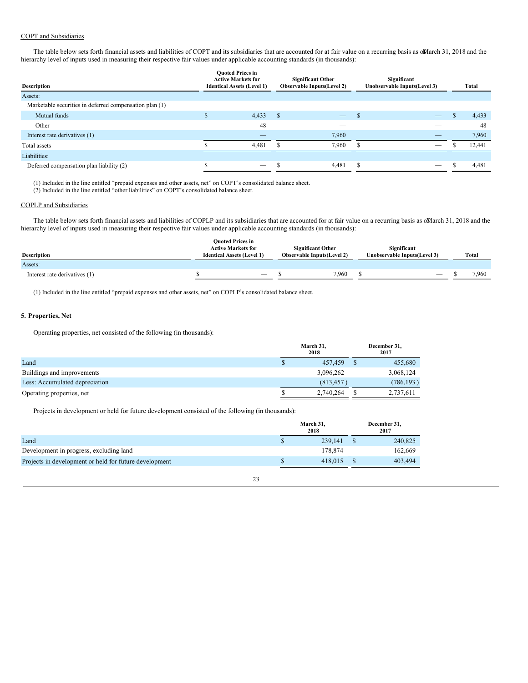### COPT and Subsidiaries

The table below sets forth financial assets and liabilities of COPT and its subsidiaries that are accounted for at fair value on a recurring basis as oMarch 31, 2018 and the hierarchy level of inputs used in measuring their respective fair values under applicable accounting standards (in thousands):

| Description                                             | <b>Ouoted Prices in</b><br><b>Active Markets for</b><br><b>Identical Assets (Level 1)</b> | <b>Significant Other</b><br><b>Observable Inputs(Level 2)</b> |                   | Significant<br>Unobservable Inputs(Level 3) |                          |  | Total  |  |  |
|---------------------------------------------------------|-------------------------------------------------------------------------------------------|---------------------------------------------------------------|-------------------|---------------------------------------------|--------------------------|--|--------|--|--|
| Assets:                                                 |                                                                                           |                                                               |                   |                                             |                          |  |        |  |  |
| Marketable securities in deferred compensation plan (1) |                                                                                           |                                                               |                   |                                             |                          |  |        |  |  |
| Mutual funds                                            | 4,433                                                                                     | - 35                                                          | $\qquad \qquad -$ |                                             | $\overline{\phantom{0}}$ |  | 4,433  |  |  |
| Other                                                   | 48                                                                                        |                                                               | __                |                                             | __                       |  | 48     |  |  |
| Interest rate derivatives (1)                           |                                                                                           |                                                               | 7,960             |                                             |                          |  | 7,960  |  |  |
| Total assets                                            | 4.481                                                                                     |                                                               | 7.960             |                                             |                          |  | 12,441 |  |  |
| Liabilities:                                            |                                                                                           |                                                               |                   |                                             |                          |  |        |  |  |
| Deferred compensation plan liability (2)                | $\overline{\phantom{a}}$                                                                  |                                                               | 4,481             |                                             |                          |  | 4,481  |  |  |
|                                                         |                                                                                           |                                                               |                   |                                             |                          |  |        |  |  |

(1) Included in the line entitled "prepaid expenses and other assets, net" on COPT's consolidated balance sheet.

(2) Included in the line entitled "other liabilities" on COPT's consolidated balance sheet.

# COPLP and Subsidiaries

The table below sets forth financial assets and liabilities of COPLP and its subsidiaries that are accounted for at fair value on a recurring basis as oMarch 31, 2018 and the hierarchy level of inputs used in measuring their respective fair values under applicable accounting standards (in thousands):

| <b>Description</b>            | <b>Ouoted Prices in</b><br><b>Active Markets for</b><br><b>Identical Assets (Level 1)</b> |  | <b>Significant Other</b><br><b>Observable Inputs(Level 2)</b> |       | Significant<br>Unobservable Inputs(Level 3) |                          |  | Total |  |  |
|-------------------------------|-------------------------------------------------------------------------------------------|--|---------------------------------------------------------------|-------|---------------------------------------------|--------------------------|--|-------|--|--|
| Assets:                       |                                                                                           |  |                                                               |       |                                             |                          |  |       |  |  |
| Interest rate derivatives (1) |                                                                                           |  |                                                               | 7.960 |                                             | $\overline{\phantom{a}}$ |  | 7.960 |  |  |

(1) Included in the line entitled "prepaid expenses and other assets, net" on COPLP's consolidated balance sheet.

## **5. Properties, Net**

Operating properties, net consisted of the following (in thousands):

|                                |  | December 31,<br>2017 |            |
|--------------------------------|--|----------------------|------------|
| Land                           |  | 457,459              | 455,680    |
| Buildings and improvements     |  | 3,096,262            | 3,068,124  |
| Less: Accumulated depreciation |  | (813, 457)           | (786, 193) |
| Operating properties, net      |  | 2,740,264            | 2,737,611  |

Projects in development or held for future development consisted of the following (in thousands):

|                                                        | March 31,<br>2018 | December 31,<br>2017 |
|--------------------------------------------------------|-------------------|----------------------|
| Land                                                   | 239.141           | 240,825              |
| Development in progress, excluding land                | 178.874           | 162,669              |
| Projects in development or held for future development | 418.015           | 403.494              |
|                                                        |                   |                      |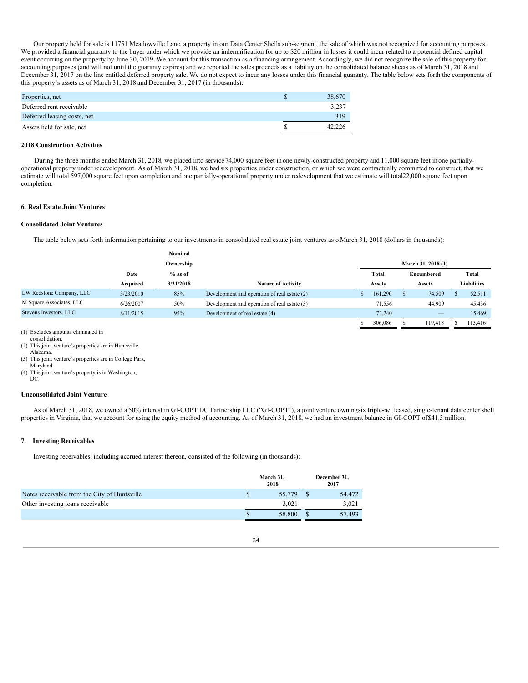Our property held for sale is 11751 Meadowville Lane, a property in our Data Center Shells sub-segment, the sale of which was not recognized for accounting purposes. We provided a financial guaranty to the buyer under which we provide an indemnification for up to \$20 million in losses it could incur related to a potential defined capital event occurring on the property by June 30, 2019. We account for this transaction as a financing arrangement. Accordingly, we did not recognize the sale of this property for accounting purposes (and will not until the guaranty expires) and we reported the sales proceeds as a liability on the consolidated balance sheets as of March 31, 2018 and December 31, 2017 on the line entitled deferred property sale. We do not expect to incur any losses under this financial guaranty. The table below sets forth the components of this property's assets as of March 31, 2018 and December 31, 2017 (in thousands):

| Properties, net             | S | 38,670 |
|-----------------------------|---|--------|
| Deferred rent receivable    |   | 3.237  |
| Deferred leasing costs, net |   | 319    |
| Assets held for sale, net   |   | 42.226 |

### **2018 Construction Activities**

During the three months ended March 31, 2018, we placed into service 74,000 square feet in one newly-constructed property and 11,000 square feet in one partiallyoperational property under redevelopment. As of March 31, 2018, we had six properties under construction, or which we were contractually committed to construct, that we estimate will total 597,000 square feet upon completion andone partially-operational property under redevelopment that we estimate will total22,000 square feet upon completion.

## **6. Real Estate Joint Ventures**

### **Consolidated Joint Ventures**

The table below sets forth information pertaining to our investments in consolidated real estate joint ventures as ofMarch 31, 2018 (dollars in thousands):

|                          |           | Nominal   |                                              |               |                    |                          |                    |         |  |
|--------------------------|-----------|-----------|----------------------------------------------|---------------|--------------------|--------------------------|--------------------|---------|--|
|                          |           | Ownership |                                              |               | March 31, 2018 (1) |                          |                    |         |  |
| $%$ as of<br>Date        |           |           | <b>Total</b>                                 | Encumbered    |                    | <b>Total</b>             |                    |         |  |
|                          | Acquired  | 3/31/2018 | <b>Nature of Activity</b>                    | <b>Assets</b> |                    | <b>Assets</b>            | <b>Liabilities</b> |         |  |
| LW Redstone Company, LLC | 3/23/2010 | 85%       | Development and operation of real estate (2) |               | 161,290            | 74,509                   |                    | 52,511  |  |
| M Square Associates, LLC | 6/26/2007 | 50%       | Development and operation of real estate (3) |               | 71.556             | 44,909                   |                    | 45,436  |  |
| Stevens Investors, LLC   | 8/11/2015 | 95%       | Development of real estate (4)               |               | 73,240             | $\overline{\phantom{m}}$ |                    | 15,469  |  |
|                          |           |           |                                              |               | 306,086            | 119.418                  |                    | 113,416 |  |

(1) Excludes amounts eliminated in

- consolidation.
- (2) This joint venture's properties are in Huntsville,
- Alabama. (3) This joint venture's properties are in College Park,
- Maryland.
- (4) This joint venture's property is in Washington, DC.

#### **Unconsolidated Joint Venture**

As of March 31, 2018, we owned a 50% interest in GI-COPT DC Partnership LLC ("GI-COPT"), a joint venture owningsix triple-net leased, single-tenant data center shell properties in Virginia, that we account for using the equity method of accounting. As of March 31, 2018, we had an investment balance in GI-COPT of\$41.3 million.

### **7. Investing Receivables**

Investing receivables, including accrued interest thereon, consisted of the following (in thousands):

|                                              | March 31,<br>2018 |        |  |        |
|----------------------------------------------|-------------------|--------|--|--------|
| Notes receivable from the City of Huntsville |                   | 55,779 |  | 54.472 |
| Other investing loans receivable             |                   | 3.021  |  | 3.021  |
|                                              |                   | 58,800 |  | 57.493 |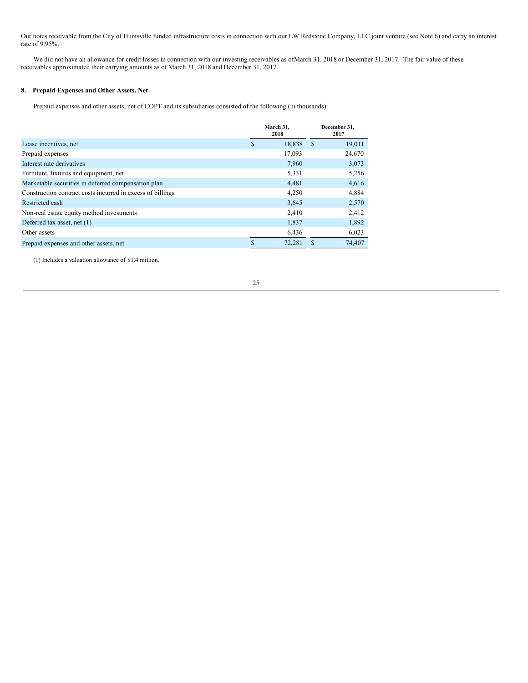Our notes receivable from the City of Huntsville funded infrastructure costs in connection with our LW Redstone Company, LLC joint venture (see Note 6) and carry an interest rate of 9.95%.

We did not have an allowance for credit losses in connection with our investing receivables as of March 31, 2018 or December 31, 2017. The fair value of these receivables approximated their carrying amounts as of March 31, 2018 and December 31, 2017.

# **8. Prepaid Expenses and Other Assets, Net**

Prepaid expenses and other assets, net of COPT and its subsidiaries consisted of the following (in thousands):

|                                                            |                    | March 31.<br>2018 |    | December 31,<br>2017 |
|------------------------------------------------------------|--------------------|-------------------|----|----------------------|
| Lease incentives, net                                      | \$                 | 18,838            | -S | 19,011               |
| Prepaid expenses                                           |                    | 17,093            |    | 24,670               |
| Interest rate derivatives                                  |                    | 7.960             |    | 3,073                |
| Furniture, fixtures and equipment, net                     |                    | 5,331             |    | 5,256                |
| Marketable securities in deferred compensation plan        |                    | 4,481             |    | 4,616                |
| Construction contract costs incurred in excess of billings |                    | 4,250             |    | 4,884                |
| Restricted cash                                            |                    | 3,645             |    | 2,570                |
| Non-real estate equity method investments                  |                    | 2.410             |    | 2,412                |
| Deferred tax asset, net $(1)$                              |                    | 1,837             |    | 1,892                |
| Other assets                                               |                    | 6,436             |    | 6,023                |
| Prepaid expenses and other assets, net                     | $\mathbf{\hat{S}}$ | 72.281            |    | 74,407               |

(1) Includes a valuation allowance of \$1.4 million.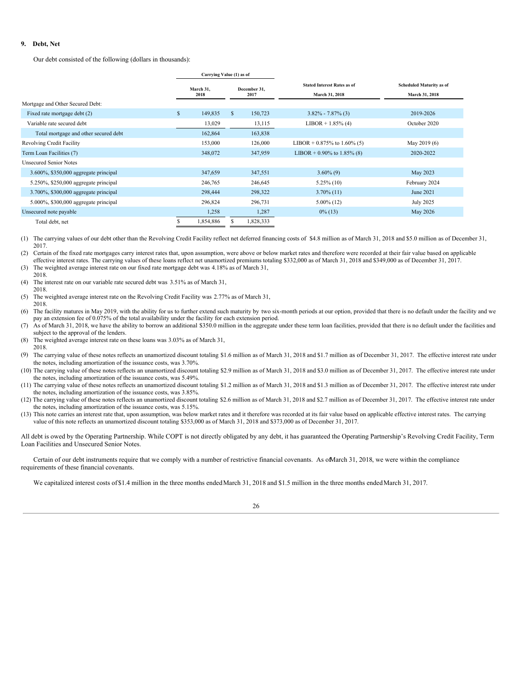#### **9. Debt, Net**

Our debt consisted of the following (dollars in thousands):

|                                           |                   | Carrying Value (1) as of |                      |           |                                                      |                                                   |
|-------------------------------------------|-------------------|--------------------------|----------------------|-----------|------------------------------------------------------|---------------------------------------------------|
|                                           | March 31,<br>2018 |                          | December 31,<br>2017 |           | <b>Stated Interest Rates as of</b><br>March 31, 2018 | <b>Scheduled Maturity as of</b><br>March 31, 2018 |
| Mortgage and Other Secured Debt:          |                   |                          |                      |           |                                                      |                                                   |
| Fixed rate mortgage debt (2)              | $\mathbb{S}$      | 149,835                  | $\mathbb{S}$         | 150,723   | $3.82\% - 7.87\%$ (3)                                | 2019-2026                                         |
| Variable rate secured debt                |                   | 13,029                   |                      | 13,115    | $LIBOR + 1.85\% (4)$                                 | October 2020                                      |
| Total mortgage and other secured debt     |                   | 162,864                  |                      | 163,838   |                                                      |                                                   |
| Revolving Credit Facility                 |                   | 153,000                  |                      | 126,000   | LIBOR + 0.875% to 1.60% (5)                          | May 2019 (6)                                      |
| Term Loan Facilities (7)                  |                   | 348,072                  |                      | 347,959   | LIBOR + 0.90% to 1.85% (8)                           | 2020-2022                                         |
| <b>Unsecured Senior Notes</b>             |                   |                          |                      |           |                                                      |                                                   |
| $3.600\%$ , \$350,000 aggregate principal |                   | 347,659                  |                      | 347,551   | $3.60\%$ (9)                                         | May 2023                                          |
| 5.250%, \$250,000 aggregate principal     |                   | 246,765                  |                      | 246,645   | $5.25\%$ (10)                                        | February 2024                                     |
| $3.700\%$ , \$300,000 aggregate principal |                   | 298,444                  |                      | 298,322   | $3.70\%$ (11)                                        | June 2021                                         |
| 5.000%, \$300,000 aggregate principal     |                   | 296,824                  |                      | 296,731   | $5.00\%$ (12)                                        | July 2025                                         |
| Unsecured note payable                    |                   | 1,258                    |                      | 1,287     | $0\%$ (13)                                           | May 2026                                          |
| Total debt, net                           |                   | 1,854,886                |                      | 1,828,333 |                                                      |                                                   |

(1) The carrying values of our debt other than the Revolving Credit Facility reflect net deferred financing costs of \$4.8 million as of March 31, 2018 and \$5.0 million as of December 31, 2017.

(2) Certain of the fixed rate mortgages carry interest rates that, upon assumption, were above or below market rates and therefore were recorded at their fair value based on applicable effective interest rates. The carrying values of these loans reflect net unamortized premiums totaling \$332,000 as of March 31, 2018 and \$349,000 as of December 31, 2017. (3) The weighted average interest rate on our fixed rate mortgage debt was 4.18% as of March 31,

- 2018.
- (4) The interest rate on our variable rate secured debt was 3.51% as of March 31,
- 2018. (5) The weighted average interest rate on the Revolving Credit Facility was 2.77% as of March 31, 2018.
- (6) The facility matures in May 2019, with the ability for us to further extend such maturity by two six-month periods at our option, provided that there is no default under the facility and we pay an extension fee of 0.075% of the total availability under the facility for each extension period.
- (7) As of March 31, 2018, we have the ability to borrow an additional \$350.0 million in the aggregate under these term loan facilities, provided that there is no default under the facilities and subject to the approval of the lenders.
- (8) The weighted average interest rate on these loans was 3.03% as of March 31, 2018.
- (9) The carrying value of these notes reflects an unamortized discount totaling \$1.6 million as of March 31, 2018 and \$1.7 million as of December 31, 2017. The effective interest rate under the notes, including amortization of the issuance costs, was 3.70%.
- (10) The carrying value of these notes reflects an unamortized discount totaling \$2.9 million as of March 31, 2018 and \$3.0 million as of December 31, 2017. The effective interest rate under the notes, including amortization of the issuance costs, was 5.49%.
- (11) The carrying value of these notes reflects an unamortized discount totaling \$1.2 million as of March 31, 2018 and \$1.3 million as of December 31, 2017. The effective interest rate under the notes, including amortization of the issuance costs, was 3.85%.
- (12) The carrying value of these notes reflects an unamortized discount totaling \$2.6 million as of March 31, 2018 and \$2.7 million as of December 31, 2017. The effective interest rate under the notes, including amortization of the issuance costs, was 5.15%.
- (13) This note carries an interest rate that, upon assumption, was below market rates and it therefore was recorded at its fair value based on applicable effective interest rates. The carrying value of this note reflects an unamortized discount totaling \$353,000 as of March 31, 2018 and \$373,000 as of December 31, 2017.

All debt is owed by the Operating Partnership. While COPT is not directly obligated by any debt, it has guaranteed the Operating Partnership's Revolving Credit Facility, Term Loan Facilities and Unsecured Senior Notes.

Certain of our debt instruments require that we comply with a number of restrictive financial covenants. As ofMarch 31, 2018, we were within the compliance requirements of these financial covenants.

We capitalized interest costs of \$1.4 million in the three months endedMarch 31, 2018 and \$1.5 million in the three months endedMarch 31, 2017.

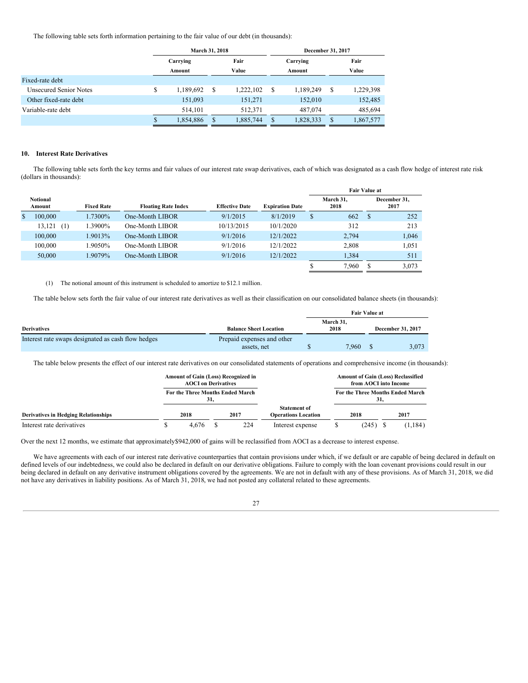The following table sets forth information pertaining to the fair value of our debt (in thousands):

|                               |    | <b>March 31, 2018</b> |    |               |    | December 31, 2017  |               |               |  |  |
|-------------------------------|----|-----------------------|----|---------------|----|--------------------|---------------|---------------|--|--|
|                               |    | Carrying<br>Amount    |    | Fair<br>Value |    | Carrying<br>Amount |               | Fair<br>Value |  |  |
| Fixed-rate debt               |    |                       |    |               |    |                    |               |               |  |  |
| <b>Unsecured Senior Notes</b> | S  | 1.189.692             | S  | 1,222,102     | S  | 1,189,249          | <sup>\$</sup> | 1,229,398     |  |  |
| Other fixed-rate debt         |    | 151,093               |    | 151,271       |    | 152,010            |               | 152,485       |  |  |
| Variable-rate debt            |    | 514,101               |    | 512.371       |    | 487,074            |               | 485,694       |  |  |
|                               | \$ | 1,854,886             | \$ | 1,885,744     | \$ | 1,828,333          | \$            | 1,867,577     |  |  |

#### **10. Interest Rate Derivatives**

The following table sets forth the key terms and fair values of our interest rate swap derivatives, each of which was designated as a cash flow hedge of interest rate risk (dollars in thousands):

|   |                           |                   |                            |                       |                        |   | <b>Fair Value at</b> |   |                      |
|---|---------------------------|-------------------|----------------------------|-----------------------|------------------------|---|----------------------|---|----------------------|
|   | <b>Notional</b><br>Amount | <b>Fixed Rate</b> | <b>Floating Rate Index</b> | <b>Effective Date</b> | <b>Expiration Date</b> |   | March 31.<br>2018    |   | December 31.<br>2017 |
| S | 100,000                   | 1.7300%           | One-Month LIBOR            | 9/1/2015              | 8/1/2019               | S | 662                  | S | 252                  |
|   | 13,121<br>(1)             | .3900%            | One-Month LIBOR            | 10/13/2015            | 10/1/2020              |   | 312                  |   | 213                  |
|   | 100,000                   | 1.9013%           | One-Month LIBOR            | 9/1/2016              | 12/1/2022              |   | 2,794                |   | 1,046                |
|   | 100,000                   | .9050%            | One-Month LIBOR            | 9/1/2016              | 12/1/2022              |   | 2,808                |   | 1,051                |
|   | 50,000                    | 1.9079%           | One-Month LIBOR            | 9/1/2016              | 12/1/2022              |   | 1,384                |   | 511                  |
|   |                           |                   |                            |                       |                        | S | 7,960                |   | 3.073                |

(1) The notional amount of this instrument is scheduled to amortize to\$12.1 million.

The table below sets forth the fair value of our interest rate derivatives as well as their classification on our consolidated balance sheets (in thousands):

|                                                    |                                           | <b>Fair Value at</b> |                   |
|----------------------------------------------------|-------------------------------------------|----------------------|-------------------|
| <b>Derivatives</b>                                 | <b>Balance Sheet Location</b>             | March 31,<br>2018    | December 31, 2017 |
| Interest rate swaps designated as cash flow hedges | Prepaid expenses and other<br>assets, net | 7.960                | 3.073             |
|                                                    |                                           |                      |                   |

The table below presents the effect of our interest rate derivatives on our consolidated statements of operations and comprehensive income (in thousands):

|                                             | <b>AOCI</b> on Derivatives |     | <b>Amount of Gain (Loss) Recognized in</b> |                                                   | from AOCI into Income |     | <b>Amount of Gain (Loss) Reclassified</b> |
|---------------------------------------------|----------------------------|-----|--------------------------------------------|---------------------------------------------------|-----------------------|-----|-------------------------------------------|
|                                             |                            | 31. | For the Three Months Ended March           |                                                   |                       | 31. | For the Three Months Ended March          |
| <b>Derivatives in Hedging Relationships</b> | 2018                       |     | 2017                                       | <b>Statement of</b><br><b>Operations Location</b> | 2018                  |     | 2017                                      |
| Interest rate derivatives                   | 4.676                      |     | 224                                        | Interest expense                                  | $(245)$ \$            |     | (1, 184)                                  |

Over the next 12 months, we estimate that approximately\$942,000 of gains will be reclassified from AOCI as a decrease to interest expense.

We have agreements with each of our interest rate derivative counterparties that contain provisions under which, if we default or are capable of being declared in default on defined levels of our indebtedness, we could also be declared in default on our derivative obligations. Failure to comply with the loan covenant provisions could result in our being declared in default on any derivative instrument obligations covered by the agreements. We are not in default with any of these provisions. As of March 31, 2018, we did not have any derivatives in liability positions. As of March 31, 2018, we had not posted any collateral related to these agreements.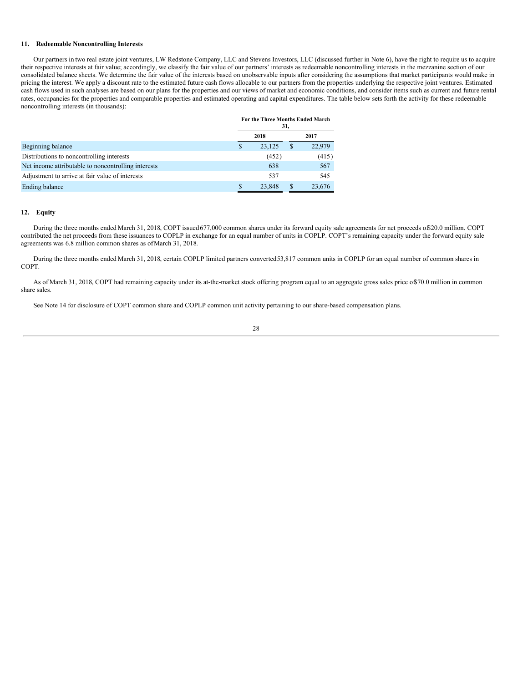#### **11. Redeemable Noncontrolling Interests**

Our partners in two real estate joint ventures, LW Redstone Company, LLC and Stevens Investors, LLC (discussed further in Note 6), have the right to require us to acquire their respective interests at fair value; accordingly, we classify the fair value of our partners' interests as redeemable noncontrolling interests in the mezzanine section of our consolidated balance sheets. We determine the fair value of the interests based on unobservable inputs after considering the assumptions that market participants would make in pricing the interest. We apply a discount rate to the estimated future cash flows allocable to our partners from the properties underlying the respective joint ventures. Estimated cash flows used in such analyses are based on our plans for the properties and our views of market and economic conditions, and consider items such as current and future rental rates, occupancies for the properties and comparable properties and estimated operating and capital expenditures. The table below sets forth the activity for these redeemable noncontrolling interests (in thousands):

|                                                     |   | For the Three Months Ended March | 31, |        |  |
|-----------------------------------------------------|---|----------------------------------|-----|--------|--|
|                                                     |   | 2018                             |     | 2017   |  |
| Beginning balance                                   | S | 23,125                           | S   | 22,979 |  |
| Distributions to noncontrolling interests           |   | (452)                            |     | (415)  |  |
| Net income attributable to noncontrolling interests |   | 638                              |     | 567    |  |
| Adjustment to arrive at fair value of interests     |   | 537                              |     | 545    |  |
| Ending balance                                      | S | 23.676<br>23.848<br>S            |     |        |  |

## **12. Equity**

During the three months ended March 31, 2018, COPT issued 677,000 common shares under its forward equity sale agreements for net proceeds of\$20.0 million. COPT contributed the net proceeds from these issuances to COPLP in exchange for an equal number of units in COPLP. COPT's remaining capacity under the forward equity sale agreements was 6.8 million common shares as ofMarch 31, 2018.

During the three months ended March 31, 2018, certain COPLP limited partners converted53,817 common units in COPLP for an equal number of common shares in COPT.

As of March 31, 2018, COPT had remaining capacity under its at-the-market stock offering program equal to an aggregate gross sales price of 70.0 million in common share sales.

See Note 14 for disclosure of COPT common share and COPLP common unit activity pertaining to our share-based compensation plans.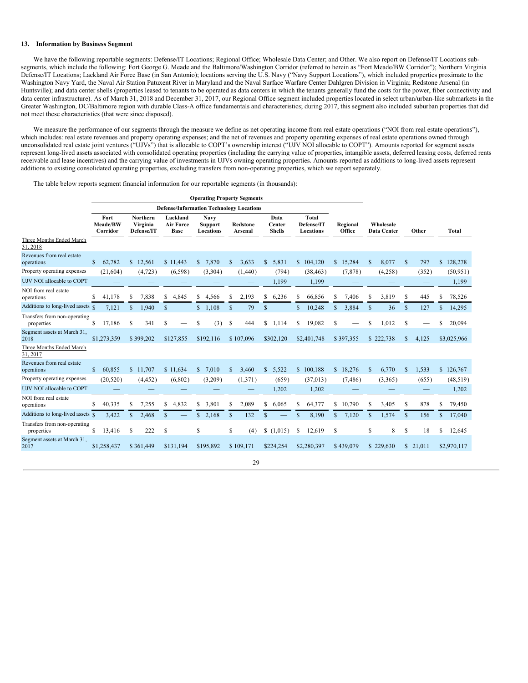#### **13. Information by Business Segment**

We have the following reportable segments: Defense/IT Locations; Regional Office; Wholesale Data Center; and Other. We also report on Defense/IT Locations subsegments, which include the following: Fort George G. Meade and the Baltimore/Washington Corridor (referred to herein as "Fort Meade/BW Corridor"); Northern Virginia Defense/IT Locations; Lackland Air Force Base (in San Antonio); locations serving the U.S. Navy ("Navy Support Locations"), which included properties proximate to the Washington Navy Yard, the Naval Air Station Patuxent River in Maryland and the Naval Surface Warfare Center Dahlgren Division in Virginia; Redstone Arsenal (in Huntsville); and data center shells (properties leased to tenants to be operated as data centers in which the tenants generally fund the costs for the power, fiber connectivity and data center infrastructure). As of March 31, 2018 and December 31, 2017, our Regional Office segment included properties located in select urban/urban-like submarkets in the Greater Washington, DC/Baltimore region with durable Class-A office fundamentals and characteristics; during 2017, this segment also included suburban properties that did not meet these characteristics (that were since disposed).

We measure the performance of our segments through the measure we define as net operating income from real estate operations ("NOI from real estate operations"), which includes: real estate revenues and property operating expenses; and the net of revenues and property operating expenses of real estate operations owned through unconsolidated real estate joint ventures ("UJVs") that is allocable to COPT's ownership interest ("UJV NOI allocable to COPT"). Amounts reported for segment assets represent long-lived assets associated with consolidated operating properties (including the carrying value of properties, intangible assets, deferred leasing costs, deferred rents receivable and lease incentives) and the carrying value of investments in UJVs owning operating properties. Amounts reported as additions to long-lived assets represent additions to existing consolidated operating properties, excluding transfers from non-operating properties, which we report separately.

The table below reports segment financial information for our reportable segments (in thousands):

|                                            |              |                              |              |                                    |              |                                             |              |                                            |              | <b>Operating Property Segments</b>              |    |                                 |    |                                         |               |                    |               |                                 |               |          |     |             |
|--------------------------------------------|--------------|------------------------------|--------------|------------------------------------|--------------|---------------------------------------------|--------------|--------------------------------------------|--------------|-------------------------------------------------|----|---------------------------------|----|-----------------------------------------|---------------|--------------------|---------------|---------------------------------|---------------|----------|-----|-------------|
|                                            |              |                              |              |                                    |              |                                             |              |                                            |              | <b>Defense/Information Technology Locations</b> |    |                                 |    |                                         |               |                    |               |                                 |               |          |     |             |
|                                            |              | Fort<br>Meade/BW<br>Corridor |              | Northern<br>Virginia<br>Defense/IT |              | Lackland<br><b>Air Force</b><br><b>Base</b> |              | Navy<br><b>Support</b><br><b>Locations</b> |              | Redstone<br><b>Arsenal</b>                      |    | Data<br>Center<br><b>Shells</b> |    | <b>Total</b><br>Defense/IT<br>Locations |               | Regional<br>Office |               | Wholesale<br><b>Data Center</b> |               | Other    |     | Total       |
| Three Months Ended March<br>31, 2018       |              |                              |              |                                    |              |                                             |              |                                            |              |                                                 |    |                                 |    |                                         |               |                    |               |                                 |               |          |     |             |
| Revenues from real estate<br>operations    | $\mathbb{S}$ | 62,782                       |              | \$12,561                           |              | \$11,443                                    | $\mathbb{S}$ | 7,870                                      | S            | 3,633                                           | \$ | 5,831                           |    | \$104,120                               |               | \$15,284           | <sup>\$</sup> | 8,077                           | <sup>S</sup>  | 797      | \$  | 128,278     |
| Property operating expenses                |              | (21,604)                     |              | (4,723)                            |              | (6,598)                                     |              | (3,304)                                    |              | (1,440)                                         |    | (794)                           |    | (38, 463)                               |               | (7, 878)           |               | (4,258)                         |               | (352)    |     | (50, 951)   |
| UJV NOI allocable to COPT                  |              |                              |              |                                    |              |                                             |              |                                            |              |                                                 |    | 1,199                           |    | 1,199                                   |               |                    |               |                                 |               |          |     | 1,199       |
| NOI from real estate<br>operations         | S            | 41,178                       | S            | 7,838                              | \$.          | 4,845                                       | S            | 4,566                                      |              | 2,193                                           | S  | 6,236                           | S  | 66,856                                  |               | 7,406              |               | 3,819                           |               | 445      | S   | 78,526      |
| Additions to long-lived assets §           |              | 7,121                        | $\mathbb{S}$ | 1,940                              | $\mathbb{S}$ |                                             | $\mathbb{S}$ | 1,108                                      | $\mathbf S$  | 79                                              | \$ |                                 | S  | 10,248                                  | $\mathcal{S}$ | 3,884              | $\mathbb{S}$  | 36                              | $\mathbb{S}$  | 127      | \$  | 14,295      |
| Transfers from non-operating<br>properties | S            | 17.186                       | S            | 341                                | \$           |                                             |              | (3)                                        | S            | 444                                             | \$ | 1.114                           | S  | 19.082                                  | S             |                    |               | 1.012                           | <sup>\$</sup> |          | S   | 20,094      |
| Segment assets at March 31,<br>2018        |              | \$1,273,359                  |              | \$399,202                          |              | \$127,855                                   |              | \$192,116                                  |              | \$107,096                                       |    | \$302,120                       |    | \$2,401,748                             |               | \$397,355          |               | \$222,738                       | \$.           | 4,125    |     | \$3,025,966 |
| Three Months Ended March<br>31, 2017       |              |                              |              |                                    |              |                                             |              |                                            |              |                                                 |    |                                 |    |                                         |               |                    |               |                                 |               |          |     |             |
| Revenues from real estate<br>operations    | $\mathbb{S}$ | 60,855                       |              | \$11,707                           |              | \$11,634                                    | $\mathbb{S}$ | 7,010                                      | S            | 3,460                                           | \$ | 5,522                           | \$ | 100,188                                 |               | \$18,276           | <sup>S</sup>  | 6,770                           | \$            | 1,533    | \$  | 126,767     |
| Property operating expenses                |              | (20, 520)                    |              | (4, 452)                           |              | (6,802)                                     |              | (3,209)                                    |              | (1,371)                                         |    | (659)                           |    | (37,013)                                |               | (7, 486)           |               | (3,365)                         |               | (655)    |     | (48,519)    |
| UJV NOI allocable to COPT                  |              |                              |              |                                    |              |                                             |              |                                            |              |                                                 |    | 1,202                           |    | 1,202                                   |               |                    |               |                                 |               |          |     | 1,202       |
| NOI from real estate<br>operations         | S            | 40,335                       | S            | 7,255                              | \$.          | 4,832                                       | \$           | 3,801                                      |              | 2,089                                           | S. | 6,065                           | S  | 64,377                                  | \$            | 10,790             |               | 3,405                           |               | 878      | S   | 79,450      |
| Additions to long-lived assets §           |              | 3,422                        | \$.          | 2,468                              | \$           |                                             | \$           | 2,168                                      | <sup>S</sup> | 132                                             | \$ |                                 |    | 8,190                                   | \$            | 7,120              |               | 1,574                           | <sup>\$</sup> | 156      | \$. | 17,040      |
| Transfers from non-operating<br>properties | \$           | 13,416                       | \$           | 222                                | \$           |                                             |              |                                            | \$           | (4)                                             |    | \$(1,015)                       | \$ | 12,619                                  | \$            |                    | S             | 8                               | \$            | 18       | S   | 12,645      |
| Segment assets at March 31,<br>2017        |              | \$1,258,437                  |              | \$361,449                          |              | \$131,194                                   |              | \$195,892                                  |              | \$109,171                                       |    | \$224,254                       |    | \$2,280,397                             |               | \$439,079          |               | \$229,630                       |               | \$21,011 |     | \$2,970,117 |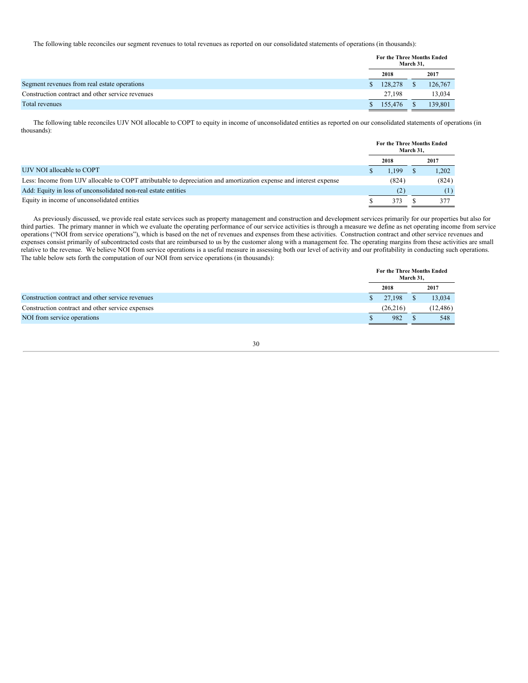The following table reconciles our segment revenues to total revenues as reported on our consolidated statements of operations (in thousands):

|                                                  | For the Three Months Ended | March 31. |         |
|--------------------------------------------------|----------------------------|-----------|---------|
|                                                  | 2018                       |           | 2017    |
| Segment revenues from real estate operations     | 128,278                    |           | 126,767 |
| Construction contract and other service revenues | 27.198                     |           | 13.034  |
| Total revenues                                   | 155,476                    |           | 139.801 |

The following table reconciles UJV NOI allocable to COPT to equity in income of unconsolidated entities as reported on our consolidated statements of operations (in thousands):

|                                                                                                                    | <b>For the Three Months Ended</b> | March 31. |       |
|--------------------------------------------------------------------------------------------------------------------|-----------------------------------|-----------|-------|
|                                                                                                                    | 2018                              |           | 2017  |
| UJV NOI allocable to COPT                                                                                          | 1.199                             |           | 1.202 |
| Less: Income from UJV allocable to COPT attributable to depreciation and amortization expense and interest expense | (824)                             |           | (824) |
| Add: Equity in loss of unconsolidated non-real estate entities                                                     | (2)                               |           | (1)   |
| Equity in income of unconsolidated entities                                                                        | 373                               |           | 377   |

As previously discussed, we provide real estate services such as property management and construction and development services primarily for our properties but also for third parties. The primary manner in which we evaluate the operating performance of our service activities is through a measure we define as net operating income from service operations ("NOI from service operations"), which is based on the net of revenues and expenses from these activities. Construction contract and other service revenues and expenses consist primarily of subcontracted costs that are reimbursed to us by the customer along with a management fee. The operating margins from these activities are small relative to the revenue. We believe NOI from service operations is a useful measure in assessing both our level of activity and our profitability in conducting such operations. The table below sets forth the computation of our NOI from service operations (in thousands):

|                                                  |    | For the Three Months Ended | March 31. |           |
|--------------------------------------------------|----|----------------------------|-----------|-----------|
|                                                  |    | 2018                       |           | 2017      |
| Construction contract and other service revenues | S. | 27,198                     |           | 13,034    |
| Construction contract and other service expenses |    | (26.216)                   |           | (12, 486) |
| NOI from service operations                      |    | 982                        |           | 548       |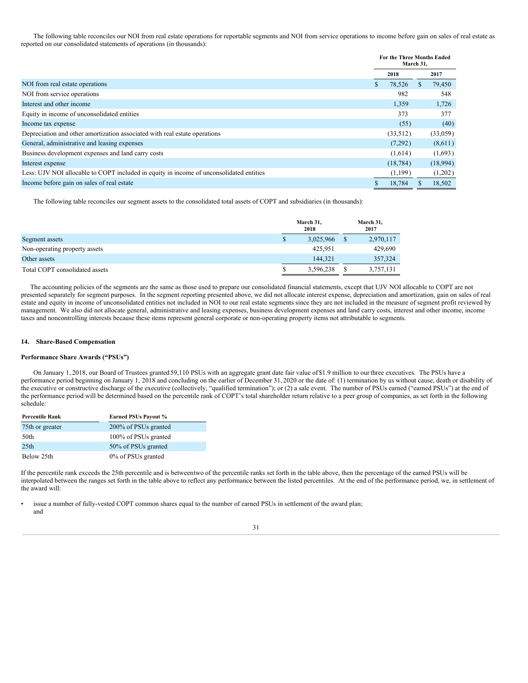The following table reconciles our NOI from real estate operations for reportable segments and NOI from service operations to income before gain on sales of real estate as reported on our consolidated statements of operations (in thousands):

|                                                                                         | <b>For the Three Months Ended</b><br>March 31, |           |   |          |
|-----------------------------------------------------------------------------------------|------------------------------------------------|-----------|---|----------|
|                                                                                         |                                                | 2018      |   | 2017     |
| NOI from real estate operations                                                         | S                                              | 78,526    | S | 79,450   |
| NOI from service operations                                                             |                                                | 982       |   | 548      |
| Interest and other income                                                               |                                                | 1,359     |   | 1,726    |
| Equity in income of unconsolidated entities                                             |                                                | 373       |   | 377      |
| Income tax expense                                                                      |                                                | (55)      |   | (40)     |
| Depreciation and other amortization associated with real estate operations              |                                                | (33, 512) |   | (33,059) |
| General, administrative and leasing expenses                                            |                                                | (7,292)   |   | (8,611)  |
| Business development expenses and land carry costs                                      |                                                | (1,614)   |   | (1,693)  |
| Interest expense                                                                        |                                                | (18, 784) |   | (18,994) |
| Less: UJV NOI allocable to COPT included in equity in income of unconsolidated entities |                                                | (1,199)   |   | (1,202)  |
| Income before gain on sales of real estate                                              |                                                | 18.784    |   | 18.502   |

The following table reconciles our segment assets to the consolidated total assets of COPT and subsidiaries (in thousands):

|                                | March 31,<br>2018 | March 31,<br>2017 |
|--------------------------------|-------------------|-------------------|
| Segment assets                 | \$<br>3,025,966   | 2,970,117         |
| Non-operating property assets  | 425.951           | 429,690           |
| Other assets                   | 144,321           | 357,324           |
| Total COPT consolidated assets | 3,596,238         | 3,757,131         |

The accounting policies of the segments are the same as those used to prepare our consolidated financial statements, except that UJV NOI allocable to COPT are not presented separately for segment purposes. In the segment reporting presented above, we did not allocate interest expense, depreciation and amortization, gain on sales of real estate and equity in income of unconsolidated entities not included in NOI to our real estate segments since they are not included in the measure of segment profit reviewed by management. We also did not allocate general, administrative and leasing expenses, business development expenses and land carry costs, interest and other income, income taxes and noncontrolling interests because these items represent general corporate or non-operating property items not attributable to segments.

#### **14. Share-Based Compensation**

### **Performance Share Awards ("PSUs")**

On January 1, 2018, our Board of Trustees granted 59,110 PSUs with an aggregate grant date fair value of \$1.9 million to ourthree executives. The PSUs have a performance period beginning on January 1, 2018 and concluding on the earlier of December 31, 2020 or the date of: (1) termination by us without cause, death or disability of the executive or constructive discharge of the executive (collectively, "qualified termination"); or (2) a sale event. The number of PSUs earned ("earned PSUs") at the end of the performance period will be determined based on the percentile rank of COPT's total shareholder return relative to a peer group of companies, as set forth in the following schedule:

| <b>Percentile Rank</b> | <b>Earned PSUs Payout %</b> |
|------------------------|-----------------------------|
| 75th or greater        | 200% of PSUs granted        |
| 50th                   | 100% of PSUs granted        |
| 25 <sub>th</sub>       | 50% of PSUs granted         |
| Below 25th             | 0% of PSUs granted          |

If the percentile rank exceeds the 25th percentile and is betweentwo of the percentile ranks set forth in the table above, then the percentage of the earned PSUs will be interpolated between the ranges set forth in the table above to reflect any performance between the listed percentiles. At the end of the performance period, we, in settlement of the award will:

issue a number of fully-vested COPT common shares equal to the number of earned PSUs in settlement of the award plan; and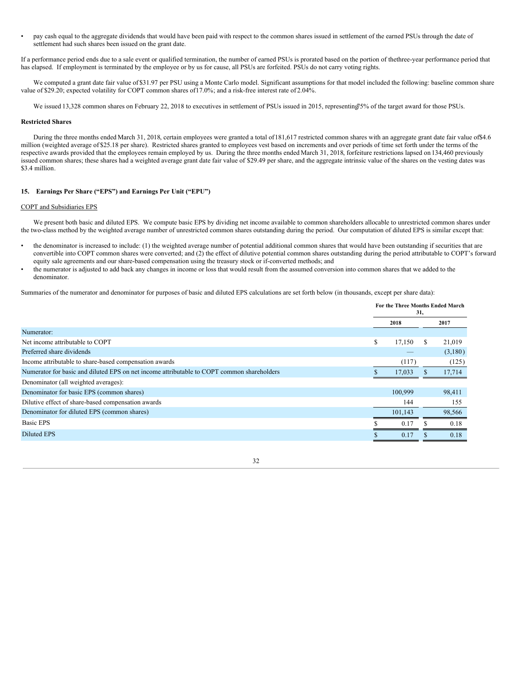• pay cash equal to the aggregate dividends that would have been paid with respect to the common shares issued in settlement of the earned PSUs through the date of settlement had such shares been issued on the grant date.

If a performance period ends due to a sale event or qualified termination, the number of earned PSUs is prorated based on the portion of thethree-year performance period that has elapsed. If employment is terminated by the employee or by us for cause, all PSUs are forfeited. PSUs do not carry voting rights.

We computed a grant date fair value of \$31.97 per PSU using a Monte Carlo model. Significant assumptions for that model included the following: baseline common share value of \$29.20; expected volatility for COPT common shares of17.0%; and a risk-free interest rate of 2.04%.

We issued 13,328 common shares on February 22, 2018 to executives in settlement of PSUs issued in 2015, representing 5% of the target award for those PSUs.

### **Restricted Shares**

During the three months ended March 31, 2018, certain employees were granted a total of181,617 restricted common shares with an aggregate grant date fair value of\$4.6 million (weighted average of \$25.18 per share). Restricted shares granted to employees vest based on increments and over periods of time set forth under the terms of the respective awards provided that the employees remain employed by us. During the three months ended March 31, 2018, forfeiture restrictions lapsed on 134,460 previously issued common shares; these shares had a weighted average grant date fair value of \$29.49 per share, and the aggregate intrinsic value of the shares on the vesting dates was \$3.4 million.

### **15. Earnings Per Share ("EPS") and Earnings Per Unit ("EPU")**

### COPT and Subsidiaries EPS

We present both basic and diluted EPS. We compute basic EPS by dividing net income available to common shareholders allocable to unrestricted common shares under the two-class method by the weighted average number of unrestricted common shares outstanding during the period. Our computation of diluted EPS is similar except that:

- the denominator is increased to include: (1) the weighted average number of potential additional common shares that would have been outstanding if securities that are convertible into COPT common shares were converted; and (2) the effect of dilutive potential common shares outstanding during the period attributable to COPT's forward equity sale agreements and our share-based compensation using the treasury stock or if-converted methods; and
- the numerator is adjusted to add back any changes in income or loss that would result from the assumed conversion into common shares that we added to the denominator.

Summaries of the numerator and denominator for purposes of basic and diluted EPS calculations are set forth below (in thousands, except per share data):

|                                                                                            | For the Three Months Ended March<br>31, |   |         |
|--------------------------------------------------------------------------------------------|-----------------------------------------|---|---------|
|                                                                                            | 2018                                    |   | 2017    |
| Numerator:                                                                                 |                                         |   |         |
| Net income attributable to COPT                                                            | \$<br>17,150                            | S | 21,019  |
| Preferred share dividends                                                                  |                                         |   | (3,180) |
| Income attributable to share-based compensation awards                                     | (117)                                   |   | (125)   |
| Numerator for basic and diluted EPS on net income attributable to COPT common shareholders | 17,033                                  | ъ | 17,714  |
| Denominator (all weighted averages):                                                       |                                         |   |         |
| Denominator for basic EPS (common shares)                                                  | 100,999                                 |   | 98,411  |
| Dilutive effect of share-based compensation awards                                         | 144                                     |   | 155     |
| Denominator for diluted EPS (common shares)                                                | 101,143                                 |   | 98,566  |
| <b>Basic EPS</b>                                                                           | 0.17                                    |   | 0.18    |
| Diluted EPS                                                                                | 0.17                                    |   | 0.18    |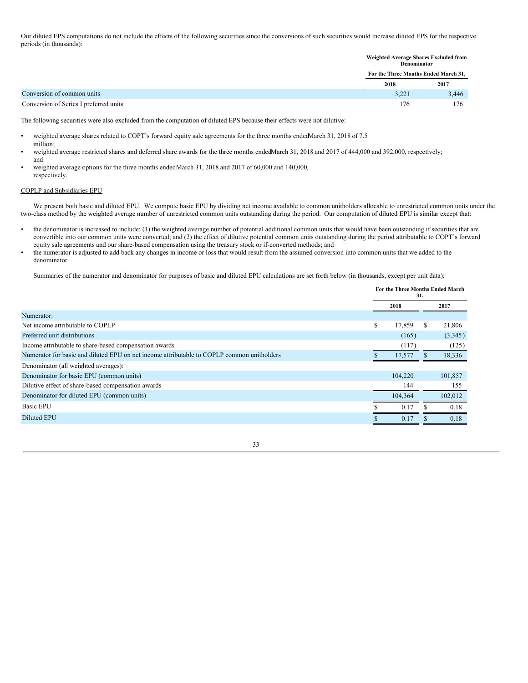Our diluted EPS computations do not include the effects of the following securities since the conversions of such securities would increase diluted EPS for the respective periods (in thousands):

|                                        |       | Weighted Average Shares Excluded from<br><b>Denominator</b> |
|----------------------------------------|-------|-------------------------------------------------------------|
|                                        |       | For the Three Months Ended March 31,                        |
|                                        | 2018  | 2017                                                        |
| Conversion of common units             | 3.221 | 3,446                                                       |
| Conversion of Series I preferred units | 176   | 176                                                         |

The following securities were also excluded from the computation of diluted EPS because their effects were not dilutive:

- weighted average shares related to COPT's forward equity sale agreements for the three months endedMarch 31, 2018 of 7.5
- weighted average restricted shares and deferred share awards for the three months endedMarch 31, 2018 and 2017 of 444,000 and 392,000, respectively; and
- weighted average options for the three months endedMarch 31, 2018 and 2017 of 60,000 and 140,000, respectively.

## COPLP and Subsidiaries EPU

million;

We present both basic and diluted EPU. We compute basic EPU by dividing net income available to common unitholders allocable to unrestricted common units under the two-class method by the weighted average number of unrestricted common units outstanding during the period. Our computation of diluted EPU is similar except that:

- the denominator is increased to include: (1) the weighted average number of potential additional common units that would have been outstanding if securities that are convertible into our common units were converted; and (2) the effect of dilutive potential common units outstanding during the period attributable to COPT's forward equity sale agreements and our share-based compensation using the treasury stock or if-converted methods; and
- the numerator is adjusted to add back any changes in income or loss that would result from the assumed conversion into common units that we added to the denominator.

Summaries of the numerator and denominator for purposes of basic and diluted EPU calculations are set forth below (in thousands, except per unit data):

| 2018 |         |   | 2017                                    |  |  |
|------|---------|---|-----------------------------------------|--|--|
|      |         |   |                                         |  |  |
| S    | 17,859  | S | 21,806                                  |  |  |
|      | (165)   |   | (3,345)                                 |  |  |
|      | (117)   |   | (125)                                   |  |  |
|      | 17,577  |   | 18,336                                  |  |  |
|      |         |   |                                         |  |  |
|      | 104,220 |   | 101,857                                 |  |  |
|      | 144     |   | 155                                     |  |  |
|      | 104,364 |   | 102,012                                 |  |  |
|      | 0.17    |   | 0.18                                    |  |  |
|      | 0.17    |   | 0.18                                    |  |  |
|      |         |   | For the Three Months Ended March<br>31, |  |  |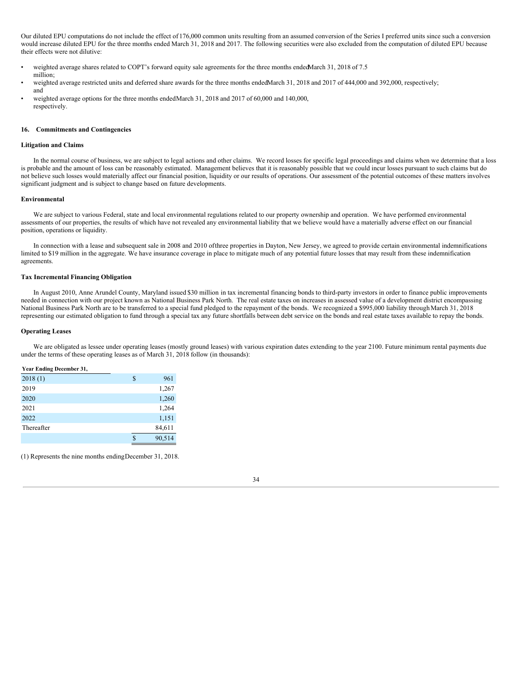Our diluted EPU computations do not include the effect of 176,000 common units resulting from an assumed conversion of the Series I preferred units since such a conversion would increase diluted EPU for the three months ended March 31, 2018 and 2017. The following securities were also excluded from the computation of diluted EPU because their effects were not dilutive:

- weighted average shares related to COPT's forward equity sale agreements for the three months endedMarch 31, 2018 of 7.5 million;
- weighted average restricted units and deferred share awards for the three months endedMarch 31, 2018 and 2017 of 444,000 and 392,000, respectively; and
- weighted average options for the three months endedMarch 31, 2018 and 2017 of 60,000 and 140,000, respectively.

### **16. Commitments and Contingencies**

#### **Litigation and Claims**

In the normal course of business, we are subject to legal actions and other claims. We record losses for specific legal proceedings and claims when we determine that a loss is probable and the amount of loss can be reasonably estimated. Management believes that it is reasonably possible that we could incur losses pursuant to such claims but do not believe such losses would materially affect our financial position, liquidity or our results of operations. Our assessment of the potential outcomes of these matters involves significant judgment and is subject to change based on future developments.

#### **Environmental**

We are subject to various Federal, state and local environmental regulations related to our property ownership and operation. We have performed environmental assessments of our properties, the results of which have not revealed any environmental liability that we believe would have a materially adverse effect on our financial position, operations or liquidity.

In connection with a lease and subsequent sale in 2008 and 2010 ofthree properties in Dayton, New Jersey, we agreed to provide certain environmental indemnifications limited to \$19 million in the aggregate. We have insurance coverage in place to mitigate much of any potential future losses that may result from these indemnification agreements.

#### **Tax Incremental Financing Obligation**

In August 2010, Anne Arundel County, Maryland issued \$30 million in tax incremental financing bonds to third-party investors in order to finance public improvements needed in connection with our project known as National Business Park North. The real estate taxes on increases in assessed value of a development district encompassing National Business Park North are to be transferred to a special fund pledged to the repayment of the bonds. We recognized a \$995,000 liability through March 31, 2018 representing our estimated obligation to fund through a special tax any future shortfalls between debt service on the bonds and real estate taxes available to repay the bonds.

### **Operating Leases**

We are obligated as lessee under operating leases (mostly ground leases) with various expiration dates extending to the year 2100. Future minimum rental payments due under the terms of these operating leases as of March 31, 2018 follow (in thousands):

| <b>Year Ending December 31,</b> |    |        |
|---------------------------------|----|--------|
| 2018(1)                         | \$ | 961    |
| 2019                            |    | 1,267  |
| 2020                            |    | 1,260  |
| 2021                            |    | 1,264  |
| 2022                            |    | 1,151  |
| Thereafter                      |    | 84,611 |
|                                 | S  | 90,514 |

(1) Represents the nine months endingDecember 31, 2018.

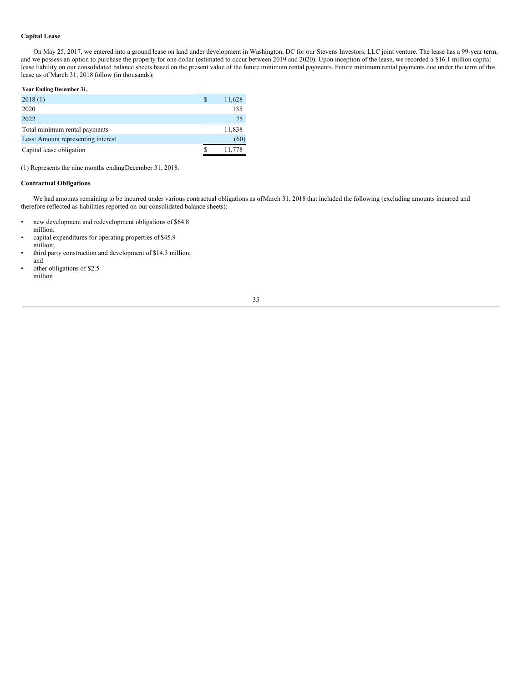### **Capital Lease**

On May 25, 2017, we entered into a ground lease on land under development in Washington, DC for our Stevens Investors, LLC joint venture. The lease has a 99-year term, and we possess an option to purchase the property for one dollar (estimated to occur between 2019 and 2020). Upon inception of the lease, we recorded a \$16.1 million capital lease liability on our consolidated balance sheets based on the present value of the future minimum rental payments. Future minimum rental payments due under the term of this lease as of March 31, 2018 follow (in thousands):

**Year Ending December 31,**

| 2018(1)                            | 11,628 |
|------------------------------------|--------|
| 2020                               | 135    |
| 2022                               | 75     |
| Total minimum rental payments      | 11,838 |
| Less: Amount representing interest | (60)   |
| Capital lease obligation           | 11,778 |

(1) Represents the nine months endingDecember 31, 2018.

### **Contractual Obligations**

We had amounts remaining to be incurred under various contractual obligations as ofMarch 31, 2018 that included the following (excluding amounts incurred and therefore reflected as liabilities reported on our consolidated balance sheets):

- new development and redevelopment obligations of \$64.8 million;
- capital expenditures for operating properties of \$45.9 million;
- third party construction and development of \$14.3 million; and
- other obligations of \$2.5 million.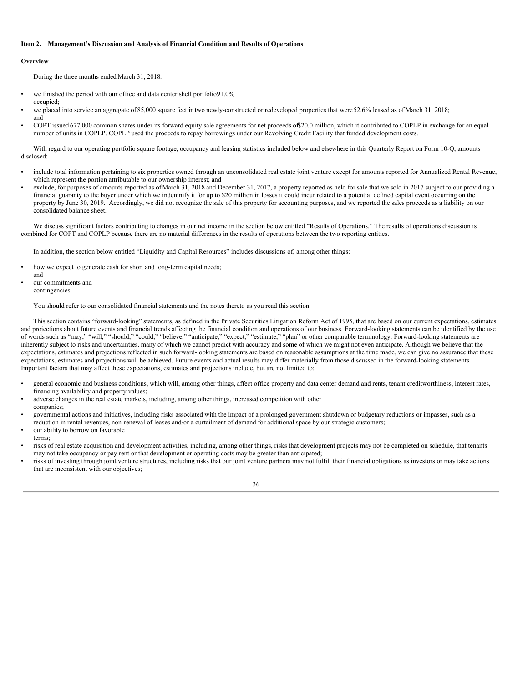### <span id="page-37-0"></span>**Item 2. Management's Discussion and Analysis of Financial Condition and Results of Operations**

### **Overview**

During the three months ended March 31, 2018:

- we finished the period with our office and data center shell portfolio91.0% occupied;
- we placed into service an aggregate of 85,000 square feet in two newly-constructed or redeveloped properties that were52.6% leased as of March 31, 2018; and
- COPT issued 677,000 common shares under its forward equity sale agreements for net proceeds of\$20.0 million, which it contributed to COPLP in exchange for an equal number of units in COPLP. COPLP used the proceeds to repay borrowings under our Revolving Credit Facility that funded development costs.

With regard to our operating portfolio square footage, occupancy and leasing statistics included below and elsewhere in this Quarterly Report on Form 10-Q, amounts disclosed:

- include total information pertaining to six properties owned through an unconsolidated real estate joint venture except for amounts reported for Annualized Rental Revenue, which represent the portion attributable to our ownership interest; and
- exclude, for purposes of amounts reported as of March 31, 2018 and December 31, 2017, a property reported as held for sale that we sold in 2017 subject to our providing a financial guaranty to the buyer under which we indemnify it for up to \$20 million in losses it could incur related to a potential defined capital event occurring on the property by June 30, 2019. Accordingly, we did not recognize the sale of this property for accounting purposes, and we reported the sales proceeds as a liability on our consolidated balance sheet.

We discuss significant factors contributing to changes in our net income in the section below entitled "Results of Operations." The results of operations discussion is combined for COPT and COPLP because there are no material differences in the results of operations between the two reporting entities.

In addition, the section below entitled "Liquidity and Capital Resources" includes discussions of, among other things:

- how we expect to generate cash for short and long-term capital needs;
- and our commitments and contingencies.

You should refer to our consolidated financial statements and the notes thereto as you read this section.

This section contains "forward-looking" statements, as defined in the Private Securities Litigation Reform Act of 1995, that are based on our current expectations, estimates and projections about future events and financial trends affecting the financial condition and operations of our business. Forward-looking statements can be identified by the use of words such as "may," "will," "should," "could," "believe," "anticipate," "expect," "estimate," "plan" or other comparable terminology. Forward-looking statements are inherently subject to risks and uncertainties, many of which we cannot predict with accuracy and some of which we might not even anticipate. Although we believe that the expectations, estimates and projections reflected in such forward-looking statements are based on reasonable assumptions at the time made, we can give no assurance that these expectations, estimates and projections will be achieved. Future events and actual results may differ materially from those discussed in the forward-looking statements. Important factors that may affect these expectations, estimates and projections include, but are not limited to:

- general economic and business conditions, which will, among other things, affect office property and data center demand and rents, tenant creditworthiness, interest rates, financing availability and property values;
- adverse changes in the real estate markets, including, among other things, increased competition with other companies;
- governmental actions and initiatives, including risks associated with the impact of a prolonged government shutdown or budgetary reductions or impasses, such as a reduction in rental revenues, non-renewal of leases and/or a curtailment of demand for additional space by our strategic customers;
- our ability to borrow on favorable
- terms;
- risks of real estate acquisition and development activities, including, among other things, risks that development projects may not be completed on schedule, that tenants may not take occupancy or pay rent or that development or operating costs may be greater than anticipated;
- risks of investing through joint venture structures, including risks that our joint venture partners may not fulfill their financial obligations as investors or may take actions that are inconsistent with our objectives;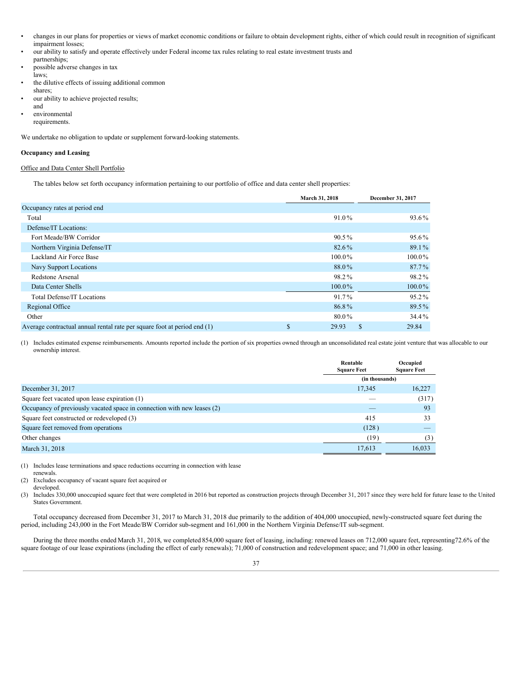- changes in our plans for properties or views of market economic conditions or failure to obtain development rights, either of which could result in recognition of significant impairment losses;
- our ability to satisfy and operate effectively under Federal income tax rules relating to real estate investment trusts and
- partnerships; possible adverse changes in tax
- laws;
- the dilutive effects of issuing additional common shares;
- our ability to achieve projected results; and
- environmental requirements.

We undertake no obligation to update or supplement forward-looking statements.

# **Occupancy and Leasing**

# Office and Data Center Shell Portfolio

The tables below set forth occupancy information pertaining to our portfolio of office and data center shell properties:

|                                                                          |   | March 31, 2018 | December 31, 2017 |
|--------------------------------------------------------------------------|---|----------------|-------------------|
| Occupancy rates at period end                                            |   |                |                   |
| Total                                                                    |   | 91.0%          | 93.6%             |
| Defense/IT Locations:                                                    |   |                |                   |
| Fort Meade/BW Corridor                                                   |   | $90.5\%$       | 95.6%             |
| Northern Virginia Defense/IT                                             |   | 82.6%          | 89.1%             |
| Lackland Air Force Base                                                  |   | $100.0\%$      | 100.0%            |
| Navy Support Locations                                                   |   | 88.0%          | $87.7\%$          |
| Redstone Arsenal                                                         |   | 98.2%          | 98.2%             |
| Data Center Shells                                                       |   | 100.0%         | $100.0\%$         |
| <b>Total Defense/IT Locations</b>                                        |   | 91.7%          | $95.2\%$          |
| Regional Office                                                          |   | 86.8%          | 89.5%             |
| Other                                                                    |   | 80.0%          | 34.4%             |
| Average contractual annual rental rate per square foot at period end (1) | S | 29.93          | \$.<br>29.84      |

(1) Includes estimated expense reimbursements. Amounts reported include the portion of six properties owned through an unconsolidated real estate joint venture that was allocable to our ownership interest.

|                                                                         | Rentable<br><b>Square Feet</b> | Occupied<br><b>Square Feet</b> |
|-------------------------------------------------------------------------|--------------------------------|--------------------------------|
|                                                                         | (in thousands)                 |                                |
| December 31, 2017                                                       | 17,345                         | 16,227                         |
| Square feet vacated upon lease expiration (1)                           |                                | (317)                          |
| Occupancy of previously vacated space in connection with new leases (2) |                                | 93                             |
| Square feet constructed or redeveloped (3)                              | 415                            | 33                             |
| Square feet removed from operations                                     | (128)                          |                                |
| Other changes                                                           | (19)                           | (3)                            |
| March 31, 2018                                                          | 17.613                         | 16.033                         |

(1) Includes lease terminations and space reductions occurring in connection with lease renewals.

(2) Excludes occupancy of vacant square feet acquired or developed.

(3) Includes 330,000 unoccupied square feet that were completed in 2016 but reported as construction projects through December 31, 2017 since they were held for future lease to the United States Government.

Total occupancy decreased from December 31, 2017 to March 31, 2018 due primarily to the addition of 404,000 unoccupied, newly-constructed square feet during the period, including 243,000 in the Fort Meade/BW Corridor sub-segment and 161,000 in the Northern Virginia Defense/IT sub-segment.

During the three months ended March 31, 2018, we completed 854,000 square feet of leasing, including: renewed leases on 712,000 square feet, representing72.6% of the square footage of our lease expirations (including the effect of early renewals); 71,000 of construction and redevelopment space; and 71,000 in other leasing.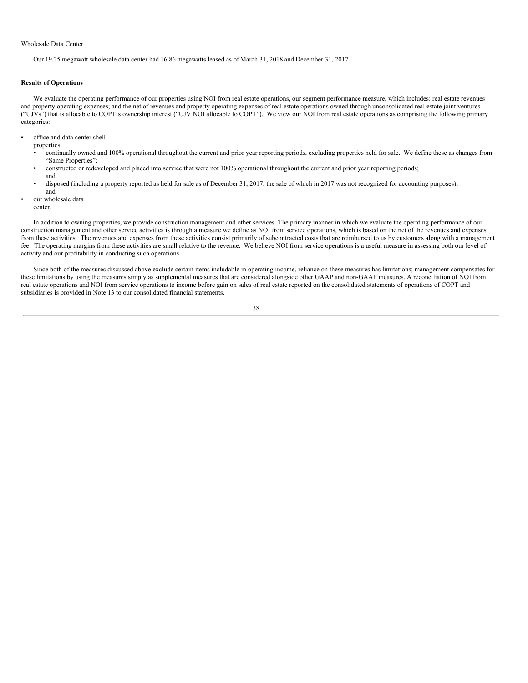# Wholesale Data Center

Our 19.25 megawatt wholesale data center had 16.86 megawatts leased as of March 31, 2018 and December 31, 2017.

#### **Results of Operations**

We evaluate the operating performance of our properties using NOI from real estate operations, our segment performance measure, which includes: real estate revenues and property operating expenses; and the net of revenues and property operating expenses of real estate operations owned through unconsolidated real estate joint ventures ("UJVs") that is allocable to COPT's ownership interest ("UJV NOI allocable to COPT"). We view our NOI from real estate operations as comprising the following primary categories:

office and data center shell

properties:

- continually owned and 100% operational throughout the current and prior year reporting periods, excluding properties held for sale. We define these as changes from "Same Properties";
- constructed or redeveloped and placed into service that were not 100% operational throughout the current and prior year reporting periods; and
- disposed (including a property reported as held for sale as of December 31, 2017, the sale of which in 2017 was not recognized for accounting purposes); and
- our wholesale data
- center.

In addition to owning properties, we provide construction management and other services. The primary manner in which we evaluate the operating performance of our construction management and other service activities is through a measure we define as NOI from service operations, which is based on the net of the revenues and expenses from these activities. The revenues and expenses from these activities consist primarily of subcontracted costs that are reimbursed to us by customers along with a management fee. The operating margins from these activities are small relative to the revenue. We believe NOI from service operations is a useful measure in assessing both our level of activity and our profitability in conducting such operations.

Since both of the measures discussed above exclude certain items includable in operating income, reliance on these measures has limitations; management compensates for these limitations by using the measures simply as supplemental measures that are considered alongside other GAAP and non-GAAP measures. A reconciliation of NOI from real estate operations and NOI from service operations to income before gain on sales of real estate reported on the consolidated statements of operations of COPT and subsidiaries is provided in Note 13 to our consolidated financial statements.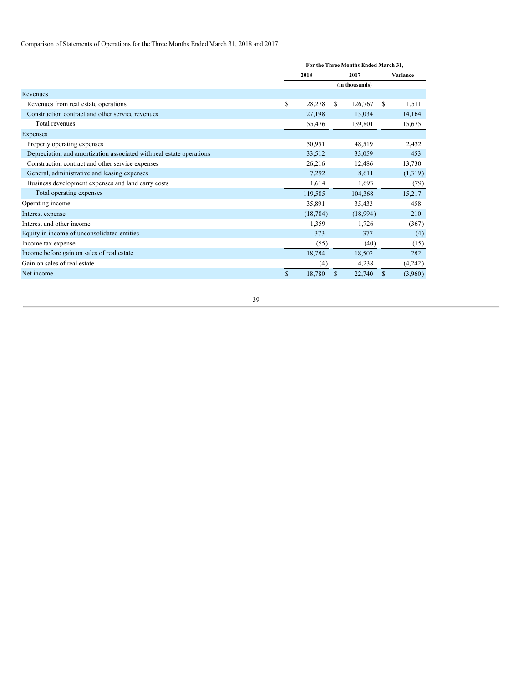# Comparison of Statements of Operations for the Three Months Ended March 31, 2018 and 2017

|                                                                      |     | For the Three Months Ended March 31, |                |      |   |          |  |  |
|----------------------------------------------------------------------|-----|--------------------------------------|----------------|------|---|----------|--|--|
|                                                                      |     | 2018                                 | 2017           |      |   | Variance |  |  |
|                                                                      |     |                                      | (in thousands) |      |   |          |  |  |
| Revenues                                                             |     |                                      |                |      |   |          |  |  |
| Revenues from real estate operations                                 | \$. | 128,278                              | 126,767<br>\$. |      | S | 1,511    |  |  |
| Construction contract and other service revenues                     |     | 27,198                               | 13,034         |      |   | 14,164   |  |  |
| Total revenues                                                       |     | 155,476                              | 139,801        |      |   | 15,675   |  |  |
| Expenses                                                             |     |                                      |                |      |   |          |  |  |
| Property operating expenses                                          |     | 50,951                               | 48,519         |      |   | 2,432    |  |  |
| Depreciation and amortization associated with real estate operations |     | 33,512                               | 33,059         |      |   | 453      |  |  |
| Construction contract and other service expenses                     |     | 26,216                               | 12,486         |      |   | 13,730   |  |  |
| General, administrative and leasing expenses                         |     | 7,292                                | 8,611          |      |   | (1,319)  |  |  |
| Business development expenses and land carry costs                   |     | 1,614                                | 1,693          |      |   | (79)     |  |  |
| Total operating expenses                                             |     | 119,585                              | 104,368        |      |   | 15,217   |  |  |
| Operating income                                                     |     | 35,891                               | 35,433         |      |   | 458      |  |  |
| Interest expense                                                     |     | (18, 784)                            | (18,994)       |      |   | 210      |  |  |
| Interest and other income                                            |     | 1,359                                | 1,726          |      |   | (367)    |  |  |
| Equity in income of unconsolidated entities                          |     | 373                                  |                | 377  |   | (4)      |  |  |
| Income tax expense                                                   |     | (55)                                 |                | (40) |   | (15)     |  |  |
| Income before gain on sales of real estate                           |     | 18,784                               | 18,502         |      |   | 282      |  |  |
| Gain on sales of real estate                                         |     | (4)                                  | 4,238          |      |   | (4,242)  |  |  |
| Net income                                                           | S   | 18,780                               | 22,740         |      |   | (3,960)  |  |  |
|                                                                      |     |                                      |                |      |   |          |  |  |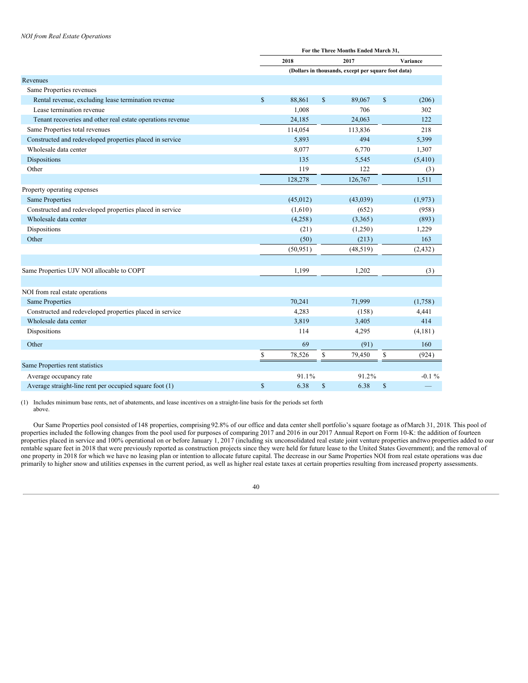## *NOI from Real Estate Operations*

|                                                            | For the Three Months Ended March 31, |           |              |                                                     |               |           |  |  |  |
|------------------------------------------------------------|--------------------------------------|-----------|--------------|-----------------------------------------------------|---------------|-----------|--|--|--|
|                                                            |                                      | 2018      |              | 2017                                                |               | Variance  |  |  |  |
|                                                            |                                      |           |              | (Dollars in thousands, except per square foot data) |               |           |  |  |  |
| Revenues                                                   |                                      |           |              |                                                     |               |           |  |  |  |
| Same Properties revenues                                   |                                      |           |              |                                                     |               |           |  |  |  |
| Rental revenue, excluding lease termination revenue        | $\mathbb{S}$                         | 88,861    | $\mathbb S$  | 89,067                                              | $\mathcal{S}$ | (206)     |  |  |  |
| Lease termination revenue                                  |                                      | 1,008     |              | 706                                                 |               | 302       |  |  |  |
| Tenant recoveries and other real estate operations revenue |                                      | 24,185    |              | 24,063                                              |               | 122       |  |  |  |
| Same Properties total revenues                             |                                      | 114,054   |              | 113,836                                             |               | 218       |  |  |  |
| Constructed and redeveloped properties placed in service   |                                      | 5,893     |              | 494                                                 |               | 5,399     |  |  |  |
| Wholesale data center                                      |                                      | 8,077     |              | 6,770                                               |               | 1,307     |  |  |  |
| Dispositions                                               |                                      | 135       |              | 5,545                                               |               | (5,410)   |  |  |  |
| Other                                                      |                                      | 119       |              | 122                                                 |               | (3)       |  |  |  |
|                                                            |                                      | 128,278   |              | 126,767                                             |               | 1,511     |  |  |  |
| Property operating expenses                                |                                      |           |              |                                                     |               |           |  |  |  |
| <b>Same Properties</b>                                     |                                      | (45, 012) |              | (43,039)                                            |               | (1,973)   |  |  |  |
| Constructed and redeveloped properties placed in service   |                                      | (1,610)   |              | (652)                                               |               | (958)     |  |  |  |
| Wholesale data center                                      |                                      | (4,258)   |              | (3,365)                                             |               | (893)     |  |  |  |
| Dispositions                                               |                                      | (21)      |              | (1,250)                                             |               | 1,229     |  |  |  |
| Other                                                      |                                      | (50)      |              | (213)                                               |               | 163       |  |  |  |
|                                                            |                                      | (50, 951) |              | (48, 519)                                           |               | (2, 432)  |  |  |  |
|                                                            |                                      |           |              |                                                     |               |           |  |  |  |
| Same Properties UJV NOI allocable to COPT                  |                                      | 1,199     |              | 1,202                                               |               | (3)       |  |  |  |
|                                                            |                                      |           |              |                                                     |               |           |  |  |  |
| NOI from real estate operations                            |                                      |           |              |                                                     |               |           |  |  |  |
| <b>Same Properties</b>                                     |                                      | 70,241    |              | 71,999                                              |               | (1,758)   |  |  |  |
| Constructed and redeveloped properties placed in service   |                                      | 4,283     |              | (158)                                               |               | 4,441     |  |  |  |
| Wholesale data center                                      |                                      | 3,819     |              | 3,405                                               |               | 414       |  |  |  |
| Dispositions                                               |                                      | 114       |              | 4,295                                               |               | (4,181)   |  |  |  |
| Other                                                      |                                      | 69        |              | (91)                                                |               | 160       |  |  |  |
|                                                            | \$                                   | 78,526    | \$           | 79,450                                              | \$            | (924)     |  |  |  |
| Same Properties rent statistics                            |                                      |           |              |                                                     |               |           |  |  |  |
| Average occupancy rate                                     |                                      | 91.1%     |              | 91.2%                                               |               | $-0.1 \%$ |  |  |  |
| Average straight-line rent per occupied square foot (1)    | $\mathbb{S}$                         | 6.38      | $\mathbb{S}$ | 6.38                                                | \$            |           |  |  |  |

(1) Includes minimum base rents, net of abatements, and lease incentives on a straight-line basis for the periods set forth above.

Our Same Properties pool consisted of 148 properties, comprising 92.8% of our office and data center shell portfolio's square footage as ofMarch 31, 2018. This pool of properties included the following changes from the pool used for purposes of comparing 2017 and 2016 in our 2017 Annual Report on Form 10-K: the addition of fourteen properties placed in service and 100% operational on or before January 1, 2017 (including six unconsolidated real estate joint venture properties andtwo properties added to our rentable square feet in 2018 that were previously reported as construction projects since they were held for future lease to the United States Government); and the removal of one property in 2018 for which we have no leasing plan or intention to allocate future capital. The decrease in our Same Properties NOI from real estate operations was due primarily to higher snow and utilities expenses in the current period, as well as higher real estate taxes at certain properties resulting from increased property assessments.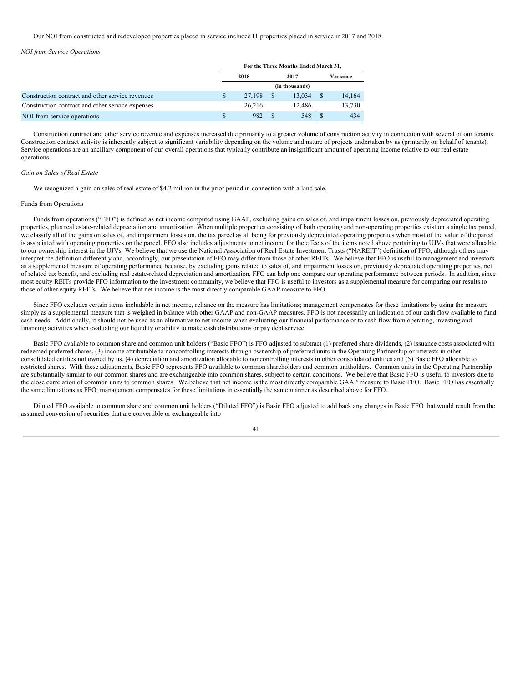Our NOI from constructed and redeveloped properties placed in service included11 properties placed in service in 2017 and 2018.

### *NOI from Service Operations*

|                                                  | For the Three Months Ended March 31, |        |  |        |  |        |  |  |  |  |
|--------------------------------------------------|--------------------------------------|--------|--|--------|--|--------|--|--|--|--|
|                                                  | Variance<br>2018<br>2017             |        |  |        |  |        |  |  |  |  |
|                                                  |                                      |        |  |        |  |        |  |  |  |  |
| Construction contract and other service revenues | S                                    | 27.198 |  | 13,034 |  | 14,164 |  |  |  |  |
| Construction contract and other service expenses |                                      | 26.216 |  | 12.486 |  | 13.730 |  |  |  |  |
| NOI from service operations                      | \$.                                  | 982    |  | 548    |  | 434    |  |  |  |  |

Construction contract and other service revenue and expenses increased due primarily to a greater volume of construction activity in connection with several of our tenants. Construction contract activity is inherently subject to significant variability depending on the volume and nature of projects undertaken by us (primarily on behalf of tenants). Service operations are an ancillary component of our overall operations that typically contribute an insignificant amount of operating income relative to our real estate operations.

#### *Gain on Sales of Real Estate*

We recognized a gain on sales of real estate of \$4.2 million in the prior period in connection with a land sale.

#### Funds from Operations

Funds from operations ("FFO") is defined as net income computed using GAAP, excluding gains on sales of, and impairment losses on, previously depreciated operating properties, plus real estate-related depreciation and amortization. When multiple properties consisting of both operating and non-operating properties exist on a single tax parcel, we classify all of the gains on sales of, and impairment losses on, the tax parcel as all being for previously depreciated operating properties when most of the value of the parcel is associated with operating properties on the parcel. FFO also includes adjustments to net income for the effects of the items noted above pertaining to UJVs that were allocable to our ownership interest in the UJVs. We believe that we use the National Association of Real Estate Investment Trusts ("NAREIT") definition of FFO, although others may interpret the definition differently and, accordingly, our presentation of FFO may differ from those of other REITs. We believe that FFO is useful to management and investors as a supplemental measure of operating performance because, by excluding gains related to sales of, and impairment losses on, previously depreciated operating properties, net of related tax benefit, and excluding real estate-related depreciation and amortization, FFO can help one compare our operating performance between periods. In addition, since most equity REITs provide FFO information to the investment community, we believe that FFO is useful to investors as a supplemental measure for comparing our results to those of other equity REITs. We believe that net income is the most directly comparable GAAP measure to FFO.

Since FFO excludes certain items includable in net income, reliance on the measure has limitations; management compensates for these limitations by using the measure simply as a supplemental measure that is weighed in balance with other GAAP and non-GAAP measures. FFO is not necessarily an indication of our cash flow available to fund cash needs. Additionally, it should not be used as an alternative to net income when evaluating our financial performance or to cash flow from operating, investing and financing activities when evaluating our liquidity or ability to make cash distributions or pay debt service.

Basic FFO available to common share and common unit holders ("Basic FFO") is FFO adjusted to subtract (1) preferred share dividends, (2) issuance costs associated with redeemed preferred shares, (3) income attributable to noncontrolling interests through ownership of preferred units in the Operating Partnership or interests in other consolidated entities not owned by us, (4) depreciation and amortization allocable to noncontrolling interests in other consolidated entities and (5) Basic FFO allocable to restricted shares. With these adjustments, Basic FFO represents FFO available to common shareholders and common unitholders. Common units in the Operating Partnership are substantially similar to our common shares and are exchangeable into common shares, subject to certain conditions. We believe that Basic FFO is useful to investors due to the close correlation of common units to common shares. We believe that net income is the most directly comparable GAAP measure to Basic FFO. Basic FFO has essentially the same limitations as FFO; management compensates for these limitations in essentially the same manner as described above for FFO.

Diluted FFO available to common share and common unit holders ("Diluted FFO") is Basic FFO adjusted to add back any changes in Basic FFO that would result from the assumed conversion of securities that are convertible or exchangeable into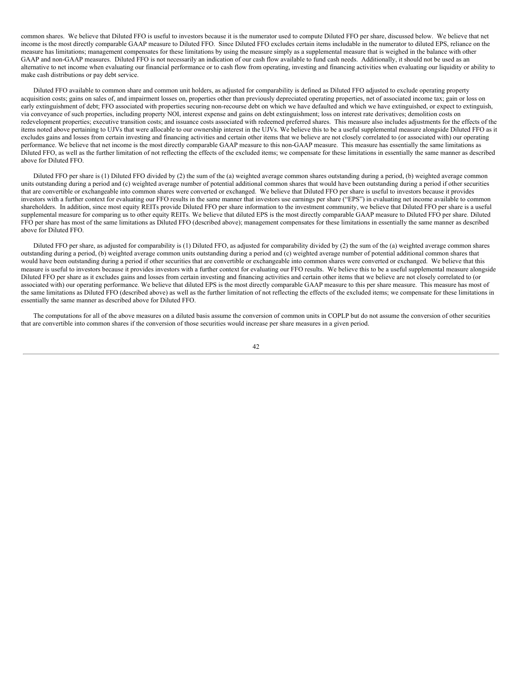common shares. We believe that Diluted FFO is useful to investors because it is the numerator used to compute Diluted FFO per share, discussed below. We believe that net income is the most directly comparable GAAP measure to Diluted FFO. Since Diluted FFO excludes certain items includable in the numerator to diluted EPS, reliance on the measure has limitations; management compensates for these limitations by using the measure simply as a supplemental measure that is weighed in the balance with other GAAP and non-GAAP measures. Diluted FFO is not necessarily an indication of our cash flow available to fund cash needs. Additionally, it should not be used as an alternative to net income when evaluating our financial performance or to cash flow from operating, investing and financing activities when evaluating our liquidity or ability to make cash distributions or pay debt service.

Diluted FFO available to common share and common unit holders, as adjusted for comparability is defined as Diluted FFO adjusted to exclude operating property acquisition costs; gains on sales of, and impairment losses on, properties other than previously depreciated operating properties, net of associated income tax; gain or loss on early extinguishment of debt; FFO associated with properties securing non-recourse debt on which we have defaulted and which we have extinguished, or expect to extinguish, via conveyance of such properties, including property NOI, interest expense and gains on debt extinguishment; loss on interest rate derivatives; demolition costs on redevelopment properties; executive transition costs; and issuance costs associated with redeemed preferred shares. This measure also includes adjustments for the effects of the items noted above pertaining to UJVs that were allocable to our ownership interest in the UJVs. We believe this to be a useful supplemental measure alongside Diluted FFO as it excludes gains and losses from certain investing and financing activities and certain other items that we believe are not closely correlated to (or associated with) our operating performance. We believe that net income is the most directly comparable GAAP measure to this non-GAAP measure. This measure has essentially the same limitations as Diluted FFO, as well as the further limitation of not reflecting the effects of the excluded items; we compensate for these limitations in essentially the same manner as described above for Diluted FFO.

Diluted FFO per share is (1) Diluted FFO divided by (2) the sum of the (a) weighted average common shares outstanding during a period, (b) weighted average common units outstanding during a period and (c) weighted average number of potential additional common shares that would have been outstanding during a period if other securities that are convertible or exchangeable into common shares were converted or exchanged. We believe that Diluted FFO per share is useful to investors because it provides investors with a further context for evaluating our FFO results in the same manner that investors use earnings per share ("EPS") in evaluating net income available to common shareholders. In addition, since most equity REITs provide Diluted FFO per share information to the investment community, we believe that Diluted FFO per share is a useful supplemental measure for comparing us to other equity REITs. We believe that diluted EPS is the most directly comparable GAAP measure to Diluted FFO per share. Diluted FFO per share has most of the same limitations as Diluted FFO (described above); management compensates for these limitations in essentially the same manner as described above for Diluted FFO.

Diluted FFO per share, as adjusted for comparability is (1) Diluted FFO, as adjusted for comparability divided by (2) the sum of the (a) weighted average common shares outstanding during a period, (b) weighted average common units outstanding during a period and (c) weighted average number of potential additional common shares that would have been outstanding during a period if other securities that are convertible or exchangeable into common shares were converted or exchanged. We believe that this measure is useful to investors because it provides investors with a further context for evaluating our FFO results. We believe this to be a useful supplemental measure alongside Diluted FFO per share as it excludes gains and losses from certain investing and financing activities and certain other items that we believe are not closely correlated to (or associated with) our operating performance. We believe that diluted EPS is the most directly comparable GAAP measure to this per share measure. This measure has most of the same limitations as Diluted FFO (described above) as well as the further limitation of not reflecting the effects of the excluded items; we compensate for these limitations in essentially the same manner as described above for Diluted FFO.

The computations for all of the above measures on a diluted basis assume the conversion of common units in COPLP but do not assume the conversion of other securities that are convertible into common shares if the conversion of those securities would increase per share measures in a given period.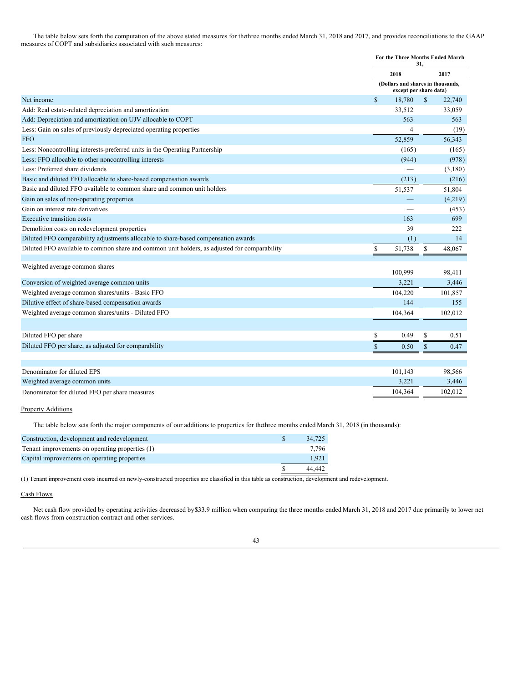The table below sets forth the computation of the above stated measures for thethree months ended March 31, 2018 and 2017, and provides reconciliations to the GAAP measures of COPT and subsidiaries associated with such measures:

|                                                                                              |                        | For the Three Months Ended March<br>31,                     |
|----------------------------------------------------------------------------------------------|------------------------|-------------------------------------------------------------|
|                                                                                              | 2018                   | 2017                                                        |
|                                                                                              |                        | (Dollars and shares in thousands,<br>except per share data) |
| Net income                                                                                   | $\mathbb{S}$<br>18,780 | $\mathbf S$<br>22,740                                       |
| Add: Real estate-related depreciation and amortization                                       | 33,512                 | 33,059                                                      |
| Add: Depreciation and amortization on UJV allocable to COPT                                  | 563                    | 563                                                         |
| Less: Gain on sales of previously depreciated operating properties                           | 4                      | (19)                                                        |
| <b>FFO</b>                                                                                   | 52,859                 | 56,343                                                      |
| Less: Noncontrolling interests-preferred units in the Operating Partnership                  | (165)                  | (165)                                                       |
| Less: FFO allocable to other noncontrolling interests                                        | (944)                  | (978)                                                       |
| Less: Preferred share dividends                                                              |                        | (3,180)                                                     |
| Basic and diluted FFO allocable to share-based compensation awards                           | (213)                  | (216)                                                       |
| Basic and diluted FFO available to common share and common unit holders                      | 51,537                 | 51,804                                                      |
| Gain on sales of non-operating properties                                                    |                        | (4,219)                                                     |
| Gain on interest rate derivatives                                                            |                        | (453)                                                       |
| <b>Executive transition costs</b>                                                            | 163                    | 699                                                         |
| Demolition costs on redevelopment properties                                                 | 39                     | 222                                                         |
| Diluted FFO comparability adjustments allocable to share-based compensation awards           | (1)                    | 14                                                          |
| Diluted FFO available to common share and common unit holders, as adjusted for comparability | \$<br>51,738           | \$<br>48,067                                                |
|                                                                                              |                        |                                                             |
| Weighted average common shares                                                               | 100,999                | 98,411                                                      |
| Conversion of weighted average common units                                                  | 3,221                  | 3,446                                                       |
| Weighted average common shares/units - Basic FFO                                             | 104,220                | 101,857                                                     |
| Dilutive effect of share-based compensation awards                                           | 144                    | 155                                                         |
| Weighted average common shares/units - Diluted FFO                                           | 104,364                | 102,012                                                     |
|                                                                                              |                        |                                                             |
| Diluted FFO per share                                                                        | \$<br>0.49             | \$<br>0.51                                                  |
| Diluted FFO per share, as adjusted for comparability                                         | $\$$<br>0.50           | $\$$<br>0.47                                                |
| Denominator for diluted EPS                                                                  | 101,143                | 98,566                                                      |
| Weighted average common units                                                                | 3,221                  | 3,446                                                       |
|                                                                                              | 104,364                | 102,012                                                     |
| Denominator for diluted FFO per share measures                                               |                        |                                                             |

# **Property Additions**

The table below sets forth the major components of our additions to properties for thethree months ended March 31, 2018 (in thousands):

| Construction, development and redevelopment     | 34.725 |
|-------------------------------------------------|--------|
| Tenant improvements on operating properties (1) | 7.796  |
| Capital improvements on operating properties    | 1.921  |
|                                                 | 44.442 |

(1) Tenant improvement costs incurred on newly-constructed properties are classified in this table as construction, development and redevelopment.

# Cash Flows

Net cash flow provided by operating activities decreased by \$33.9 million when comparing the three months ended March 31, 2018 and 2017 due primarily to lower net cash flows from construction contract and other services.

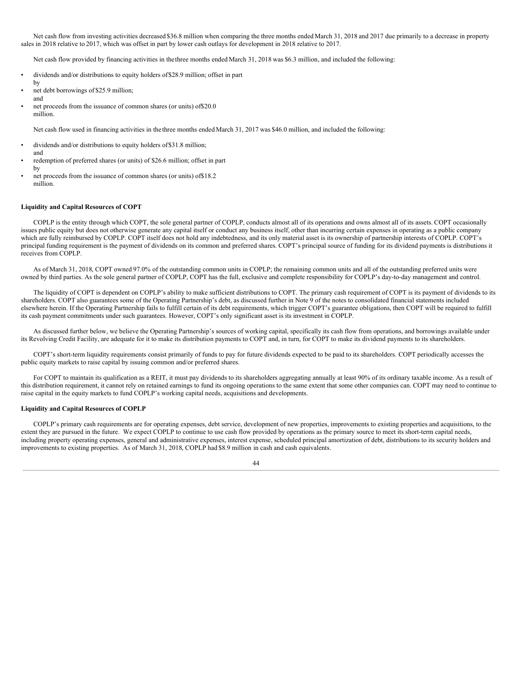Net cash flow from investing activities decreased \$36.8 million when comparing the three months ended March 31, 2018 and 2017 due primarily to a decrease in property sales in 2018 relative to 2017, which was offset in part by lower cash outlays for development in 2018 relative to 2017.

Net cash flow provided by financing activities in thethree months ended March 31, 2018 was \$6.3 million, and included the following:

- dividends and/or distributions to equity holders of\$28.9 million; offset in part
- net debt borrowings of \$25.9 million;
- and

by

• net proceeds from the issuance of common shares (or units) of\$20.0 million.

Net cash flow used in financing activities in the three months ended March 31, 2017 was \$46.0 million, and included the following:

- dividends and/or distributions to equity holders of \$31.8 million; and
- redemption of preferred shares (or units) of \$26.6 million; offset in part by
- net proceeds from the issuance of common shares (or units) of \$18.2 million.

### **Liquidity and Capital Resources of COPT**

COPLP is the entity through which COPT, the sole general partner of COPLP, conducts almost all of its operations and owns almost all of its assets. COPT occasionally issues public equity but does not otherwise generate any capital itself or conduct any business itself, other than incurring certain expenses in operating as a public company which are fully reimbursed by COPLP. COPT itself does not hold any indebtedness, and its only material asset is its ownership of partnership interests of COPLP. COPT's principal funding requirement is the payment of dividends on its common and preferred shares. COPT's principal source of funding for its dividend payments is distributions it receives from COPLP.

As of March 31, 2018, COPT owned 97.0% of the outstanding common units in COPLP; the remaining common units and all of the outstanding preferred units were owned by third parties. As the sole general partner of COPLP, COPT has the full, exclusive and complete responsibility for COPLP's day-to-day management and control.

The liquidity of COPT is dependent on COPLP's ability to make sufficient distributions to COPT. The primary cash requirement of COPT is its payment of dividends to its shareholders. COPT also guarantees some of the Operating Partnership's debt, as discussed further in Note 9 of the notes to consolidated financial statements included elsewhere herein. If the Operating Partnership fails to fulfill certain of its debt requirements, which trigger COPT's guarantee obligations, then COPT will be required to fulfill its cash payment commitments under such guarantees. However, COPT's only significant asset is its investment in COPLP.

As discussed further below, we believe the Operating Partnership's sources of working capital, specifically its cash flow from operations, and borrowings available under its Revolving Credit Facility, are adequate for it to make its distribution payments to COPT and, in turn, for COPT to make its dividend payments to its shareholders.

COPT's short-term liquidity requirements consist primarily of funds to pay for future dividends expected to be paid to its shareholders. COPT periodically accesses the public equity markets to raise capital by issuing common and/or preferred shares.

For COPT to maintain its qualification as a REIT, it must pay dividends to its shareholders aggregating annually at least 90% of its ordinary taxable income. As a result of this distribution requirement, it cannot rely on retained earnings to fund its ongoing operations to the same extent that some other companies can. COPT may need to continue to raise capital in the equity markets to fund COPLP's working capital needs, acquisitions and developments.

#### **Liquidity and Capital Resources of COPLP**

COPLP's primary cash requirements are for operating expenses, debt service, development of new properties, improvements to existing properties and acquisitions, to the extent they are pursued in the future. We expect COPLP to continue to use cash flow provided by operations as the primary source to meet its short-term capital needs, including property operating expenses, general and administrative expenses, interest expense, scheduled principal amortization of debt, distributions to its security holders and improvements to existing properties. As of March 31, 2018, COPLP had \$8.9 million in cash and cash equivalents.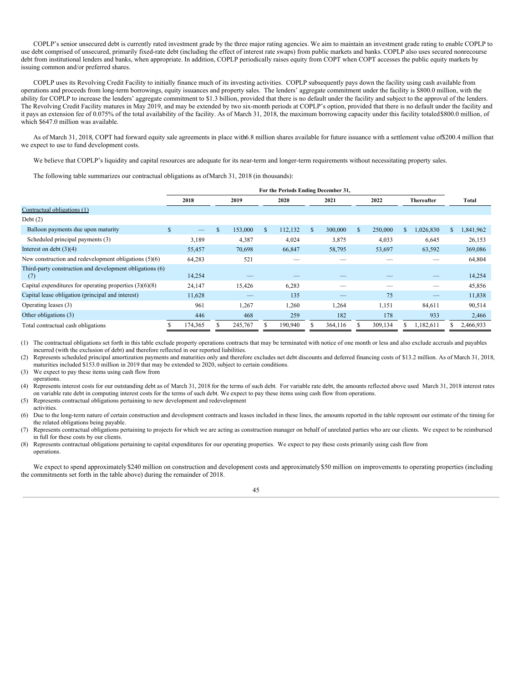COPLP's senior unsecured debt is currently rated investment grade by the three major rating agencies. We aim to maintain an investment grade rating to enable COPLP to use debt comprised of unsecured, primarily fixed-rate debt (including the effect of interest rate swaps) from public markets and banks. COPLP also uses secured nonrecourse debt from institutional lenders and banks, when appropriate. In addition, COPLP periodically raises equity from COPT when COPT accesses the public equity markets by issuing common and/or preferred shares.

COPLP uses its Revolving Credit Facility to initially finance much of its investing activities. COPLP subsequently pays down the facility using cash available from operations and proceeds from long-term borrowings, equity issuances and property sales. The lenders' aggregate commitment under the facility is \$800.0 million, with the ability for COPLP to increase the lenders' aggregate commitment to \$1.3 billion, provided that there is no default under the facility and subject to the approval of the lenders. The Revolving Credit Facility matures in May 2019, and may be extended by two six-month periods at COPLP's option, provided that there is no default under the facility and it pays an extension fee of 0.075% of the total availability of the facility. As of March 31, 2018, the maximum borrowing capacity under this facility totaled\$800.0 million, of which \$647.0 million was available.

As of March 31, 2018, COPT had forward equity sale agreements in place with6.8 million shares available for future issuance with a settlement value of\$200.4 million that we expect to use to fund development costs.

We believe that COPLP's liquidity and capital resources are adequate for its near-term and longer-term requirements without necessitating property sales.

The following table summarizes our contractual obligations as ofMarch 31, 2018 (in thousands):

|                                                                 |               | For the Periods Ending December 31, |   |         |    |         |    |         |    |         |     |            |    |           |
|-----------------------------------------------------------------|---------------|-------------------------------------|---|---------|----|---------|----|---------|----|---------|-----|------------|----|-----------|
|                                                                 |               | 2018                                |   | 2019    |    | 2020    |    | 2021    |    | 2022    |     | Thereafter |    | Total     |
| Contractual obligations (1)                                     |               |                                     |   |         |    |         |    |         |    |         |     |            |    |           |
| Debt $(2)$                                                      |               |                                     |   |         |    |         |    |         |    |         |     |            |    |           |
| Balloon payments due upon maturity                              | $\mathcal{S}$ | $\qquad \qquad -$                   | S | 153,000 | S. | 112,132 | \$ | 300,000 | -S | 250,000 | \$. | 1,026,830  | \$ | 1,841,962 |
| Scheduled principal payments (3)                                |               | 3,189                               |   | 4,387   |    | 4,024   |    | 3,875   |    | 4,033   |     | 6,645      |    | 26,153    |
| Interest on debt $(3)(4)$                                       |               | 55,457                              |   | 70,698  |    | 66,847  |    | 58,795  |    | 53,697  |     | 63,592     |    | 369,086   |
| New construction and redevelopment obligations $(5)(6)$         |               | 64,283                              |   | 521     |    |         |    |         |    |         |     |            |    | 64,804    |
| Third-party construction and development obligations (6)<br>(7) |               | 14,254                              |   |         |    |         |    |         |    |         |     |            |    | 14,254    |
| Capital expenditures for operating properties $(3)(6)(8)$       |               | 24,147                              |   | 15,426  |    | 6,283   |    |         |    |         |     | $\sim$     |    | 45,856    |
| Capital lease obligation (principal and interest)               |               | 11,628                              |   |         |    | 135     |    |         |    | 75      |     |            |    | 11,838    |
| Operating leases (3)                                            |               | 961                                 |   | 1,267   |    | 1,260   |    | 1,264   |    | 1,151   |     | 84,611     |    | 90,514    |
| Other obligations (3)                                           |               | 446                                 |   | 468     |    | 259     |    | 182     |    | 178     |     | 933        |    | 2,466     |
| Total contractual cash obligations                              |               | 174,365                             |   | 245,767 |    | 190,940 |    | 364,116 |    | 309,134 |     | 1,182,611  |    | 2,466,933 |

(1) The contractual obligations set forth in this table exclude property operations contracts that may be terminated with notice of one month or less and also exclude accruals and payables incurred (with the exclusion of debt) and therefore reflected in our reported liabilities.

(2) Represents scheduled principal amortization payments and maturities only and therefore excludes net debt discounts and deferred financing costs of \$13.2 million. As of March 31, 2018, maturities included \$153.0 million in 2019 that may be extended to 2020, subject to certain conditions.

(3) We expect to pay these items using cash flow from operations.

(4) Represents interest costs for our outstanding debt as of March 31, 2018 for the terms of such debt. For variable rate debt, the amounts reflected above used March 31, 2018 interest rates on variable rate debt in computing interest costs for the terms of such debt. We expect to pay these items using cash flow from operations.

(5) Represents contractual obligations pertaining to new development and redevelopment

activities.

(6) Due to the long-term nature of certain construction and development contracts and leases included in these lines, the amounts reported in the table represent our estimate of the timing for the related obligations being payable.

(7) Represents contractual obligations pertaining to projects for which we are acting as construction manager on behalf of unrelated parties who are our clients. We expect to be reimbursed in full for these costs by our clients.

(8) Represents contractual obligations pertaining to capital expenditures for our operating properties. We expect to pay these costs primarily using cash flow from operations.

We expect to spend approximately \$240 million on construction and development costs and approximately \$50 million on improvements to operating properties (including the commitments set forth in the table above) during the remainder of 2018.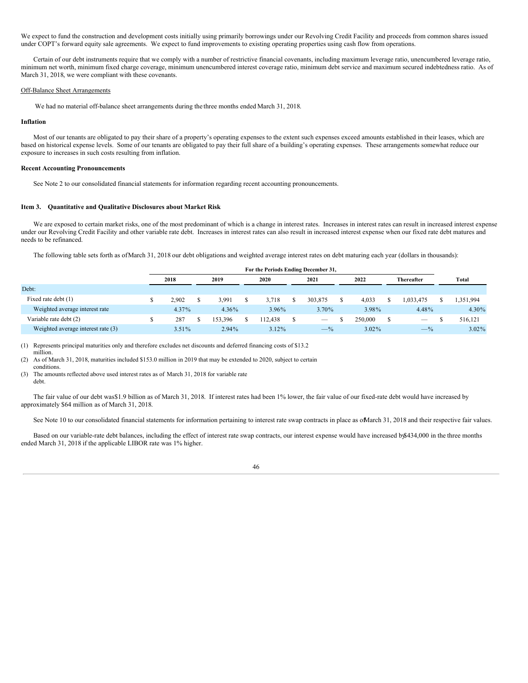We expect to fund the construction and development costs initially using primarily borrowings under our Revolving Credit Facility and proceeds from common shares issued under COPT's forward equity sale agreements. We expect to fund improvements to existing operating properties using cash flow from operations.

Certain of our debt instruments require that we comply with a number of restrictive financial covenants, including maximum leverage ratio, unencumbered leverage ratio, minimum net worth, minimum fixed charge coverage, minimum unencumbered interest coverage ratio, minimum debt service and maximum secured indebtedness ratio. As of March 31, 2018, we were compliant with these covenants.

### Off-Balance Sheet Arrangements

We had no material off-balance sheet arrangements during the three months ended March 31, 2018.

#### **Inflation**

million.

Most of our tenants are obligated to pay their share of a property's operating expenses to the extent such expenses exceed amounts established in their leases, which are based on historical expense levels. Some of our tenants are obligated to pay their full share of a building's operating expenses. These arrangements somewhat reduce our exposure to increases in such costs resulting from inflation.

#### **Recent Accounting Pronouncements**

See Note 2 to our consolidated financial statements for information regarding recent accounting pronouncements.

### <span id="page-47-0"></span>**Item 3. Quantitative and Qualitative Disclosures about Market Risk**

We are exposed to certain market risks, one of the most predominant of which is a change in interest rates. Increases in interest rates can result in increased interest expense under our Revolving Credit Facility and other variable rate debt. Increases in interest rates can also result in increased interest expense when our fixed rate debt matures and needs to be refinanced.

The following table sets forth as ofMarch 31, 2018 our debt obligations and weighted average interest rates on debt maturing each year (dollars in thousands):

|                                    | For the Periods Ending December 31, |  |          |      |          |  |                          |  |          |  |                   |  |          |  |  |  |  |  |  |  |  |  |  |  |       |  |       |  |       |  |       |  |       |
|------------------------------------|-------------------------------------|--|----------|------|----------|--|--------------------------|--|----------|--|-------------------|--|----------|--|--|--|--|--|--|--|--|--|--|--|-------|--|-------|--|-------|--|-------|--|-------|
|                                    | 2018                                |  | 2019     | 2020 |          |  | 2021                     |  |          |  | <b>Thereafter</b> |  | Total    |  |  |  |  |  |  |  |  |  |  |  |       |  |       |  |       |  |       |  |       |
| Debt:                              |                                     |  |          |      |          |  |                          |  |          |  |                   |  |          |  |  |  |  |  |  |  |  |  |  |  |       |  |       |  |       |  |       |  |       |
| Fixed rate debt (1)                | 2.902                               |  | 3.991    |      | 3.718    |  | 303.875                  |  | 4.033    |  | .033,475          |  | .351,994 |  |  |  |  |  |  |  |  |  |  |  |       |  |       |  |       |  |       |  |       |
| Weighted average interest rate     | $4.37\%$                            |  | $4.36\%$ |      |          |  |                          |  |          |  |                   |  |          |  |  |  |  |  |  |  |  |  |  |  | 3.96% |  | 3.70% |  | 3.98% |  | 4.48% |  | 4.30% |
| Variable rate debt (2)             | 287                                 |  | 153.396  |      | 12.438   |  | $\overline{\phantom{0}}$ |  | 250,000  |  | —                 |  | 516,121  |  |  |  |  |  |  |  |  |  |  |  |       |  |       |  |       |  |       |  |       |
| Weighted average interest rate (3) | $3.51\%$                            |  | 2.94%    |      | $3.12\%$ |  | $- \frac{9}{6}$          |  | $3.02\%$ |  | $-$ %             |  | $3.02\%$ |  |  |  |  |  |  |  |  |  |  |  |       |  |       |  |       |  |       |  |       |

(1) Represents principal maturities only and therefore excludes net discounts and deferred financing costs of \$13.2

(2) As of March 31, 2018, maturities included \$153.0 million in 2019 that may be extended to 2020, subject to certain

conditions. (3) The amounts reflected above used interest rates as of March 31, 2018 for variable rate debt.

The fair value of our debt was\$1.9 billion as of March 31, 2018. If interest rates had been 1% lower, the fair value of our fixed-rate debt would have increased by approximately \$64 million as of March 31, 2018.

See Note 10 to our consolidated financial statements for information pertaining to interest rate swap contracts in place as of March 31, 2018 and their respective fair values.

Based on our variable-rate debt balances, including the effect of interest rate swap contracts, our interest expense would have increased by\$434,000 in the three months ended March 31, 2018 if the applicable LIBOR rate was 1% higher.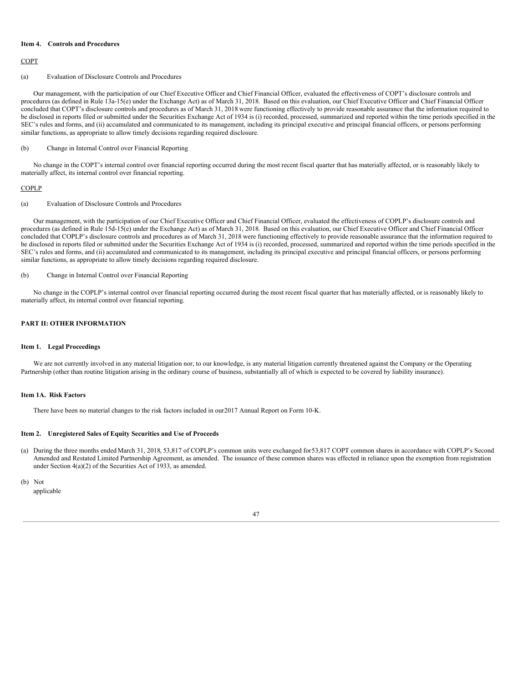### <span id="page-48-0"></span>**Item 4. Controls and Procedures**

# **COPT**

# (a) Evaluation of Disclosure Controls and Procedures

Our management, with the participation of our Chief Executive Officer and Chief Financial Officer, evaluated the effectiveness of COPT's disclosure controls and procedures (as defined in Rule 13a-15(e) under the Exchange Act) as of March 31, 2018. Based on this evaluation, our Chief Executive Officer and Chief Financial Officer concluded that COPT's disclosure controls and procedures as of March 31, 2018 were functioning effectively to provide reasonable assurance that the information required to be disclosed in reports filed or submitted under the Securities Exchange Act of 1934 is (i) recorded, processed, summarized and reported within the time periods specified in the SEC's rules and forms, and (ii) accumulated and communicated to its management, including its principal executive and principal financial officers, or persons performing similar functions, as appropriate to allow timely decisions regarding required disclosure.

# (b) Change in Internal Control over Financial Reporting

No change in the COPT's internal control over financial reporting occurred during the most recent fiscal quarter that has materially affected, or is reasonably likely to materially affect, its internal control over financial reporting.

### **COPLP**

#### (a) Evaluation of Disclosure Controls and Procedures

Our management, with the participation of our Chief Executive Officer and Chief Financial Officer, evaluated the effectiveness of COPLP's disclosure controls and procedures (as defined in Rule 15d-15(e) under the Exchange Act) as of March 31, 2018. Based on this evaluation, our Chief Executive Officer and Chief Financial Officer concluded that COPLP's disclosure controls and procedures as of March 31, 2018 were functioning effectively to provide reasonable assurance that the information required to be disclosed in reports filed or submitted under the Securities Exchange Act of 1934 is (i) recorded, processed, summarized and reported within the time periods specified in the SEC's rules and forms, and (ii) accumulated and communicated to its management, including its principal executive and principal financial officers, or persons performing similar functions, as appropriate to allow timely decisions regarding required disclosure.

### (b) Change in Internal Control over Financial Reporting

No change in the COPLP's internal control over financial reporting occurred during the most recent fiscal quarter that has materially affected, or is reasonably likely to materially affect, its internal control over financial reporting.

# <span id="page-48-1"></span>**PART II: OTHER INFORMATION**

#### <span id="page-48-2"></span>**Item 1. Legal Proceedings**

We are not currently involved in any material litigation nor, to our knowledge, is any material litigation currently threatened against the Company or the Operating Partnership (other than routine litigation arising in the ordinary course of business, substantially all of which is expected to be covered by liability insurance).

## <span id="page-48-3"></span>**Item 1A. Risk Factors**

There have been no material changes to the risk factors included in our2017 Annual Report on Form 10-K.

#### <span id="page-48-4"></span>**Item 2. Unregistered Sales of Equity Securities and Use of Proceeds**

(a) During the three months ended March 31, 2018, 53,817 of COPLP's common units were exchanged for53,817 COPT common shares in accordance with COPLP's Second Amended and Restated Limited Partnership Agreement, as amended. The issuance of these common shares was effected in reliance upon the exemption from registration under Section 4(a)(2) of the Securities Act of 1933, as amended.

#### (b) Not

applicable

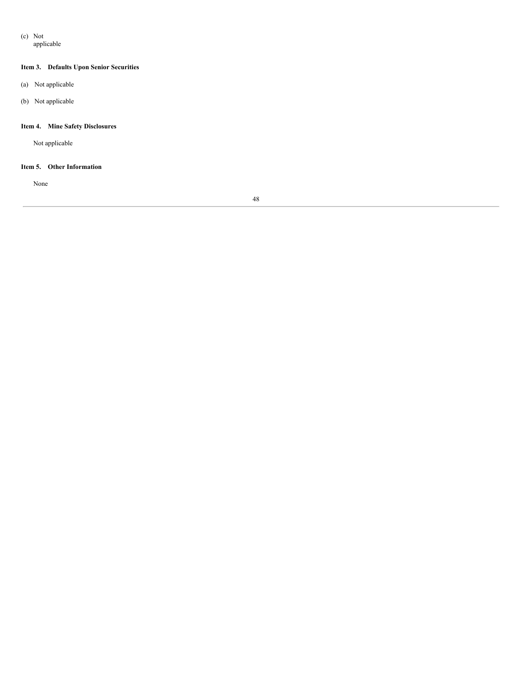(c) Not

applicable

# <span id="page-49-0"></span>**Item 3. Defaults Upon Senior Securities**

- (a) Not applicable
- (b) Not applicable

# <span id="page-49-1"></span>**Item 4. Mine Safety Disclosures**

Not applicable

# <span id="page-49-2"></span>**Item 5. Other Information**

None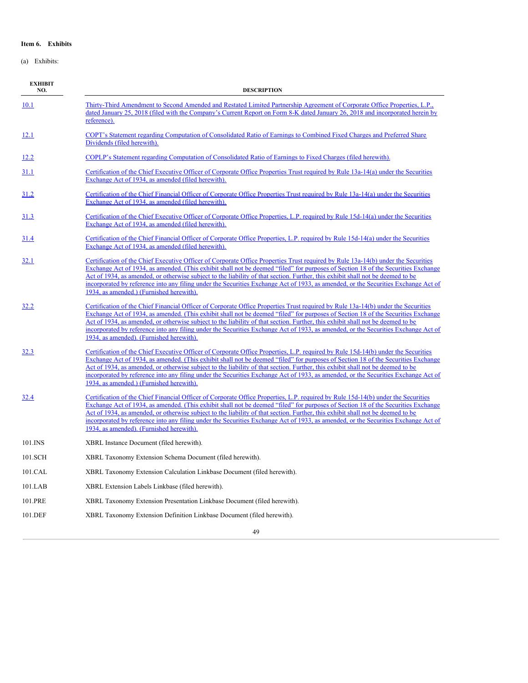# <span id="page-50-0"></span>**Item 6. Exhibits**

(a) Exhibits:

| <b>EXHIBIT</b><br>NO. | <b>DESCRIPTION</b>                                                                                                                                                                                                                                                                                                                                                                                                                                                                                                                                                                          |
|-----------------------|---------------------------------------------------------------------------------------------------------------------------------------------------------------------------------------------------------------------------------------------------------------------------------------------------------------------------------------------------------------------------------------------------------------------------------------------------------------------------------------------------------------------------------------------------------------------------------------------|
| 10.1                  | Thirty-Third Amendment to Second Amended and Restated Limited Partnership Agreement of Corporate Office Properties, L.P.,<br>dated January 25, 2018 (filed with the Company's Current Report on Form 8-K dated January 26, 2018 and incorporated herein by<br>reference).                                                                                                                                                                                                                                                                                                                   |
| <u>12.1</u>           | COPT's Statement regarding Computation of Consolidated Ratio of Earnings to Combined Fixed Charges and Preferred Share<br>Dividends (filed herewith).                                                                                                                                                                                                                                                                                                                                                                                                                                       |
| <u>12.2</u>           | COPLP's Statement regarding Computation of Consolidated Ratio of Earnings to Fixed Charges (filed herewith).                                                                                                                                                                                                                                                                                                                                                                                                                                                                                |
| <b>31.1</b>           | Certification of the Chief Executive Officer of Corporate Office Properties Trust required by Rule 13a-14(a) under the Securities<br>Exchange Act of 1934, as amended (filed herewith).                                                                                                                                                                                                                                                                                                                                                                                                     |
| 31.2                  | Certification of the Chief Financial Officer of Corporate Office Properties Trust required by Rule 13a-14(a) under the Securities<br>Exchange Act of 1934, as amended (filed herewith).                                                                                                                                                                                                                                                                                                                                                                                                     |
| <u>31.3</u>           | Certification of the Chief Executive Officer of Corporate Office Properties, L.P. required by Rule 15d-14(a) under the Securities<br>Exchange Act of 1934, as amended (filed herewith).                                                                                                                                                                                                                                                                                                                                                                                                     |
| <u>31.4</u>           | Certification of the Chief Financial Officer of Corporate Office Properties, L.P. required by Rule 15d-14(a) under the Securities<br>Exchange Act of 1934, as amended (filed herewith).                                                                                                                                                                                                                                                                                                                                                                                                     |
| 32.1                  | Certification of the Chief Executive Officer of Corporate Office Properties Trust required by Rule 13a-14(b) under the Securities<br>Exchange Act of 1934, as amended. (This exhibit shall not be deemed "filed" for purposes of Section 18 of the Securities Exchange<br>Act of 1934, as amended, or otherwise subject to the liability of that section. Further, this exhibit shall not be deemed to be<br>incorporated by reference into any filing under the Securities Exchange Act of 1933, as amended, or the Securities Exchange Act of<br>1934, as amended.) (Furnished herewith). |
| 32.2                  | Certification of the Chief Financial Officer of Corporate Office Properties Trust required by Rule 13a-14(b) under the Securities<br>Exchange Act of 1934, as amended. (This exhibit shall not be deemed "filed" for purposes of Section 18 of the Securities Exchange<br>Act of 1934, as amended, or otherwise subject to the liability of that section. Further, this exhibit shall not be deemed to be<br>incorporated by reference into any filing under the Securities Exchange Act of 1933, as amended, or the Securities Exchange Act of<br>1934, as amended). (Furnished herewith). |
| 32.3                  | Certification of the Chief Executive Officer of Corporate Office Properties, L.P. required by Rule 15d-14(b) under the Securities<br>Exchange Act of 1934, as amended. (This exhibit shall not be deemed "filed" for purposes of Section 18 of the Securities Exchange<br>Act of 1934, as amended, or otherwise subject to the liability of that section. Further, this exhibit shall not be deemed to be<br>incorporated by reference into any filing under the Securities Exchange Act of 1933, as amended, or the Securities Exchange Act of<br>1934, as amended.) (Furnished herewith). |
| 32.4                  | Certification of the Chief Financial Officer of Corporate Office Properties, L.P. required by Rule 15d-14(b) under the Securities<br>Exchange Act of 1934, as amended. (This exhibit shall not be deemed "filed" for purposes of Section 18 of the Securities Exchange<br>Act of 1934, as amended, or otherwise subject to the liability of that section. Further, this exhibit shall not be deemed to be<br>incorporated by reference into any filing under the Securities Exchange Act of 1933, as amended, or the Securities Exchange Act of<br>1934, as amended). (Furnished herewith). |
| 101.INS               | XBRL Instance Document (filed herewith).                                                                                                                                                                                                                                                                                                                                                                                                                                                                                                                                                    |
| 101.SCH               | XBRL Taxonomy Extension Schema Document (filed herewith).                                                                                                                                                                                                                                                                                                                                                                                                                                                                                                                                   |
| 101.CAL               | XBRL Taxonomy Extension Calculation Linkbase Document (filed herewith).                                                                                                                                                                                                                                                                                                                                                                                                                                                                                                                     |
| 101.LAB               | XBRL Extension Labels Linkbase (filed herewith).                                                                                                                                                                                                                                                                                                                                                                                                                                                                                                                                            |
| 101.PRE               | XBRL Taxonomy Extension Presentation Linkbase Document (filed herewith).                                                                                                                                                                                                                                                                                                                                                                                                                                                                                                                    |
| 101.DEF               | XBRL Taxonomy Extension Definition Linkbase Document (filed herewith).                                                                                                                                                                                                                                                                                                                                                                                                                                                                                                                      |
|                       | 49                                                                                                                                                                                                                                                                                                                                                                                                                                                                                                                                                                                          |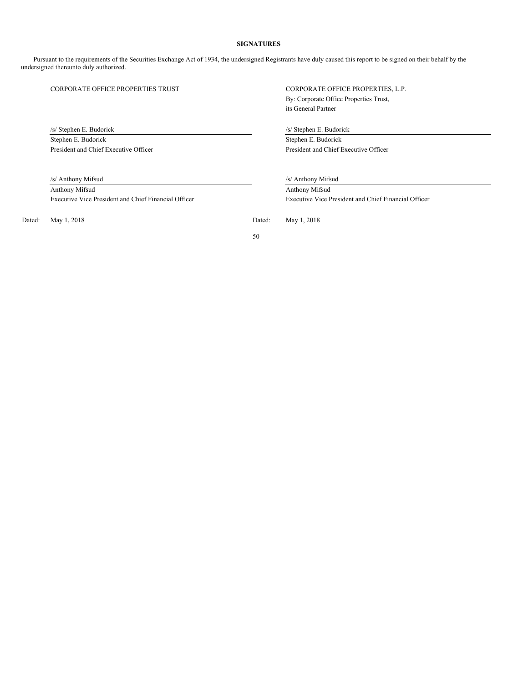# **SIGNATURES**

<span id="page-51-0"></span>Pursuant to the requirements of the Securities Exchange Act of 1934, the undersigned Registrants have duly caused this report to be signed on their behalf by the undersigned thereunto duly authorized.

CORPORATE OFFICE PROPERTIES TRUST CORPORATE OFFICE PROPERTIES, L.P.

/s/ Stephen E. Budorick /s/ Stephen E. Budorick Stephen E. Budorick Stephen E. Budorick

/s/ Anthony Mifsud /s/ Anthony Mifsud

Anthony Mifsud Anthony Mifsud Executive Vice President and Chief Financial Officer Executive Vice President and Chief Financial Officer

Dated: May 1, 2018 Dated: May 1, 2018

By: Corporate Office Properties Trust, its General Partner

President and Chief Executive Officer President and Chief Executive Officer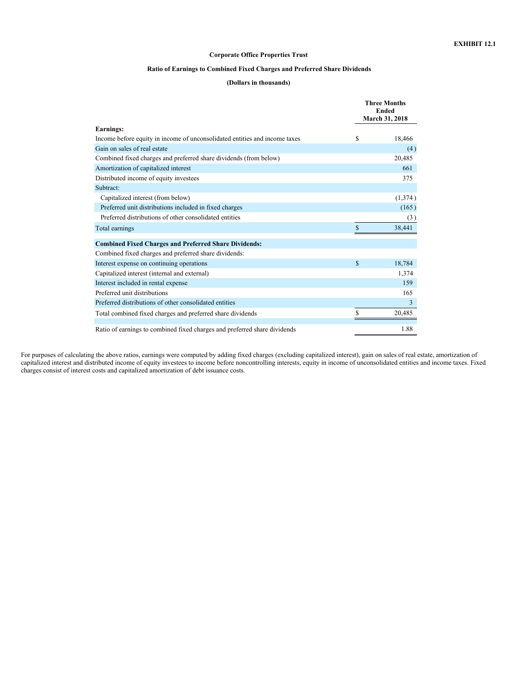## **Corporate Office Properties Trust**

# **Ratio of Earnings to Combined Fixed Charges and Preferred Share Dividends**

# **(Dollars in thousands)**

<span id="page-52-0"></span>

|                                                                            | <b>Three Months</b><br><b>Ended</b><br>March 31, 2018 |         |
|----------------------------------------------------------------------------|-------------------------------------------------------|---------|
| <b>Earnings:</b>                                                           |                                                       |         |
| Income before equity in income of unconsolidated entities and income taxes | S                                                     | 18,466  |
| Gain on sales of real estate                                               |                                                       | (4)     |
| Combined fixed charges and preferred share dividends (from below)          |                                                       | 20,485  |
| Amortization of capitalized interest                                       |                                                       | 661     |
| Distributed income of equity investees                                     |                                                       | 375     |
| Subtract:                                                                  |                                                       |         |
| Capitalized interest (from below)                                          |                                                       | (1,374) |
| Preferred unit distributions included in fixed charges                     |                                                       | (165)   |
| Preferred distributions of other consolidated entities                     |                                                       | (3)     |
| Total earnings                                                             | S                                                     | 38,441  |
| <b>Combined Fixed Charges and Preferred Share Dividends:</b>               |                                                       |         |
| Combined fixed charges and preferred share dividends:                      |                                                       |         |
| Interest expense on continuing operations                                  | $\mathbf S$                                           | 18,784  |
| Capitalized interest (internal and external)                               |                                                       | 1,374   |
| Interest included in rental expense                                        |                                                       | 159     |
| Preferred unit distributions                                               |                                                       | 165     |
| Preferred distributions of other consolidated entities                     |                                                       | 3       |
| Total combined fixed charges and preferred share dividends                 | S                                                     | 20,485  |
| Ratio of earnings to combined fixed charges and preferred share dividends  |                                                       | 1.88    |

For purposes of calculating the above ratios, earnings were computed by adding fixed charges (excluding capitalized interest), gain on sales of real estate, amortization of capitalized interest and distributed income of equity investees to income before noncontrolling interests, equity in income of unconsolidated entities and income taxes. Fixed charges consist of interest costs and capitalized amortization of debt issuance costs.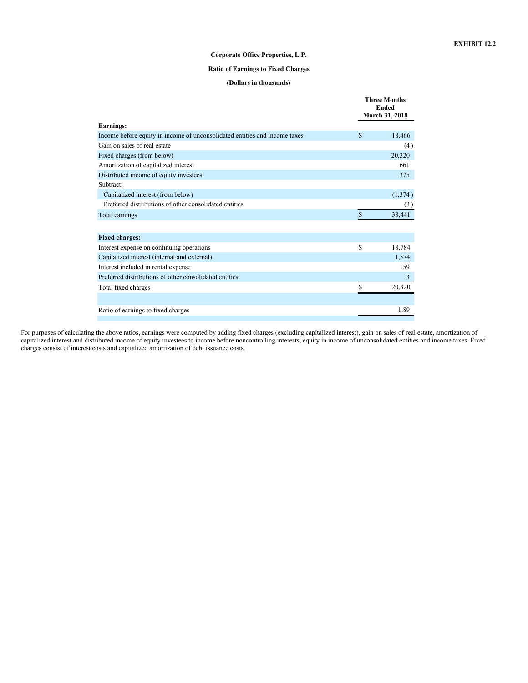# **Corporate Office Properties, L.P.**

# **Ratio of Earnings to Fixed Charges**

# **(Dollars in thousands)**

<span id="page-53-0"></span>

|                                                                            | <b>Three Months</b><br><b>Ended</b><br><b>March 31, 2018</b> |         |
|----------------------------------------------------------------------------|--------------------------------------------------------------|---------|
| <b>Earnings:</b>                                                           |                                                              |         |
| Income before equity in income of unconsolidated entities and income taxes | \$                                                           | 18,466  |
| Gain on sales of real estate                                               |                                                              | (4)     |
| Fixed charges (from below)                                                 |                                                              | 20,320  |
| Amortization of capitalized interest                                       |                                                              | 661     |
| Distributed income of equity investees                                     |                                                              | 375     |
| Subtract:                                                                  |                                                              |         |
| Capitalized interest (from below)                                          |                                                              | (1,374) |
| Preferred distributions of other consolidated entities                     |                                                              | (3)     |
| Total earnings                                                             | \$                                                           | 38,441  |
|                                                                            |                                                              |         |
| <b>Fixed charges:</b>                                                      |                                                              |         |
| Interest expense on continuing operations                                  | \$                                                           | 18,784  |
| Capitalized interest (internal and external)                               |                                                              | 1,374   |
| Interest included in rental expense                                        |                                                              | 159     |
| Preferred distributions of other consolidated entities                     |                                                              | 3       |
| Total fixed charges                                                        | S                                                            | 20,320  |
|                                                                            |                                                              |         |
| Ratio of earnings to fixed charges                                         |                                                              | 1.89    |

For purposes of calculating the above ratios, earnings were computed by adding fixed charges (excluding capitalized interest), gain on sales of real estate, amortization of capitalized interest and distributed income of equity investees to income before noncontrolling interests, equity in income of unconsolidated entities and income taxes. Fixed charges consist of interest costs and capitalized amortization of debt issuance costs.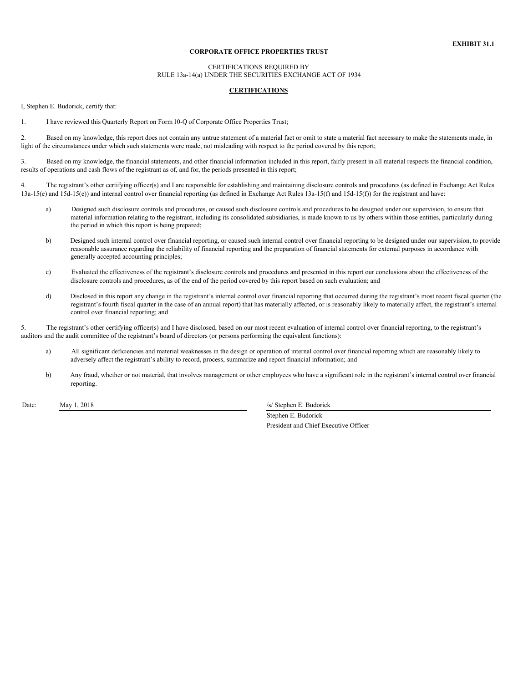#### **CORPORATE OFFICE PROPERTIES TRUST**

### CERTIFICATIONS REQUIRED BY RULE 13a-14(a) UNDER THE SECURITIES EXCHANGE ACT OF 1934

## **CERTIFICATIONS**

<span id="page-54-0"></span>I, Stephen E. Budorick, certify that:

1. I have reviewed this Quarterly Report on Form10-Q of Corporate Office Properties Trust;

2. Based on my knowledge, this report does not contain any untrue statement of a material fact or omit to state a material fact necessary to make the statements made, in light of the circumstances under which such statements were made, not misleading with respect to the period covered by this report;

3. Based on my knowledge, the financial statements, and other financial information included in this report, fairly present in all material respects the financial condition, results of operations and cash flows of the registrant as of, and for, the periods presented in this report;

4. The registrant's other certifying officer(s) and I are responsible for establishing and maintaining disclosure controls and procedures (as defined in Exchange Act Rules  $13a-15(e)$  and  $15d-15(e)$ ) and internal control over financial reporting (as defined in Exchange Act Rules  $13a-15(f)$  and  $15d-15(f)$ ) for the registrant and have:

- a) Designed such disclosure controls and procedures, or caused such disclosure controls and procedures to be designed under our supervision, to ensure that material information relating to the registrant, including its consolidated subsidiaries, is made known to us by others within those entities, particularly during the period in which this report is being prepared;
- b) Designed such internal control over financial reporting, or caused such internal control over financial reporting to be designed under our supervision, to provide reasonable assurance regarding the reliability of financial reporting and the preparation of financial statements for external purposes in accordance with generally accepted accounting principles;
- c) Evaluated the effectiveness of the registrant's disclosure controls and procedures and presented in this report our conclusions about the effectiveness of the disclosure controls and procedures, as of the end of the period covered by this report based on such evaluation; and
- d) Disclosed in this report any change in the registrant's internal control over financial reporting that occurred during the registrant's most recent fiscal quarter (the registrant's fourth fiscal quarter in the case of an annual report) that has materially affected, or is reasonably likely to materially affect, the registrant's internal control over financial reporting; and

5. The registrant's other certifying officer(s) and I have disclosed, based on our most recent evaluation of internal control over financial reporting, to the registrant's auditors and the audit committee of the registrant's board of directors (or persons performing the equivalent functions):

- a) All significant deficiencies and material weaknesses in the design or operation of internal control over financial reporting which are reasonably likely to adversely affect the registrant's ability to record, process, summarize and report financial information; and
- b) Any fraud, whether or not material, that involves management or other employees who have a significant role in the registrant's internal control over financial reporting.

Date: May 1, 2018 /s/ Stephen E. Budorick

Stephen E. Budorick President and Chief Executive Officer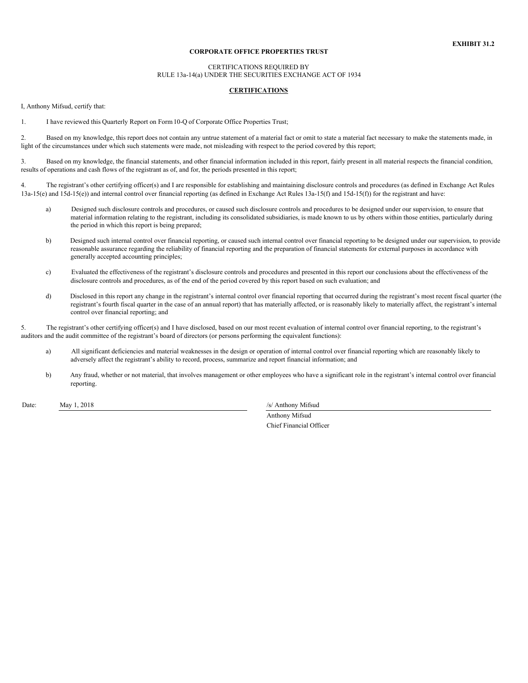#### **CORPORATE OFFICE PROPERTIES TRUST**

### CERTIFICATIONS REQUIRED BY RULE 13a-14(a) UNDER THE SECURITIES EXCHANGE ACT OF 1934

### **CERTIFICATIONS**

<span id="page-55-0"></span>I, Anthony Mifsud, certify that:

1. I have reviewed this Quarterly Report on Form10-Q of Corporate Office Properties Trust;

2. Based on my knowledge, this report does not contain any untrue statement of a material fact or omit to state a material fact necessary to make the statements made, in light of the circumstances under which such statements were made, not misleading with respect to the period covered by this report;

3. Based on my knowledge, the financial statements, and other financial information included in this report, fairly present in all material respects the financial condition, results of operations and cash flows of the registrant as of, and for, the periods presented in this report;

4. The registrant's other certifying officer(s) and I are responsible for establishing and maintaining disclosure controls and procedures (as defined in Exchange Act Rules  $13a-15(e)$  and  $15d-15(e)$ ) and internal control over financial reporting (as defined in Exchange Act Rules  $13a-15(f)$  and  $15d-15(f)$ ) for the registrant and have:

- a) Designed such disclosure controls and procedures, or caused such disclosure controls and procedures to be designed under our supervision, to ensure that material information relating to the registrant, including its consolidated subsidiaries, is made known to us by others within those entities, particularly during the period in which this report is being prepared;
- b) Designed such internal control over financial reporting, or caused such internal control over financial reporting to be designed under our supervision, to provide reasonable assurance regarding the reliability of financial reporting and the preparation of financial statements for external purposes in accordance with generally accepted accounting principles;
- c) Evaluated the effectiveness of the registrant's disclosure controls and procedures and presented in this report our conclusions about the effectiveness of the disclosure controls and procedures, as of the end of the period covered by this report based on such evaluation; and
- d) Disclosed in this report any change in the registrant's internal control over financial reporting that occurred during the registrant's most recent fiscal quarter (the registrant's fourth fiscal quarter in the case of an annual report) that has materially affected, or is reasonably likely to materially affect, the registrant's internal control over financial reporting; and

5. The registrant's other certifying officer(s) and I have disclosed, based on our most recent evaluation of internal control over financial reporting, to the registrant's auditors and the audit committee of the registrant's board of directors (or persons performing the equivalent functions):

- a) All significant deficiencies and material weaknesses in the design or operation of internal control over financial reporting which are reasonably likely to adversely affect the registrant's ability to record, process, summarize and report financial information; and
- b) Any fraud, whether or not material, that involves management or other employees who have a significant role in the registrant's internal control over financial reporting.

Date: May 1, 2018 */s/ Anthony Mifsud* 

Anthony Mifsud Chief Financial Officer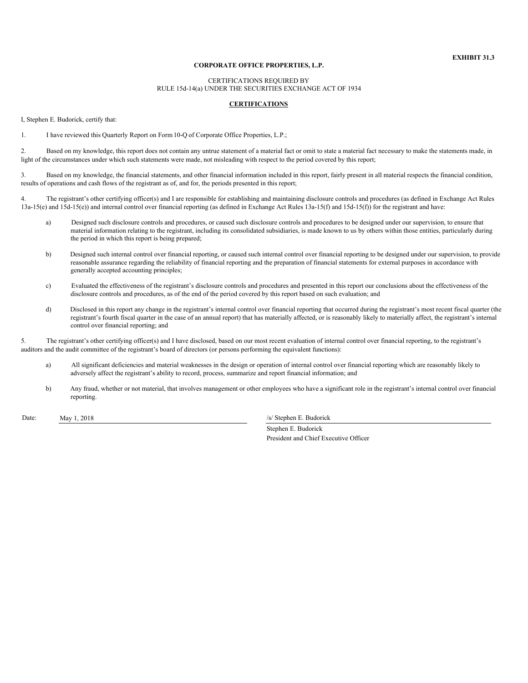### **CORPORATE OFFICE PROPERTIES, L.P.**

CERTIFICATIONS REQUIRED BY RULE 15d-14(a) UNDER THE SECURITIES EXCHANGE ACT OF 1934

#### **CERTIFICATIONS**

<span id="page-56-0"></span>I, Stephen E. Budorick, certify that:

1. I have reviewed this Quarterly Report on Form10-Q of Corporate Office Properties, L.P.;

2. Based on my knowledge, this report does not contain any untrue statement of a material fact or omit to state a material fact necessary to make the statements made, in light of the circumstances under which such statements were made, not misleading with respect to the period covered by this report;

3. Based on my knowledge, the financial statements, and other financial information included in this report, fairly present in all material respects the financial condition, results of operations and cash flows of the registrant as of, and for, the periods presented in this report;

4. The registrant's other certifying officer(s) and I are responsible for establishing and maintaining disclosure controls and procedures (as defined in Exchange Act Rules 13a-15(e) and 15d-15(e)) and internal control over financial reporting (as defined in Exchange Act Rules 13a-15(f) and 15d-15(f)) for the registrant and have:

- a) Designed such disclosure controls and procedures, or caused such disclosure controls and procedures to be designed under our supervision, to ensure that material information relating to the registrant, including its consolidated subsidiaries, is made known to us by others within those entities, particularly during the period in which this report is being prepared;
- b) Designed such internal control over financial reporting, or caused such internal control over financial reporting to be designed under our supervision, to provide reasonable assurance regarding the reliability of financial reporting and the preparation of financial statements for external purposes in accordance with generally accepted accounting principles;
- c) Evaluated the effectiveness of the registrant's disclosure controls and procedures and presented in this report our conclusions about the effectiveness of the disclosure controls and procedures, as of the end of the period covered by this report based on such evaluation; and
- d) Disclosed in this report any change in the registrant's internal control over financial reporting that occurred during the registrant's most recent fiscal quarter (the registrant's fourth fiscal quarter in the case of an annual report) that has materially affected, or is reasonably likely to materially affect, the registrant's internal control over financial reporting; and

5. The registrant's other certifying officer(s) and I have disclosed, based on our most recent evaluation of internal control over financial reporting, to the registrant's auditors and the audit committee of the registrant's board of directors (or persons performing the equivalent functions):

- a) All significant deficiencies and material weaknesses in the design or operation of internal control over financial reporting which are reasonably likely to adversely affect the registrant's ability to record, process, summarize and report financial information; and
- b) Any fraud, whether or not material, that involves management or other employees who have a significant role in the registrant's internal control over financial reporting.

Date: May 1, 2018 *May 1, 2018 May 1, 2018 May 1, 2018 May 1, 2018 May 1, 2018 May 1, 2018* 

Stephen E. Budorick President and Chief Executive Officer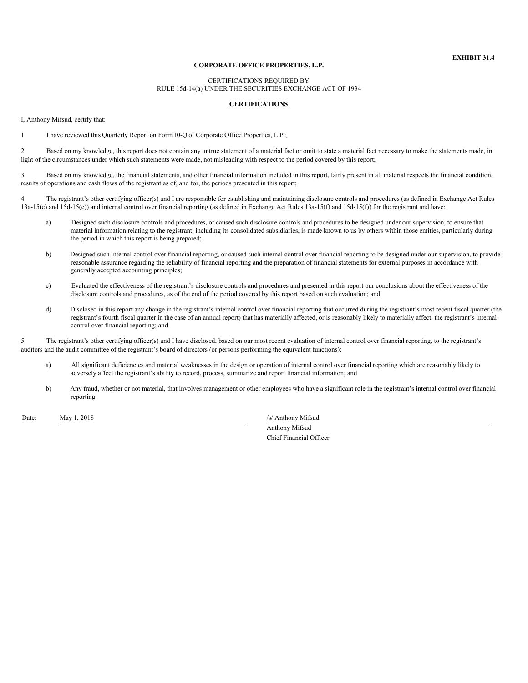### **CORPORATE OFFICE PROPERTIES, L.P.**

# CERTIFICATIONS REQUIRED BY RULE 15d-14(a) UNDER THE SECURITIES EXCHANGE ACT OF 1934

#### **CERTIFICATIONS**

<span id="page-57-0"></span>I, Anthony Mifsud, certify that:

1. I have reviewed this Quarterly Report on Form10-Q of Corporate Office Properties, L.P.;

2. Based on my knowledge, this report does not contain any untrue statement of a material fact or omit to state a material fact necessary to make the statements made, in light of the circumstances under which such statements were made, not misleading with respect to the period covered by this report;

3. Based on my knowledge, the financial statements, and other financial information included in this report, fairly present in all material respects the financial condition, results of operations and cash flows of the registrant as of, and for, the periods presented in this report;

4. The registrant's other certifying officer(s) and I are responsible for establishing and maintaining disclosure controls and procedures (as defined in Exchange Act Rules 13a-15(e) and 15d-15(e)) and internal control over financial reporting (as defined in Exchange Act Rules 13a-15(f) and 15d-15(f)) for the registrant and have:

- a) Designed such disclosure controls and procedures, or caused such disclosure controls and procedures to be designed under our supervision, to ensure that material information relating to the registrant, including its consolidated subsidiaries, is made known to us by others within those entities, particularly during the period in which this report is being prepared;
- b) Designed such internal control over financial reporting, or caused such internal control over financial reporting to be designed under our supervision, to provide reasonable assurance regarding the reliability of financial reporting and the preparation of financial statements for external purposes in accordance with generally accepted accounting principles;
- c) Evaluated the effectiveness of the registrant's disclosure controls and procedures and presented in this report our conclusions about the effectiveness of the disclosure controls and procedures, as of the end of the period covered by this report based on such evaluation; and
- d) Disclosed in this report any change in the registrant's internal control over financial reporting that occurred during the registrant's most recent fiscal quarter (the registrant's fourth fiscal quarter in the case of an annual report) that has materially affected, or is reasonably likely to materially affect, the registrant's internal control over financial reporting; and

5. The registrant's other certifying officer(s) and I have disclosed, based on our most recent evaluation of internal control over financial reporting, to the registrant's auditors and the audit committee of the registrant's board of directors (or persons performing the equivalent functions):

- a) All significant deficiencies and material weaknesses in the design or operation of internal control over financial reporting which are reasonably likely to adversely affect the registrant's ability to record, process, summarize and report financial information; and
- b) Any fraud, whether or not material, that involves management or other employees who have a significant role in the registrant's internal control over financial reporting.

Date: May 1, 2018 /s/ Anthony Mifsud

Anthony Mifsud Chief Financial Officer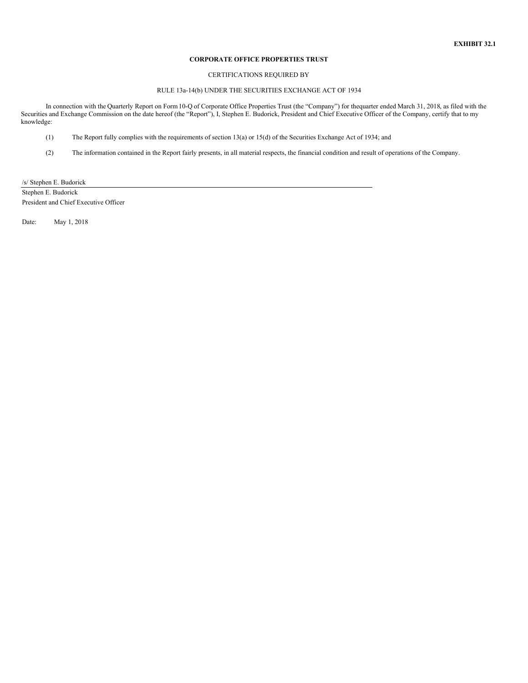# **CORPORATE OFFICE PROPERTIES TRUST**

## CERTIFICATIONS REQUIRED BY

## RULE 13a-14(b) UNDER THE SECURITIES EXCHANGE ACT OF 1934

<span id="page-58-0"></span>In connection with the Quarterly Report on Form10-Q of Corporate Office Properties Trust (the "Company") for thequarter ended March 31, 2018, as filed with the Securities and Exchange Commission on the date hereof (the "Report"), I, Stephen E. Budorick, President and Chief Executive Officer of the Company, certify that to my knowledge:

- (1) The Report fully complies with the requirements of section 13(a) or 15(d) of the Securities Exchange Act of 1934; and
- (2) The information contained in the Report fairly presents, in all material respects, the financial condition and result of operations of the Company.

/s/ Stephen E. Budorick

Stephen E. Budorick President and Chief Executive Officer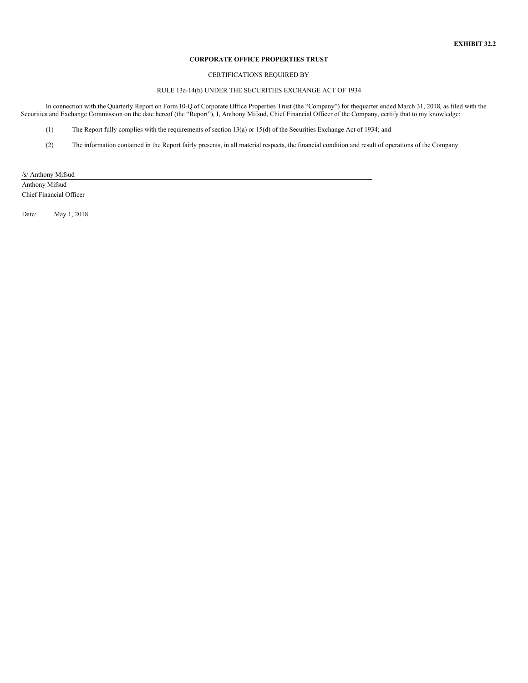# **CORPORATE OFFICE PROPERTIES TRUST**

## CERTIFICATIONS REQUIRED BY

## RULE 13a-14(b) UNDER THE SECURITIES EXCHANGE ACT OF 1934

<span id="page-59-0"></span>In connection with the Quarterly Report on Form10-Q of Corporate Office Properties Trust (the "Company") for thequarter ended March 31, 2018, as filed with the Securities and Exchange Commission on the date hereof (the "Report"), I, Anthony Mifsud, Chief Financial Officer of the Company, certify that to my knowledge:

- (1) The Report fully complies with the requirements of section 13(a) or 15(d) of the Securities Exchange Act of 1934; and
- (2) The information contained in the Report fairly presents, in all material respects, the financial condition and result of operations of the Company.

/s/ Anthony Mifsud

Anthony Mifsud Chief Financial Officer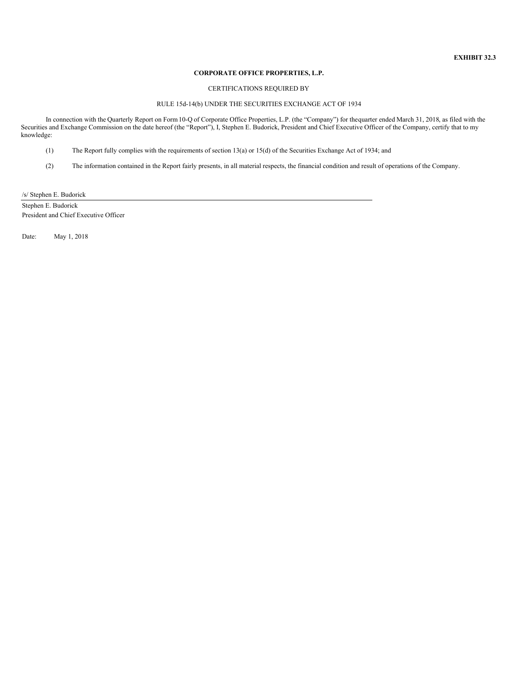# **CORPORATE OFFICE PROPERTIES, L.P.**

### CERTIFICATIONS REQUIRED BY

# RULE 15d-14(b) UNDER THE SECURITIES EXCHANGE ACT OF 1934

<span id="page-60-0"></span>In connection with the Quarterly Report on Form10-Q of Corporate Office Properties, L.P. (the "Company") for thequarter ended March 31, 2018, as filed with the Securities and Exchange Commission on the date hereof (the "Report"), I, Stephen E. Budorick, President and Chief Executive Officer of the Company, certify that to my knowledge:

- (1) The Report fully complies with the requirements of section 13(a) or 15(d) of the Securities Exchange Act of 1934; and
- (2) The information contained in the Report fairly presents, in all material respects, the financial condition and result of operations of the Company.

/s/ Stephen E. Budorick

Stephen E. Budorick President and Chief Executive Officer